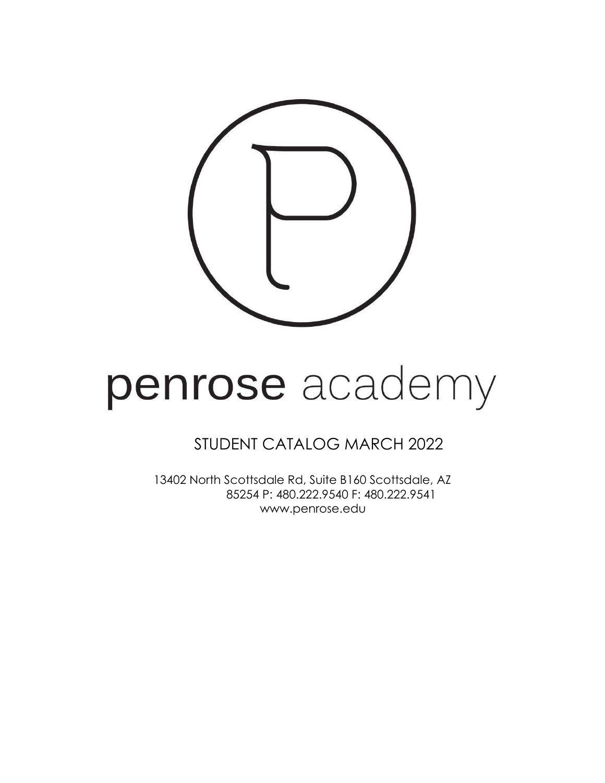

# penrose academy

## STUDENT CATALOG MARCH 2022

13402 North Scottsdale Rd, Suite B160 Scottsdale, AZ 85254 P: 480.222.9540 F: 480.222.9541 [www.penrose.edu](http://www.penrose.edu/)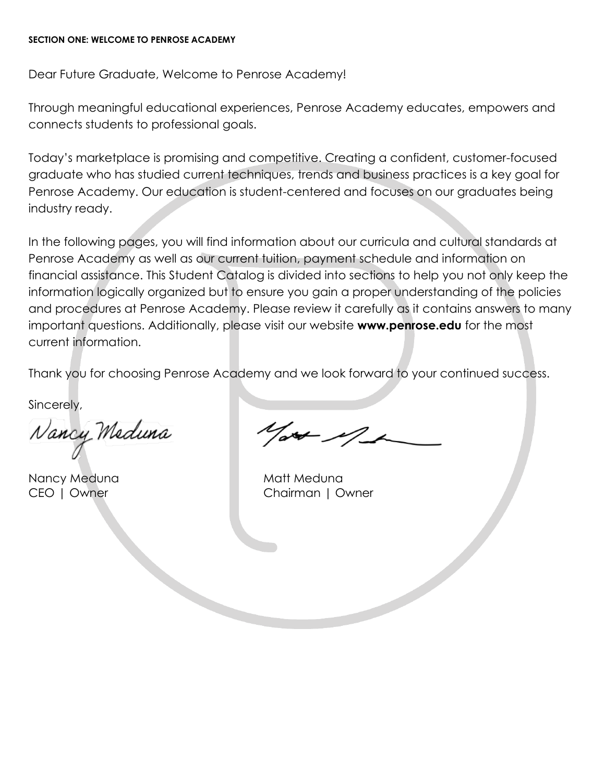#### <span id="page-1-0"></span>**SECTION ONE: WELCOME TO PENROSE ACADEMY**

Dear Future Graduate, Welcome to Penrose Academy!

Through meaningful educational experiences, Penrose Academy educates, empowers and connects students to professional goals.

Today's marketplace is promising and competitive. Creating a confident, customer-focused graduate who has studied current techniques, trends and business practices is a key goal for Penrose Academy. Our education is student-centered and focuses on our graduates being industry ready.

In the following pages, you will find information about our curricula and cultural standards at Penrose Academy as well as our current tuition, payment schedule and information on financial assistance. This Student Catalog is divided into sections to help you not only keep the information logically organized but to ensure you gain a proper understanding of the policies and procedures at Penrose Academy. Please review it carefully as it contains answers to many important questions. Additionally, please visit our website **[www.penrose.edu](http://www.penrose.edu/)** for the most current information.

Thank you for choosing Penrose Academy and we look forward to your continued success.

Sincerely,

Nancy Meduna

Nancy Meduna Matt Meduna

 $\frac{1}{x}$ 

CEO | Owner Chairman | Owner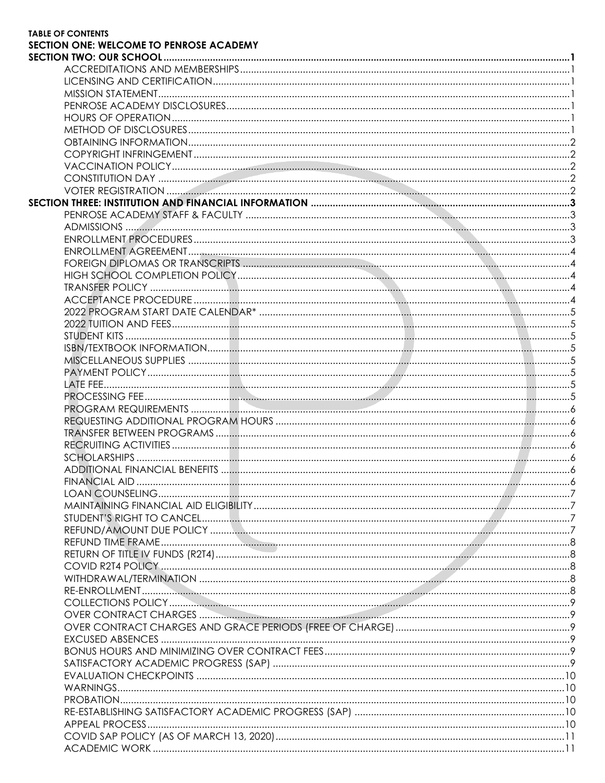| <b>TABLE OF CONTENTS</b>                       |  |
|------------------------------------------------|--|
| <b>SECTION ONE: WELCOME TO PENROSE ACADEMY</b> |  |
|                                                |  |
|                                                |  |
|                                                |  |
|                                                |  |
|                                                |  |
|                                                |  |
|                                                |  |
|                                                |  |
|                                                |  |
|                                                |  |
|                                                |  |
|                                                |  |
|                                                |  |
|                                                |  |
|                                                |  |
|                                                |  |
|                                                |  |
|                                                |  |
|                                                |  |
|                                                |  |
|                                                |  |
|                                                |  |
|                                                |  |
|                                                |  |
|                                                |  |
|                                                |  |
|                                                |  |
|                                                |  |
|                                                |  |
|                                                |  |
|                                                |  |
|                                                |  |
|                                                |  |
|                                                |  |
|                                                |  |
|                                                |  |
|                                                |  |
|                                                |  |
|                                                |  |
|                                                |  |
|                                                |  |
|                                                |  |
|                                                |  |
|                                                |  |
|                                                |  |
|                                                |  |
|                                                |  |
|                                                |  |
|                                                |  |
|                                                |  |
|                                                |  |
|                                                |  |
|                                                |  |
|                                                |  |
|                                                |  |
|                                                |  |
|                                                |  |
|                                                |  |
|                                                |  |
|                                                |  |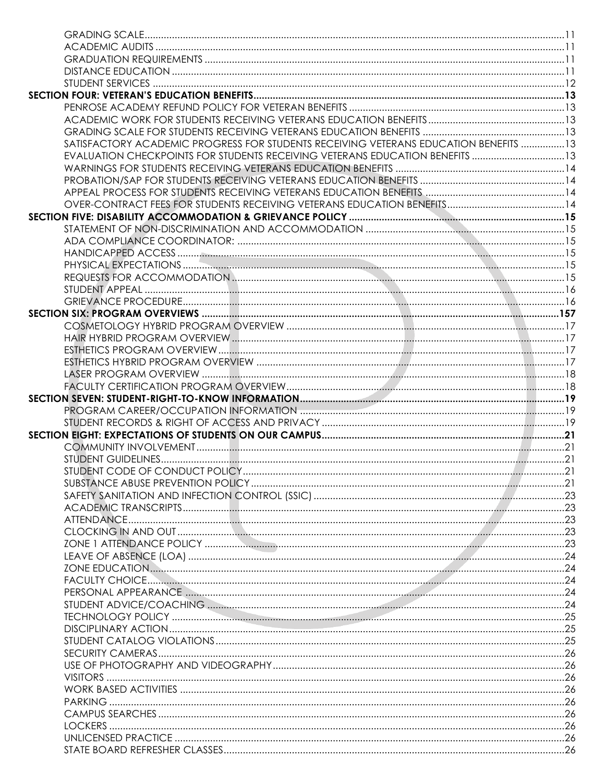| SATISFACTORY ACADEMIC PROGRESS FOR STUDENTS RECEIVING VETERANS EDUCATION BENEFITS 13 |  |
|--------------------------------------------------------------------------------------|--|
| EVALUATION CHECKPOINTS FOR STUDENTS RECEIVING VETERANS EDUCATION BENEFITS 13         |  |
|                                                                                      |  |
|                                                                                      |  |
|                                                                                      |  |
|                                                                                      |  |
|                                                                                      |  |
|                                                                                      |  |
|                                                                                      |  |
|                                                                                      |  |
|                                                                                      |  |
|                                                                                      |  |
|                                                                                      |  |
|                                                                                      |  |
|                                                                                      |  |
|                                                                                      |  |
|                                                                                      |  |
|                                                                                      |  |
|                                                                                      |  |
|                                                                                      |  |
|                                                                                      |  |
|                                                                                      |  |
|                                                                                      |  |
|                                                                                      |  |
|                                                                                      |  |
|                                                                                      |  |
|                                                                                      |  |
|                                                                                      |  |
|                                                                                      |  |
|                                                                                      |  |
|                                                                                      |  |
|                                                                                      |  |
|                                                                                      |  |
|                                                                                      |  |
|                                                                                      |  |
|                                                                                      |  |
|                                                                                      |  |
|                                                                                      |  |
|                                                                                      |  |
|                                                                                      |  |
|                                                                                      |  |
|                                                                                      |  |
|                                                                                      |  |
|                                                                                      |  |
|                                                                                      |  |
|                                                                                      |  |
|                                                                                      |  |
|                                                                                      |  |
|                                                                                      |  |
|                                                                                      |  |
|                                                                                      |  |
|                                                                                      |  |
|                                                                                      |  |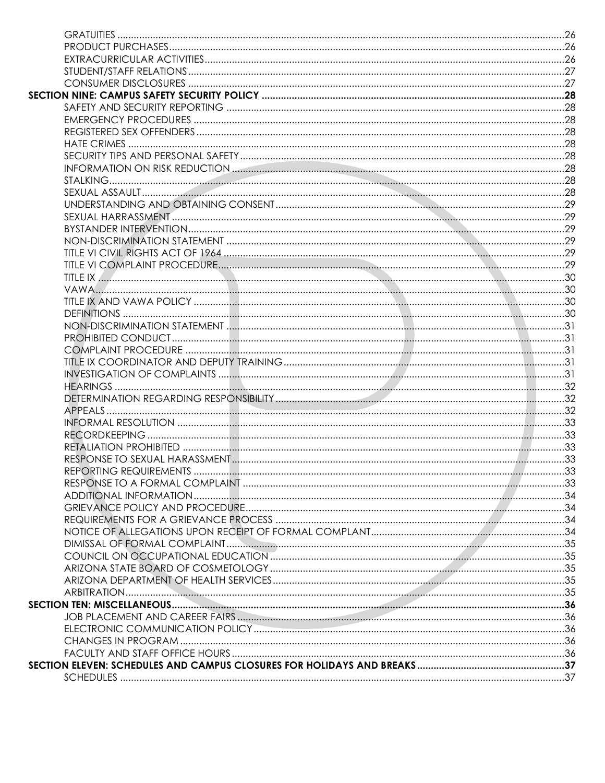| REPORTING REQUIREMENTS | 33 |
|------------------------|----|
|                        |    |
|                        |    |
|                        |    |
|                        |    |
|                        |    |
|                        |    |
|                        |    |
|                        |    |
|                        |    |
|                        |    |
|                        |    |
|                        |    |
|                        |    |
|                        |    |
|                        |    |
|                        |    |
|                        |    |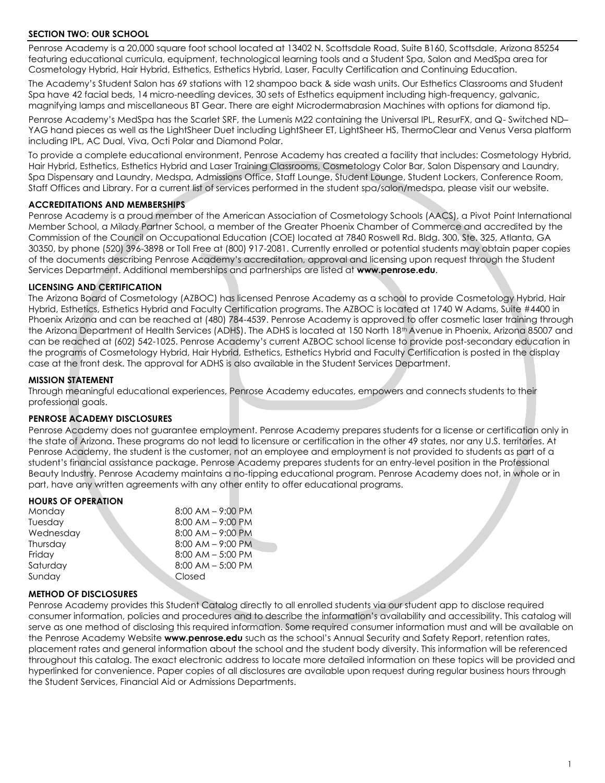#### <span id="page-6-0"></span>**SECTION TWO: OUR SCHOOL**

Penrose Academy is a 20,000 square foot school located at 13402 N. Scottsdale Road, Suite B160, Scottsdale, Arizona 85254 featuring educational curricula, equipment, technological learning tools and a Student Spa, Salon and MedSpa area for Cosmetology Hybrid, Hair Hybrid, Esthetics, Esthetics Hybrid, Laser, Faculty Certification and Continuing Education.

The Academy's Student Salon has 69 stations with 12 shampoo back & side wash units. Our Esthetics Classrooms and Student Spa have 42 facial beds, 14 micro-needling devices, 30 sets of Esthetics equipment including high-frequency, galvanic, magnifying lamps and miscellaneous BT Gear. There are eight Microdermabrasion Machines with options for diamond tip.

Penrose Academy's MedSpa has the Scarlet SRF, the Lumenis M22 containing the Universal IPL, ResurFX, and Q- Switched ND– YAG hand pieces as well as the LightSheer Duet including LightSheer ET, LightSheer HS, ThermoClear and Venus Versa platform including IPL, AC Dual, Viva, Octi Polar and Diamond Polar.

To provide a complete educational environment, Penrose Academy has created a facility that includes: Cosmetology Hybrid, Hair Hybrid, Esthetics, Esthetics Hybrid and Laser Training Classrooms, Cosmetology Color Bar, Salon Dispensary and Laundry, Spa Dispensary and Laundry, Medspa, Admissions Office, Staff Lounge, Student Lounge, Student Lockers, Conference Room, Staff Offices and Library. For a current list of services performed in the student spa/salon/medspa, please visit our website.

#### <span id="page-6-1"></span>**ACCREDITATIONS AND MEMBERSHIPS**

Penrose Academy is a proud member of the American Association of Cosmetology Schools (AACS), a Pivot Point International Member School, a Milady Partner School, a member of the Greater Phoenix Chamber of Commerce and accredited by the Commission of the Council on Occupational Education (COE) located at 7840 Roswell Rd. Bldg. 300, Ste. 325, Atlanta, GA 30350, by phone (520) 396-3898 or Toll Free at (800) 917-2081. Currently enrolled or potential students may obtain paper copies of the documents describing Penrose Academy's accreditation, approval and licensing upon request through the Student Services Department. Additional memberships and partnerships are listed at **[www.penrose.edu](http://www.penrose.edu/)**.

#### <span id="page-6-2"></span>**LICENSING AND CERTIFICATION**

The Arizona Board of Cosmetology (AZBOC) has licensed Penrose Academy as a school to provide Cosmetology Hybrid, Hair Hybrid, Esthetics, Esthetics Hybrid and Faculty Certification programs. The AZBOC is located at 1740 W Adams, Suite #4400 in Phoenix Arizona and can be reached at (480) 784-4539. Penrose Academy is approved to offer cosmetic laser training through the Arizona Department of Health Services (ADHS). The ADHS is located at 150 North 18<sup>th</sup> Avenue in Phoenix, Arizona 85007 and can be reached at (602) 542-1025. Penrose Academy's current AZBOC school license to provide post-secondary education in the programs of Cosmetology Hybrid, Hair Hybrid, Esthetics, Esthetics Hybrid and Faculty Certification is posted in the display case at the front desk. The approval for ADHS is also available in the Student Services Department.

#### <span id="page-6-3"></span>**MISSION STATEMENT**

Through meaningful educational experiences, Penrose Academy educates, empowers and connects students to their professional goals.

#### <span id="page-6-4"></span>**PENROSE ACADEMY DISCLOSURES**

Penrose Academy does not guarantee employment. Penrose Academy prepares students for a license or certification only in the state of Arizona. These programs do not lead to licensure or certification in the other 49 states, nor any U.S. territories. At Penrose Academy, the student is the customer, not an employee and employment is not provided to students as part of a student's financial assistance package. Penrose Academy prepares students for an entry-level position in the Professional Beauty Industry. Penrose Academy maintains a no-tipping educational program. Penrose Academy does not, in whole or in part, have any written agreements with any other entity to offer educational programs.

#### <span id="page-6-5"></span>**HOURS OF OPERATION**

| Monday    | $8:00$ AM $-$ 9:00 PM |
|-----------|-----------------------|
| Tuesday   | $8:00$ AM $-$ 9:00 PM |
| Wednesday | $8:00$ AM $-$ 9:00 PM |
| Thursday  | $8:00$ AM $-$ 9:00 PM |
| Friday    | $8:00$ AM $-5:00$ PM  |
| Saturday  | $8:00$ AM $-5:00$ PM  |
| Sunday    | Closed                |
|           |                       |

#### <span id="page-6-6"></span>**METHOD OF DISCLOSURES**

Penrose Academy provides this Student Catalog directly to all enrolled students via our student app to disclose required consumer information, policies and procedures and to describe the information's availability and accessibility. This catalog will serve as one method of disclosing this required information. Some required consumer information must and will be available on the Penrose Academy Website **[www.](http://www/)[penrose.edu](https://www.penrose.edu/)** such as the school's Annual Security and Safety Report, retention rates, placement rates and general information about the school and the student body diversity. This information will be referenced throughout this catalog. The exact electronic address to locate more detailed information on these topics will be provided and hyperlinked for convenience. Paper copies of all disclosures are available upon request during regular business hours through the Student Services, Financial Aid or Admissions Departments.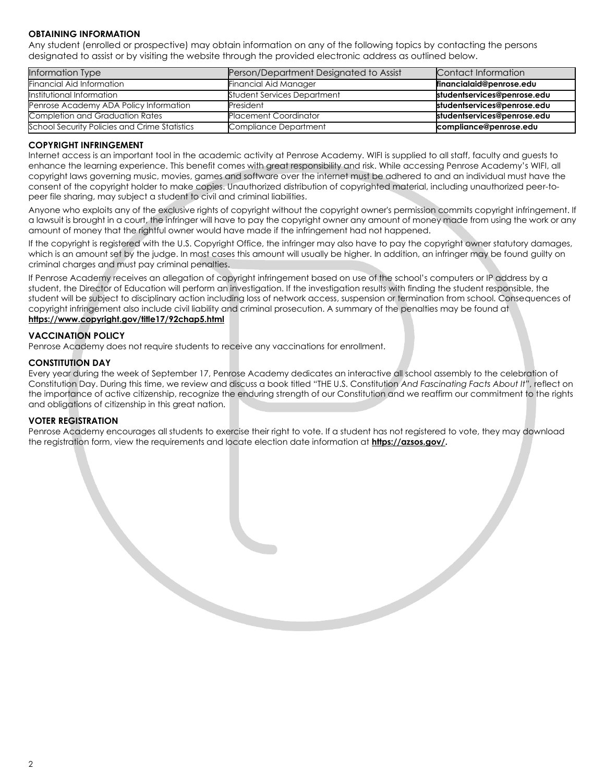#### <span id="page-7-0"></span>**OBTAINING INFORMATION**

Any student (enrolled or prospective) may obtain information on any of the following topics by contacting the persons designated to assist or by visiting the website through the provided electronic address as outlined below.

| <b>Information Type</b>                       | Person/Department Designated to Assist | Contact Information         |
|-----------------------------------------------|----------------------------------------|-----------------------------|
| <b>Financial Aid Information</b>              | Financial Aid Manager                  | financialaid@penrose.edu    |
| Institutional Information                     | <b>Student Services Department</b>     | studentservices@penrose.edu |
| Penrose Academy ADA Policy Information        | President                              | studentservices@penrose.edu |
| Completion and Graduation Rates               | <b>Placement Coordinator</b>           | studentservices@penrose.edu |
| School Security Policies and Crime Statistics | Compliance Department                  | compliance@penrose.edu      |

#### <span id="page-7-1"></span>**COPYRIGHT INFRINGEMENT**

Internet access is an important tool in the academic activity at Penrose Academy. WIFI is supplied to all staff, faculty and guests to enhance the learning experience. This benefit comes with great responsibility and risk. While accessing Penrose Academy's WIFI, all copyright laws governing music, movies, games and software over the internet must be adhered to and an individual must have the consent of the copyright holder to make copies. Unauthorized distribution of copyrighted material, including unauthorized peer-topeer file sharing, may subject a student to civil and criminal liabilities.

Anyone who exploits any of the exclusive rights of copyright without the copyright owner's permission commits copyright infringement. If a lawsuit is brought in a court, the infringer will have to pay the copyright owner any amount of money made from using the work or any amount of money that the rightful owner would have made if the infringement had not happened.

If the copyright is registered with the U.S. Copyright Office, the infringer may also have to pay the copyright owner statutory damages, which is an amount set by the judge. In most cases this amount will usually be higher. In addition, an infringer may be found guilty on criminal charges and must pay criminal penalties.

If Penrose Academy receives an allegation of copyright infringement based on use of the school's computers or IP address by a student, the Director of Education will perform an investigation. If the investigation results with finding the student responsible, the student will be subject to disciplinary action including loss of network access, suspension or termination from school. Consequences of copyright infringement also include civil liability and criminal prosecution. A summary of the penalties may be found at **<https://www.copyright.gov/title17/92chap5.html>**

## <span id="page-7-2"></span>**VACCINATION POLICY**

Penrose Academy does not require students to receive any vaccinations for enrollment.

#### <span id="page-7-3"></span>**CONSTITUTION DAY**

Every year during the week of September 17, Penrose Academy dedicates an interactive all school assembly to the celebration of Constitution Day. During this time, we review and discuss a book titled "THE U.S. Constitution *And Fascinating Facts About It"*, reflect on the importance of active citizenship, recognize the enduring strength of our Constitution and we reaffirm our commitment to the rights and obligations of citizenship in this great nation.

#### <span id="page-7-4"></span>**VOTER REGISTRATION**

Penrose Academy encourages all students to exercise their right to vote. If a student has not registered to vote, they may download the registration form, view the requirements and locate election date information at **[https://azsos.gov/.](https://azsos.gov/elections/voting-election/register-vote-or-update-your-current-voter-information)**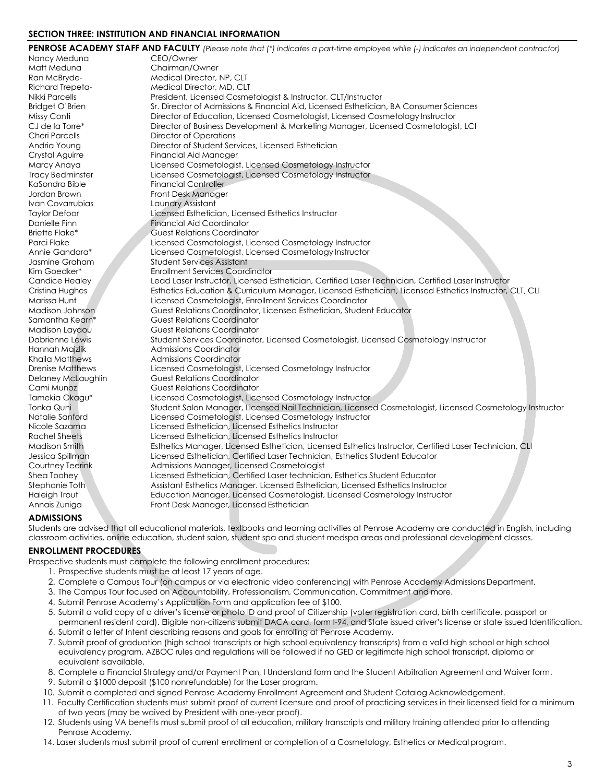#### <span id="page-8-0"></span>**SECTION THREE: INSTITUTION AND FINANCIAL INFORMATION**

|                         | PENROSE ACADEMY STAFF AND FACULTY (Please note that (*) indicates a part-time employee while (-) indicates an independent contractor) |
|-------------------------|---------------------------------------------------------------------------------------------------------------------------------------|
| Nancy Meduna            | CEO/Owner                                                                                                                             |
| Matt Meduna             | Chairman/Owner                                                                                                                        |
| Ran McBryde-            | Medical Director, NP, CLT                                                                                                             |
| Richard Trepeta-        | Medical Director, MD, CLT                                                                                                             |
| Nikki Parcells          | President, Licensed Cosmetologist & Instructor, CLT/Instructor                                                                        |
| Bridget O'Brien         | Sr. Director of Admissions & Financial Aid, Licensed Esthetician, BA Consumer Sciences                                                |
| Missy Conti             | Director of Education, Licensed Cosmetologist, Licensed Cosmetology Instructor                                                        |
| CJ de la Torre*         | Director of Business Development & Marketing Manager, Licensed Cosmetologist, LCI                                                     |
| <b>Cheri Parcells</b>   | Director of Operations                                                                                                                |
| Andria Young            | Director of Student Services, Licensed Esthetician                                                                                    |
| Crystal Aguirre         | Financial Aid Manager                                                                                                                 |
| Marcy Anaya             | Licensed Cosmetologist, Licensed Cosmetology Instructor                                                                               |
| <b>Tracy Bedminster</b> | Licensed Cosmetologist, Licensed Cosmetology Instructor                                                                               |
| KaSondra Bible          | <b>Financial Controller</b>                                                                                                           |
| Jordan Brown            | Front Desk Manager                                                                                                                    |
| Ivan Covarrubias        | Laundry Assistant                                                                                                                     |
| <b>Taylor Defoor</b>    | Licensed Esthetician, Licensed Esthetics Instructor                                                                                   |
| Danielle Finn           | Financial Aid Coordinator                                                                                                             |
| Briette Flake*          | <b>Guest Relations Coordinator</b>                                                                                                    |
| Parci Flake             | Licensed Cosmetologist, Licensed Cosmetology Instructor                                                                               |
| Annie Gandara*          | Licensed Cosmetologist, Licensed Cosmetology Instructor                                                                               |
| Jasmine Graham          | <b>Student Services Assistant</b>                                                                                                     |
| Kim Goedker*            | <b>Enrollment Services Coordinator</b>                                                                                                |
| Candice Healey          | Lead Laser Instructor, Licensed Esthetician, Certified Laser Technician, Certified Laser Instructor                                   |
| Cristina Hughes         | Esthetics Education & Curriculum Manager, Licensed Esthetician, Licensed Esthetics Instructor, CLT, CLI                               |
| Marissa Hunt            | Licensed Cosmetologist, Enrollment Services Coordinator                                                                               |
| Madison Johnson         | Guest Relations Coordinator, Licensed Esthetician, Student Educator                                                                   |
| Samantha Kearn*         | <b>Guest Relations Coordinator</b>                                                                                                    |
| Madison Layaou          | <b>Guest Relations Coordinator</b>                                                                                                    |
| Dabrienne Lewis         | Student Services Coordinator, Licensed Cosmetologist, Licensed Cosmetology Instructor                                                 |
| Hannah Majzlik          | Admissions Coordinator                                                                                                                |
| Khaila Matthews         | <b>Admissions Coordinator</b>                                                                                                         |
| Drenise Matthews        | Licensed Cosmetologist, Licensed Cosmetology Instructor                                                                               |
| Delaney McLaughlin      | <b>Guest Relations Coordinator</b>                                                                                                    |
| Cami Munoz              | <b>Guest Relations Coordinator</b>                                                                                                    |
| Tamekia Okagu*          | Licensed Cosmetologist, Licensed Cosmetology Instructor                                                                               |
| Tonka Quni              | Student Salon Manager, Licensed Nail Technician, Licensed Cosmetologist, Licensed Cosmetology Instructor                              |
| Natalie Sanford         | Licensed Cosmetologist, Licensed Cosmetology Instructor                                                                               |
| Nicole Sazama           | Licensed Esthetician, Licensed Esthetics Instructor                                                                                   |
| Rachel Sheets           | Licensed Esthetician, Licensed Esthetics Instructor                                                                                   |
| <b>Madison Smith</b>    | Esthetics Manager, Licensed Esthetician, Licensed Esthetics Instructor, Certified Laser Technician, CLI                               |
| Jessica Spillman        | Licensed Esthetician, Certified Laser Technician, Esthetics Student Educator                                                          |
| Courtney Teerink        | Admissions Manager, Licensed Cosmetologist                                                                                            |
| Shea Toohey             | Licensed Esthetician, Certified Laser technician, Esthetics Student Educator                                                          |
| Stephanie Toth          | Assistant Esthetics Manager. Licensed Esthetician, Licensed Esthetics Instructor                                                      |
| Haleigh Trout           | Education Manager, Licensed Cosmetologist, Licensed Cosmetology Instructor                                                            |
| Annais Zuniga           | Front Desk Manager, Licensed Esthetician                                                                                              |
|                         |                                                                                                                                       |

#### <span id="page-8-1"></span>**[ADMISSIONS](#page-8-1)**

Students are advised that all educational materials, textbooks and learning activities at Penrose Academy are conducted in English, including classroom activities, online education, student salon, student spa and student medspa areas and professional development classes.

#### <span id="page-8-2"></span>**[ENROLLMENT PROCEDURES](#page-8-2)**

Prospective students must complete the following enrollment procedures:

- 1. Prospective students must be at least 17 years of age.
- 2. Complete a Campus Tour (on campus or via electronic video conferencing) with Penrose Academy Admissions Department.
- 3. The Campus Tour focused on Accountability, Professionalism, Communication, Commitment and more.
- 4. Submit Penrose Academy's Application Form and application fee of \$100.
- 5. Submit a valid copy of a driver's license or photo ID and proof of Citizenship (voter registration card, birth certificate, passport or
- permanent resident card). Eligible non-citizens submit DACA card, form I-94, and State issued driver's license or state issued Identification. 6. Submit a letter of Intent describing reasons and goals for enrolling at Penrose Academy.
- 7. Submit proof of graduation (high school transcripts or high school equivalency transcripts) from a valid high school or high school equivalency program. AZBOC rules and regulations will be followed if no GED or legitimate high school transcript, diploma or equivalent isavailable.
- 8. Complete a Financial Strategy and/or Payment Plan, I Understand form and the Student Arbitration Agreement and Waiver form.
- 9. Submit a \$1000 deposit (\$100 nonrefundable) for the Laser program.
- 10. Submit a completed and signed Penrose Academy Enrollment Agreement and Student Catalog Acknowledgement.
- 11. Faculty Certification students must submit proof of current licensure and proof of practicing services in their licensed field for a minimum of two years (may be waived by President with one-year proof).
- 12. Students using VA benefits must submit proof of all education, military transcripts and military training attended prior to attending Penrose Academy.
- 14. Laser students must submit proof of current enrollment or completion of a Cosmetology, Esthetics or Medical program.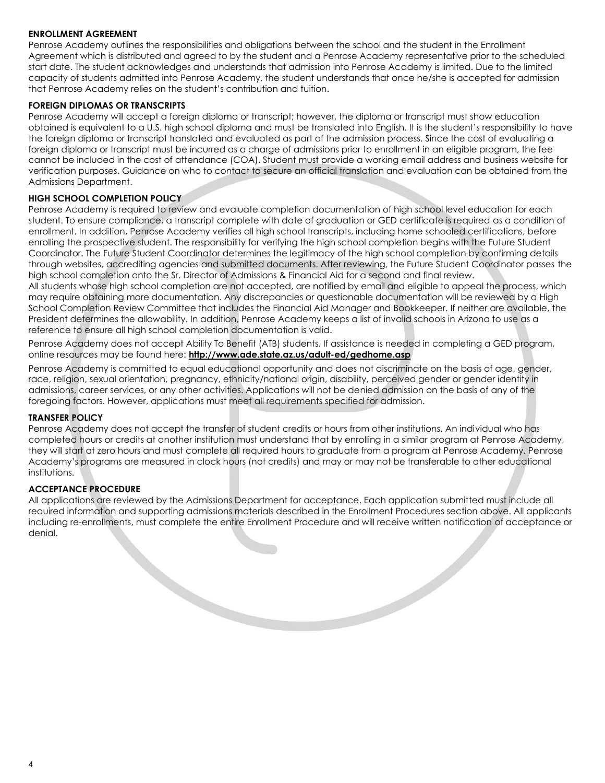#### <span id="page-9-0"></span>**ENROLLMENT AGREEMENT**

Penrose Academy outlines the responsibilities and obligations between the school and the student in the Enrollment Agreement which is distributed and agreed to by the student and a Penrose Academy representative prior to the scheduled start date. The student acknowledges and understands that admission into Penrose Academy is limited. Due to the limited capacity of students admitted into Penrose Academy, the student understands that once he/she is accepted for admission that Penrose Academy relies on the student's contribution and tuition.

#### <span id="page-9-1"></span>**FOREIGN DIPLOMAS OR TRANSCRIPTS**

Penrose Academy will accept a foreign diploma or transcript; however, the diploma or transcript must show education obtained is equivalent to a U.S. high school diploma and must be translated into English. It is the student's responsibility to have the foreign diploma or transcript translated and evaluated as part of the admission process. Since the cost of evaluating a foreign diploma or transcript must be incurred as a charge of admissions prior to enrollment in an eligible program, the fee cannot be included in the cost of attendance (COA). Student must provide a working email address and business website for verification purposes. Guidance on who to contact to secure an official translation and evaluation can be obtained from the Admissions Department.

#### <span id="page-9-2"></span>**HIGH SCHOOL COMPLETION POLICY**

Penrose Academy is required to review and evaluate completion documentation of high school level education for each student. To ensure compliance, a transcript complete with date of graduation or GED certificate is required as a condition of enrollment. In addition, Penrose Academy verifies all high school transcripts, including home schooled certifications, before enrolling the prospective student. The responsibility for verifying the high school completion begins with the Future Student Coordinator. The Future Student Coordinator determines the legitimacy of the high school completion by confirming details through websites, accrediting agencies and submitted documents. After reviewing, the Future Student Coordinator passes the high school completion onto the Sr. Director of Admissions & Financial Aid for a second and final review.

All students whose high school completion are not accepted, are notified by email and eligible to appeal the process, which may require obtaining more documentation. Any discrepancies or questionable documentation will be reviewed by a High School Completion Review Committee that includes the Financial Aid Manager and Bookkeeper. If neither are available, the President determines the allowability. In addition, Penrose Academy keeps a list of invalid schools in Arizona to use as a reference to ensure all high school completion documentation is valid.

Penrose Academy does not accept Ability To Benefit (ATB) students. If assistance is needed in completing a GED program, online resources may be found here: **<http://www.ade.state.az.us/adult-ed/gedhome.asp>**

Penrose Academy is committed to equal educational opportunity and does not discriminate on the basis of age, gender, race, religion, sexual orientation, pregnancy, ethnicity/national origin, disability, perceived gender or gender identity in admissions, career services, or any other activities. Applications will not be denied admission on the basis of any of the foregoing factors. However, applications must meet all requirements specified for admission.

#### <span id="page-9-3"></span>**TRANSFER POLICY**

Penrose Academy does not accept the transfer of student credits or hours from other institutions. An individual who has completed hours or credits at another institution must understand that by enrolling in a similar program at Penrose Academy, they will start at zero hours and must complete all required hours to graduate from a program at Penrose Academy. Penrose Academy's programs are measured in clock hours (not credits) and may or may not be transferable to other educational institutions.

#### <span id="page-9-4"></span>**ACCEPTANCE PROCEDURE**

All applications are reviewed by the Admissions Department for acceptance. Each application submitted must include all required information and supporting admissions materials described in the Enrollment Procedures section above. All applicants including re-enrollments, must complete the entire Enrollment Procedure and will receive written notification of acceptance or denial.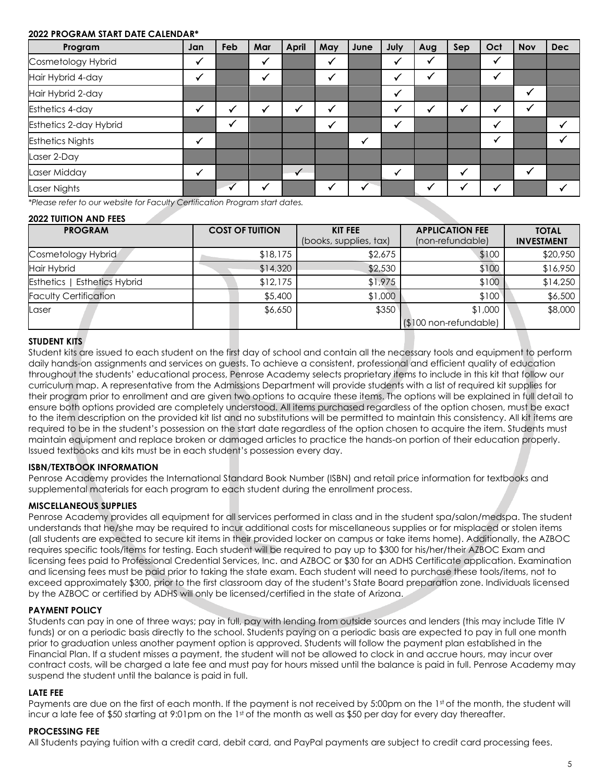#### <span id="page-10-0"></span>**2022 PROGRAM START DATE CALENDAR\***

| Program                 | Jan | Feb | Mar | April | May | June | July | Aug       | Sep | Oct | <b>Nov</b> | <b>Dec</b> |
|-------------------------|-----|-----|-----|-------|-----|------|------|-----------|-----|-----|------------|------------|
| Cosmetology Hybrid      |     |     |     |       |     |      |      |           |     |     |            |            |
| Hair Hybrid 4-day       |     |     |     |       |     |      |      |           |     |     |            |            |
| Hair Hybrid 2-day       |     |     |     |       |     |      |      |           |     |     |            |            |
| Esthetics 4-day         |     |     |     | √     |     |      |      | $\bullet$ |     |     |            |            |
| Esthetics 2-day Hybrid  |     |     |     |       |     |      |      |           |     |     |            |            |
| <b>Esthetics Nights</b> |     |     |     |       |     |      |      |           |     |     |            |            |
| Laser 2-Day             |     |     |     |       |     |      |      |           |     |     |            |            |
| Laser Midday            |     |     |     |       |     |      |      |           |     |     |            |            |
| Laser Nights            |     |     |     |       |     |      |      |           |     |     |            |            |

*\*Please refer to our website for Faculty Certification Program start dates.*

#### <span id="page-10-1"></span>**2022 TUITION AND FEES**

| <b>PROGRAM</b>                      | <b>COST OF TUITION</b> | <b>KIT FEE</b><br>(books, supplies, tax) | <b>APPLICATION FEE</b><br>(non-refundable) | <b>TOTAL</b><br><b>INVESTMENT</b> |
|-------------------------------------|------------------------|------------------------------------------|--------------------------------------------|-----------------------------------|
| Cosmetology Hybrid                  | \$18,175               | \$2,675                                  | \$100                                      | \$20,950                          |
| <b>Hair Hybrid</b>                  | \$14,320               | \$2,530                                  | \$100                                      | \$16,950                          |
| <b>Esthetics   Esthetics Hybrid</b> | \$12,175               | \$1,975                                  | \$100                                      | \$14,250                          |
| <b>Faculty Certification</b>        | \$5,400                | \$1,000                                  | \$100                                      | \$6,500                           |
| Laser                               | \$6,650                | \$350                                    | \$1,000                                    | \$8,000                           |
|                                     |                        |                                          | $($100 non-refundable)$                    |                                   |

#### <span id="page-10-2"></span>**STUDENT KITS**

Student kits are issued to each student on the first day of school and contain all the necessary tools and equipment to perform daily hands-on assignments and services on guests. To achieve a consistent, professional and efficient quality of education throughout the students' educational process, Penrose Academy selects proprietary items to include in this kit that follow our curriculum map. A representative from the Admissions Department will provide students with a list of required kit supplies for their program prior to enrollment and are given two options to acquire these items. The options will be explained in full detail to ensure both options provided are completely understood. All items purchased regardless of the option chosen, must be exact to the item description on the provided kit list and no substitutions will be permitted to maintain this consistency. All kit items are required to be in the student's possession on the start date regardless of the option chosen to acquire the item. Students must maintain equipment and replace broken or damaged articles to practice the hands-on portion of their education properly. Issued textbooks and kits must be in each student's possession every day.

#### <span id="page-10-3"></span>**ISBN/TEXTBOOK INFORMATION**

Penrose Academy provides the International Standard Book Number (ISBN) and retail price information for textbooks and supplemental materials for each program to each student during the enrollment process.

#### <span id="page-10-4"></span>**MISCELLANEOUS SUPPLIES**

Penrose Academy provides all equipment for all services performed in class and in the student spa/salon/medspa. The student understands that he/she may be required to incur additional costs for miscellaneous supplies or for misplaced or stolen items (all students are expected to secure kit items in their provided locker on campus or take items home). Additionally, the AZBOC requires specific tools/items for testing. Each student will be required to pay up to \$300 for his/her/their AZBOC Exam and licensing fees paid to Professional Credential Services, Inc. and AZBOC or \$30 for an ADHS Certificate application. Examination and licensing fees must be paid prior to taking the state exam. Each student will need to purchase these tools/items, not to exceed approximately \$300, prior to the first classroom day of the student's State Board preparation zone. Individuals licensed by the AZBOC or certified by ADHS will only be licensed/certified in the state of Arizona.

#### <span id="page-10-5"></span>**PAYMENT POLICY**

Students can pay in one of three ways; pay in full, pay with lending from outside sources and lenders (this may include Title IV funds) or on a periodic basis directly to the school. Students paying on a periodic basis are expected to pay in full one month prior to graduation unless another payment option is approved. Students will follow the payment plan established in the Financial Plan. If a student misses a payment, the student will not be allowed to clock in and accrue hours, may incur over contract costs, will be charged a late fee and must pay for hours missed until the balance is paid in full. Penrose Academy may suspend the student until the balance is paid in full.

#### <span id="page-10-6"></span>**LATE FEE**

Payments are due on the first of each month. If the payment is not received by 5:00pm on the 1st of the month, the student will incur a late fee of \$50 starting at 9:01pm on the 1st of the month as well as \$50 per day for every day thereafter.

#### <span id="page-10-7"></span>**PROCESSING FEE**

All Students paying tuition with a credit card, debit card, and PayPal payments are subject to credit card processing fees.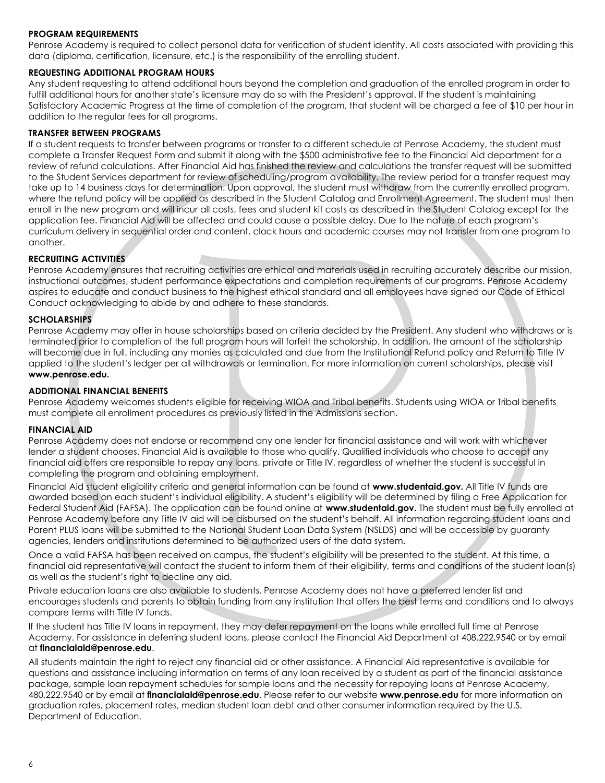#### <span id="page-11-0"></span>**PROGRAM REQUIREMENTS**

Penrose Academy is required to collect personal data for verification of student identity. All costs associated with providing this data (diploma, certification, licensure, etc.) is the responsibility of the enrolling student.

#### <span id="page-11-1"></span>**REQUESTING ADDITIONAL PROGRAM HOURS**

Any student requesting to attend additional hours beyond the completion and graduation of the enrolled program in order to fulfill additional hours for another state's licensure may do so with the President's approval. If the student is maintaining Satisfactory Academic Progress at the time of completion of the program, that student will be charged a fee of \$10 per hour in addition to the regular fees for all programs.

#### <span id="page-11-2"></span>**TRANSFER BETWEEN PROGRAMS**

If a student requests to transfer between programs or transfer to a different schedule at Penrose Academy, the student must complete a Transfer Request Form and submit it along with the \$500 administrative fee to the Financial Aid department for a review of refund calculations. After Financial Aid has finished the review and calculations the transfer request will be submitted to the Student Services department for review of scheduling/program availability. The review period for a transfer request may take up to 14 business days for determination. Upon approval, the student must withdraw from the currently enrolled program, where the refund policy will be applied as described in the Student Catalog and Enrollment Agreement. The student must then enroll in the new program and will incur all costs, fees and student kit costs as described in the Student Catalog except for the application fee. Financial Aid will be affected and could cause a possible delay. Due to the nature of each program's curriculum delivery in sequential order and content, clock hours and academic courses may not transfer from one program to another.

#### <span id="page-11-3"></span>**RECRUITING ACTIVITIES**

Penrose Academy ensures that recruiting activities are ethical and materials used in recruiting accurately describe our mission, instructional outcomes, student performance expectations and completion requirements of our programs. Penrose Academy aspires to educate and conduct business to the highest ethical standard and all employees have signed our Code of Ethical Conduct acknowledging to abide by and adhere to these standards.

#### <span id="page-11-4"></span>**SCHOLARSHIPS**

Penrose Academy may offer in house scholarships based on criteria decided by the President. Any student who withdraws or is terminated prior to completion of the full program hours will forfeit the scholarship. In addition, the amount of the scholarship will become due in full, including any monies as calculated and due from the Institutional Refund policy and Return to Title IV applied to the student's ledger per all withdrawals or termination. For more information on current scholarships, please visit **[www.penrose.edu.](http://www.penrose.edu/)**

#### <span id="page-11-5"></span>**ADDITIONAL FINANCIAL BENEFITS**

Penrose Academy welcomes students eligible for receiving WIOA and Tribal benefits. Students using WIOA or Tribal benefits must complete all enrollment procedures as previously listed in the Admissions section.

#### <span id="page-11-6"></span>**FINANCIAL AID**

Penrose Academy does not endorse or recommend any one lender for financial assistance and will work with whichever lender a student chooses. Financial Aid is available to those who qualify. Qualified individuals who choose to accept any financial aid offers are responsible to repay any loans, private or Title IV, regardless of whether the student is successful in completing the program and obtaining employment.

Financial Aid student eligibility criteria and general information can be found at **[www.studentaid.gov.](http://www.studentaid.gov/)** All Title IV funds are awarded based on each student's individual eligibility. A student's eligibility will be determined by filing a Free Application for Federal Student Aid (FAFSA). The application can be found online at **[www.studentaid.gov.](http://www.studentaid.gov/)** The student must be fully enrolled at Penrose Academy before any Title IV aid will be disbursed on the student's behalf. All information regarding student loans and Parent PLUS loans will be submitted to the National Student Loan Data System (NSLDS) and will be accessible by guaranty agencies, lenders and institutions determined to be authorized users of the data system.

Once a valid FAFSA has been received on campus, the student's eligibility will be presented to the student. At this time, a financial aid representative will contact the student to inform them of their eligibility, terms and conditions of the student loan(s) as well as the student's right to decline any aid.

Private education loans are also available to students. Penrose Academy does not have a preferred lender list and encourages students and parents to obtain funding from any institution that offers the best terms and conditions and to always compare terms with Title IV funds.

If the student has Title IV loans in repayment, they may defer repayment on the loans while enrolled full time at Penrose Academy. For assistance in deferring student loans, please contact the Financial Aid Department at 408.222.9540 or by email at **[financialaid@penrose.edu](mailto:financialaid@penrose.edu)**.

All students maintain the right to reject any financial aid or other assistance. A Financial Aid representative is available for questions and assistance including information on terms of any loan received by a student as part of the financial assistance package, sample loan repayment schedules for sample loans and the necessity for repaying loans at Penrose Academy, 480.222.9540 or by email at **[financialaid@penrose.edu](mailto:financialaid@penrose.edu)**. Please refer to our website **[www.penrose.edu](http://www.penrose.edu/)** [fo](http://www.penroseacademy.edu/)r more information on graduation rates, placement rates, median student loan debt and other consumer information required by the U.S. Department of Education.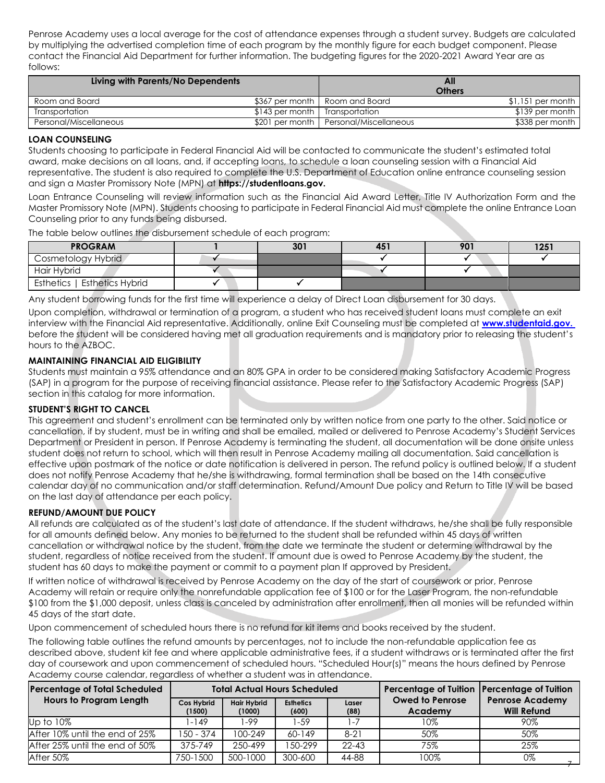Penrose Academy uses a local average for the cost of attendance expenses through a student survey. Budgets are calculated by multiplying the advertised completion time of each program by the monthly figure for each budget component. Please contact the Financial Aid Department for further information. The budgeting figures for the 2020-2021 Award Year are as follows:

| Living with Parents/No Dependents |                                  |                                        | All<br><b>Others</b> |
|-----------------------------------|----------------------------------|----------------------------------------|----------------------|
| Room and Board                    |                                  | \$367 per month   Room and Board       | \$1,151 per month    |
| Transportation                    | \$143 per month   Transportation |                                        | \$139 per month      |
| Personal/Miscellaneous            |                                  | \$201 per month Personal/Miscellaneous | \$338 per month      |

#### <span id="page-12-0"></span>**LOAN COUNSELING**

Students choosing to participate in Federal Financial Aid will be contacted to communicate the student's estimated total award, make decisions on all loans, and, if accepting loans, to schedule a loan counseling session with a Financial Aid representative. The student is also required to complete the U.S. Department of Education online entrance counseling session and sign a Master Promissory Note (MPN) at **[https://studentloans.gov.](https://studentloans.gov/)**

Loan Entrance Counseling will review information such as the Financial Aid Award Letter, Title IV Authorization Form and the Master Promissory Note (MPN). Students choosing to participate in Federal Financial Aid must complete the online Entrance Loan Counseling prior to any funds being disbursed.

The table below outlines the disbursement schedule of each program:

| <b>PROGRAM</b>                      | 301 | 451 | 901 | 1251 |
|-------------------------------------|-----|-----|-----|------|
| Cosmetology Hybrid                  |     |     |     |      |
| Hair Hybrid                         |     |     |     |      |
| <b>Esthetics   Esthetics Hybrid</b> |     |     |     |      |

Any student borrowing funds for the first time will experience a delay of Direct Loan disbursement for 30 days.

Upon completion, withdrawal or termination of a program, a student who has received student loans must complete an exit interview with the Financial Aid representative. Additionally, online Exit Counseling must be completed at **www.studentaid.gov.**  before the student will be considered having met all graduation requirements and is mandatory prior to releasing the student's hours to the AZBOC.

#### <span id="page-12-1"></span>**MAINTAINING FINANCIAL AID ELIGIBILITY**

Students must maintain a 95% attendance and an 80% GPA in order to be considered making Satisfactory Academic Progress (SAP) in a program for the purpose of receiving financial assistance. Please refer to the Satisfactory Academic Progress (SAP) section in this catalog for more information.

#### <span id="page-12-2"></span>**STUDENT'S RIGHT TO CANCEL**

This agreement and student's enrollment can be terminated only by written notice from one party to the other. Said notice or cancellation, if by student, must be in writing and shall be emailed, mailed or delivered to Penrose Academy's Student Services Department or President in person. If Penrose Academy is terminating the student, all documentation will be done onsite unless student does not return to school, which will then result in Penrose Academy mailing all documentation. Said cancellation is effective upon postmark of the notice or date notification is delivered in person. The refund policy is outlined below. If a student does not notify Penrose Academy that he/she is withdrawing, formal termination shall be based on the 14th consecutive calendar day of no communication and/or staff determination. Refund/Amount Due policy and Return to Title IV will be based on the last day of attendance per each policy.

#### <span id="page-12-3"></span>**REFUND/AMOUNT DUE POLICY**

All refunds are calculated as of the student's last date of attendance. If the student withdraws, he/she shall be fully responsible for all amounts defined below. Any monies to be returned to the student shall be refunded within 45 days of written cancellation or withdrawal notice by the student, from the date we terminate the student or determine withdrawal by the student, regardless of notice received from the student. If amount due is owed to Penrose Academy by the student, the student has 60 days to make the payment or commit to a payment plan If approved by President.

If written notice of withdrawal is received by Penrose Academy on the day of the start of coursework or prior, Penrose Academy will retain or require only the nonrefundable application fee of \$100 or for the Laser Program, the non-refundable \$100 from the \$1,000 deposit, unless class is canceled by administration after enrollment, then all monies will be refunded within 45 days of the start date.

Upon commencement of scheduled hours there is no refund for kit items and books received by the student.

The following table outlines the refund amounts by percentages, not to include the non-refundable application fee as described above, student kit fee and where applicable administrative fees, if a student withdraws or is terminated after the first day of coursework and upon commencement of scheduled hours. "Scheduled Hour(s)" means the hours defined by Penrose Academy course calendar, regardless of whether a student was in attendance.

| <b>Percentage of Total Scheduled</b> |                      | <b>Total Actual Hours Scheduled</b> |                           |               | Percentage of Tuition   Percentage of Tuition |                                              |
|--------------------------------------|----------------------|-------------------------------------|---------------------------|---------------|-----------------------------------------------|----------------------------------------------|
| <b>Hours to Program Length</b>       | Cos Hybrid<br>(1500) | <b>Hair Hybrid</b><br>(1000)        | <b>Esthetics</b><br>(600) | Laser<br>(88) | <b>Owed to Penrose</b><br>Academy             | <b>Penrose Academy</b><br><b>Will Refund</b> |
| Up to 10%                            | 1-149                | 1-99                                | 59ء،                      | 1-7           | $10\%$                                        | 90%                                          |
| After 10% until the end of 25%       | 150 - 374            | 100-249                             | $60 - 149$                | $8-21$        | 50%                                           | 50%                                          |
| After 25% until the end of 50%       | 375-749              | 250-499                             | 1.50-299                  | $22 - 43$     | 75%                                           | 25%                                          |
| After 50%                            | 750-1500             | 500-1000                            | 300-600                   | 44-88         | 100%                                          | 0%                                           |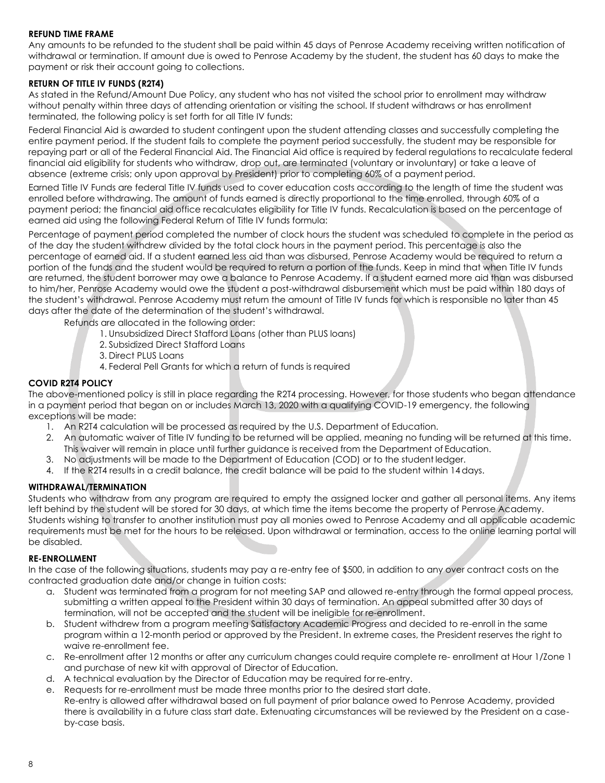#### <span id="page-13-0"></span>**REFUND TIME FRAME**

Any amounts to be refunded to the student shall be paid within 45 days of Penrose Academy receiving written notification of withdrawal or termination. If amount due is owed to Penrose Academy by the student, the student has 60 days to make the payment or risk their account going to collections.

#### <span id="page-13-1"></span>**RETURN OF TITLE IV FUNDS (R2T4)**

As stated in the Refund/Amount Due Policy, any student who has not visited the school prior to enrollment may withdraw without penalty within three days of attending orientation or visiting the school. If student withdraws or has enrollment terminated, the following policy is set forth for all Title IV funds:

Federal Financial Aid is awarded to student contingent upon the student attending classes and successfully completing the entire payment period. If the student fails to complete the payment period successfully, the student may be responsible for repaying part or all of the Federal Financial Aid. The Financial Aid office is required by federal regulations to recalculate federal financial aid eligibility for students who withdraw, drop out, are terminated (voluntary or involuntary) or take a leave of absence (extreme crisis; only upon approval by President) prior to completing 60% of a payment period.

Earned Title IV Funds are federal Title IV funds used to cover education costs according to the length of time the student was enrolled before withdrawing. The amount of funds earned is directly proportional to the time enrolled, through 60% of a payment period; the financial aid office recalculates eligibility for Title IV funds. Recalculation is based on the percentage of earned aid using the following Federal Return of Title IV funds formula:

Percentage of payment period completed the number of clock hours the student was scheduled to complete in the period as of the day the student withdrew divided by the total clock hours in the payment period. This percentage is also the percentage of earned aid. If a student earned less aid than was disbursed, Penrose Academy would be required to return a portion of the funds and the student would be required to return a portion of the funds. Keep in mind that when Title IV funds are returned, the student borrower may owe a balance to Penrose Academy. If a student earned more aid than was disbursed to him/her, Penrose Academy would owe the student a post-withdrawal disbursement which must be paid within 180 days of the student's withdrawal. Penrose Academy must return the amount of Title IV funds for which is responsible no later than 45 days after the date of the determination of the student's withdrawal.

Refunds are allocated in the following order:

- 1. Unsubsidized Direct Stafford Loans (other than PLUS loans)
- 2. Subsidized Direct Stafford Loans
- 3. Direct PLUS Loans
- 4. Federal Pell Grants for which a return of funds is required

#### <span id="page-13-2"></span>**COVID R2T4 POLICY**

The above-mentioned policy is still in place regarding the R2T4 processing. However, for those students who began attendance in a payment period that began on or includes March 13, 2020 with a qualifying COVID-19 emergency, the following exceptions will be made:

- 1. An R2T4 calculation will be processed as required by the U.S. Department of Education.
- 2. An automatic waiver of Title IV funding to be returned will be applied, meaning no funding will be returned at this time. This waiver will remain in place until further guidance is received from the Department of Education.
- 3. No adjustments will be made to the Department of Education (COD) or to the student ledger.
- 4. If the R2T4 results in a credit balance, the credit balance will be paid to the student within 14days.

#### <span id="page-13-3"></span>**WITHDRAWAL/TERMINATION**

Students who withdraw from any program are required to empty the assigned locker and gather all personal items. Any items left behind by the student will be stored for 30 days, at which time the items become the property of Penrose Academy. Students wishing to transfer to another institution must pay all monies owed to Penrose Academy and all applicable academic requirements must be met for the hours to be released. Upon withdrawal or termination, access to the online learning portal will be disabled.

#### <span id="page-13-4"></span>**RE-ENROLLMENT**

In the case of the following situations, students may pay a re-entry fee of \$500, in addition to any over contract costs on the contracted graduation date and/or change in tuition costs:

- a. Student was terminated from a program for not meeting SAP and allowed re-entry through the formal appeal process, submitting a written appeal to the President within 30 days of termination. An appeal submitted after 30 days of termination, will not be accepted and the student will be ineligible for re-enrollment.
- b. Student withdrew from a program meeting Satisfactory Academic Progress and decided to re-enroll in the same program within a 12-month period or approved by the President. In extreme cases, the President reserves the right to waive re-enrollment fee.
- c. Re-enrollment after 12 months or after any curriculum changes could require complete re- enrollment at Hour 1/Zone 1 and purchase of new kit with approval of Director of Education.
- d. A technical evaluation by the Director of Education may be required for re-entry.
- e. Requests for re-enrollment must be made three months prior to the desired start date. Re-entry is allowed after withdrawal based on full payment of prior balance owed to Penrose Academy, provided there is availability in a future class start date. Extenuating circumstances will be reviewed by the President on a caseby-case basis.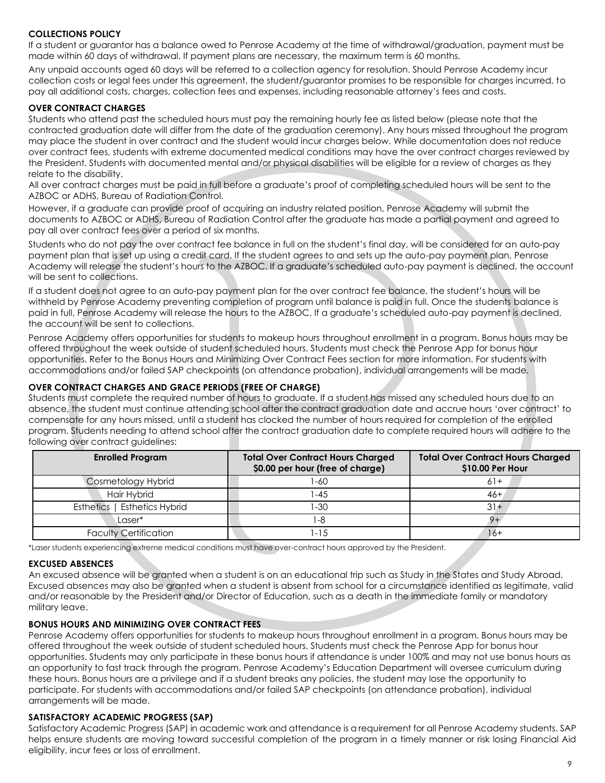#### <span id="page-14-0"></span>**COLLECTIONS POLICY**

If a student or guarantor has a balance owed to Penrose Academy at the time of withdrawal/graduation, payment must be made within 60 days of withdrawal. If payment plans are necessary, the maximum term is 60 months.

Any unpaid accounts aged 60 days will be referred to a collection agency for resolution. Should Penrose Academy incur collection costs or legal fees under this agreement, the student/guarantor promises to be responsible for charges incurred, to pay all additional costs, charges, collection fees and expenses, including reasonable attorney's fees and costs.

#### <span id="page-14-1"></span>**OVER CONTRACT CHARGES**

Students who attend past the scheduled hours must pay the remaining hourly fee as listed below (please note that the contracted graduation date will differ from the date of the graduation ceremony). Any hours missed throughout the program may place the student in over contract and the student would incur charges below. While documentation does not reduce over contract fees, students with extreme documented medical conditions may have the over contract charges reviewed by the President. Students with documented mental and/or physical disabilities will be eligible for a review of charges as they relate to the disability.

All over contract charges must be paid in full before a graduate's proof of completing scheduled hours will be sent to the AZBOC or ADHS, Bureau of Radiation Control.

However, if a graduate can provide proof of acquiring an industry related position, Penrose Academy will submit the documents to AZBOC or ADHS, Bureau of Radiation Control after the graduate has made a partial payment and agreed to pay all over contract fees over a period of six months.

Students who do not pay the over contract fee balance in full on the student's final day, will be considered for an auto-pay payment plan that is set up using a credit card. If the student agrees to and sets up the auto-pay payment plan, Penrose Academy will release the student's hours to the AZBOC. If a graduate's scheduled auto-pay payment is declined, the account will be sent to collections.

If a student does not agree to an auto-pay payment plan for the over contract fee balance, the student's hours will be withheld by Penrose Academy preventing completion of program until balance is paid in full. Once the students balance is paid in full, Penrose Academy will release the hours to the AZBOC. If a graduate's scheduled auto-pay payment is declined, the account will be sent to collections.

Penrose Academy offers opportunities for students to makeup hours throughout enrollment in a program. Bonus hours may be offered throughout the week outside of student scheduled hours. Students must check the Penrose App for bonus hour opportunities. Refer to the Bonus Hours and Minimizing Over Contract Fees section for more information. For students with accommodations and/or failed SAP checkpoints (on attendance probation), individual arrangements will be made.

#### <span id="page-14-2"></span>**OVER CONTRACT CHARGES AND GRACE PERIODS (FREE OF CHARGE)**

Students must complete the required number of hours to graduate. If a student has missed any scheduled hours due to an absence, the student must continue attending school after the contract graduation date and accrue hours 'over contract' to compensate for any hours missed, until a student has clocked the number of hours required for completion of the enrolled program. Students needing to attend school after the contract graduation date to complete required hours will adhere to the following over contract guidelines:

| <b>Enrolled Program</b>              | <b>Total Over Contract Hours Charged</b><br>\$0.00 per hour (free of charge) | <b>Total Over Contract Hours Charged</b><br>\$10.00 Per Hour |
|--------------------------------------|------------------------------------------------------------------------------|--------------------------------------------------------------|
| <b>Cosmetology Hybrid</b>            | -60                                                                          | $61+$                                                        |
| Hair Hybrid                          | $-45$                                                                        | $46 +$                                                       |
| <b>Esthetics Hybrid</b><br>Esthetics | -30                                                                          | $31 +$                                                       |
| Laser*                               | , -8                                                                         |                                                              |
| <b>Faculty Certification</b>         | $-15$                                                                        | 16+                                                          |

\*Laser students experiencing extreme medical conditions must have over-contract hours approved by the President.

#### <span id="page-14-3"></span>**EXCUSED ABSENCES**

An excused absence will be granted when a student is on an educational trip such as Study in the States and Study Abroad. Excused absences may also be granted when a student is absent from school for a circumstance identified as legitimate, valid and/or reasonable by the President and/or Director of Education, such as a death in the immediate family or mandatory military leave.

#### <span id="page-14-4"></span>**BONUS HOURS AND MINIMIZING OVER CONTRACT FEES**

Penrose Academy offers opportunities for students to makeup hours throughout enrollment in a program. Bonus hours may be offered throughout the week outside of student scheduled hours. Students must check the Penrose App for bonus hour opportunities. Students may only participate in these bonus hours if attendance is under 100% and may not use bonus hours as an opportunity to fast track through the program. Penrose Academy's Education Department will oversee curriculum during these hours. Bonus hours are a privilege and if a student breaks any policies, the student may lose the opportunity to participate. For students with accommodations and/or failed SAP checkpoints (on attendance probation), individual arrangements will be made.

#### <span id="page-14-5"></span>**SATISFACTORY ACADEMIC PROGRESS (SAP)**

Satisfactory Academic Progress (SAP) in academic work and attendance is a requirement for all Penrose Academy students. SAP helps ensure students are moving toward successful completion of the program in a timely manner or risk losing Financial Aid eligibility, incur fees or loss of enrollment.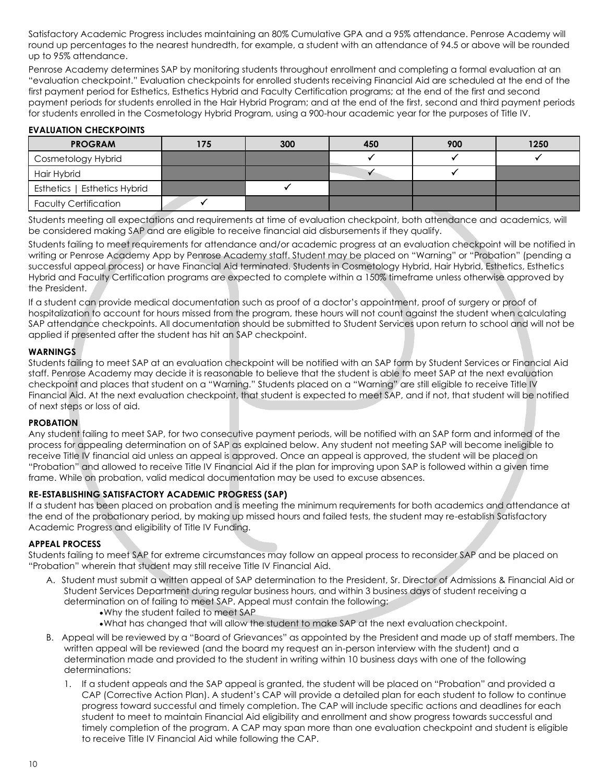Satisfactory Academic Progress includes maintaining an 80% Cumulative GPA and a 95% attendance. Penrose Academy will round up percentages to the nearest hundredth, for example, a student with an attendance of 94.5 or above will be rounded up to 95% attendance.

Penrose Academy determines SAP by monitoring students throughout enrollment and completing a formal evaluation at an "evaluation checkpoint." Evaluation checkpoints for enrolled students receiving Financial Aid are scheduled at the end of the first payment period for Esthetics, Esthetics Hybrid and Faculty Certification programs; at the end of the first and second payment periods for students enrolled in the Hair Hybrid Program; and at the end of the first, second and third payment periods for students enrolled in the Cosmetology Hybrid Program, using a 900-hour academic year for the purposes of Title IV.

#### <span id="page-15-0"></span>**EVALUATION CHECKPOINTS**

| <b>PROGRAM</b>               | 175 | 300 | 450 | 900 | 1250 |
|------------------------------|-----|-----|-----|-----|------|
| Cosmetology Hybrid           |     |     |     |     |      |
| Hair Hybrid                  |     |     |     |     |      |
| Esthetics   Esthetics Hybrid |     |     |     |     |      |
| <b>Faculty Certification</b> |     |     |     |     |      |

Students meeting all expectations and requirements at time of evaluation checkpoint, both attendance and academics, will be considered making SAP and are eligible to receive financial aid disbursements if they qualify.

Students failing to meet requirements for attendance and/or academic progress at an evaluation checkpoint will be notified in writing or Penrose Academy App by Penrose Academy staff. Student may be placed on "Warning" or "Probation" (pending a successful appeal process) or have Financial Aid terminated. Students in Cosmetology Hybrid, Hair Hybrid, Esthetics, Esthetics Hybrid and Faculty Certification programs are expected to complete within a 150% timeframe unless otherwise approved by the President.

If a student can provide medical documentation such as proof of a doctor's appointment, proof of surgery or proof of hospitalization to account for hours missed from the program, these hours will not count against the student when calculating SAP attendance checkpoints. All documentation should be submitted to Student Services upon return to school and will not be applied if presented after the student has hit an SAP checkpoint.

#### <span id="page-15-1"></span>**WARNINGS**

Students failing to meet SAP at an evaluation checkpoint will be notified with an SAP form by Student Services or Financial Aid staff. Penrose Academy may decide it is reasonable to believe that the student is able to meet SAP at the next evaluation checkpoint and places that student on a "Warning." Students placed on a "Warning" are still eligible to receive Title IV Financial Aid. At the next evaluation checkpoint, that student is expected to meet SAP, and if not, that student will be notified of next steps or loss of aid.

#### <span id="page-15-2"></span>**PROBATION**

Any student failing to meet SAP, for two consecutive payment periods, will be notified with an SAP form and informed of the process for appealing determination on of SAP as explained below. Any student not meeting SAP will become ineligible to receive Title IV financial aid unless an appeal is approved. Once an appeal is approved, the student will be placed on "Probation" and allowed to receive Title IV Financial Aid if the plan for improving upon SAP is followed within a given time frame. While on probation, valid medical documentation may be used to excuse absences.

#### <span id="page-15-3"></span>**RE-ESTABLISHING SATISFACTORY ACADEMIC PROGRESS (SAP)**

If a student has been placed on probation and is meeting the minimum requirements for both academics and attendance at the end of the probationary period, by making up missed hours and failed tests, the student may re-establish Satisfactory Academic Progress and eligibility of Title IV Funding.

#### <span id="page-15-4"></span>**APPEAL PROCESS**

Students failing to meet SAP for extreme circumstances may follow an appeal process to reconsider SAP and be placed on "Probation" wherein that student may still receive Title IV Financial Aid.

- A. Student must submit a written appeal of SAP determination to the President, Sr. Director of Admissions & Financial Aid or Student Services Department during regular business hours, and within 3 business days of student receiving a determination on of failing to meet SAP. Appeal must contain the following:
	- •Why the student failed to meet SAP
	- •What has changed that will allow the student to make SAP at the next evaluation checkpoint.
- B. Appeal will be reviewed by a "Board of Grievances" as appointed by the President and made up of staff members. The written appeal will be reviewed (and the board my request an in-person interview with the student) and a determination made and provided to the student in writing within 10 business days with one of the following determinations:
	- 1. If a student appeals and the SAP appeal is granted, the student will be placed on "Probation" and provided a CAP (Corrective Action Plan). A student's CAP will provide a detailed plan for each student to follow to continue progress toward successful and timely completion. The CAP will include specific actions and deadlines for each student to meet to maintain Financial Aid eligibility and enrollment and show progress towards successful and timely completion of the program. A CAP may span more than one evaluation checkpoint and student is eligible to receive Title IV Financial Aid while following the CAP.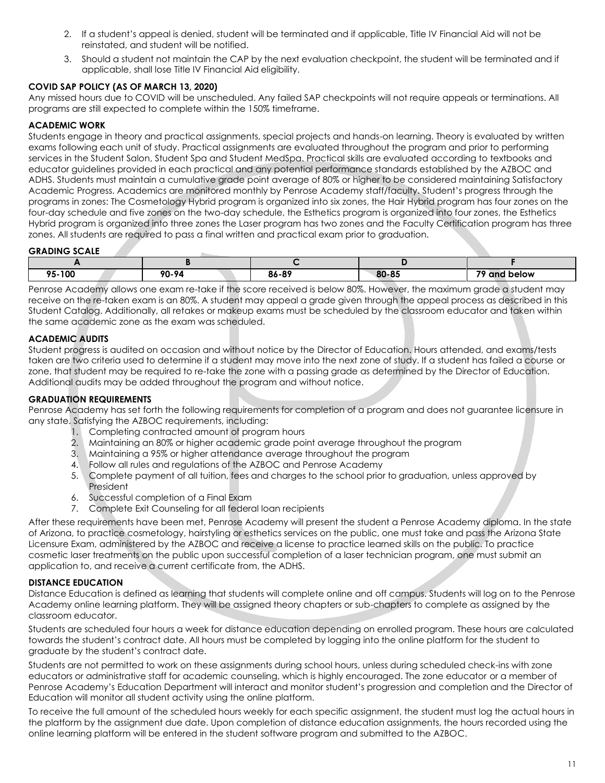- 2. If a student's appeal is denied, student will be terminated and if applicable, Title IV Financial Aid will not be reinstated, and student will be notified.
- 3. Should a student not maintain the CAP by the next evaluation checkpoint, the student will be terminated and if applicable, shall lose Title IV Financial Aid eligibility.

#### <span id="page-16-0"></span>**COVID SAP POLICY (AS OF MARCH 13, 2020)**

Any missed hours due to COVID will be unscheduled. Any failed SAP checkpoints will not require appeals or terminations. All programs are still expected to complete within the 150% timeframe.

#### <span id="page-16-1"></span>**ACADEMIC WORK**

Students engage in theory and practical assignments, special projects and hands-on learning. Theory is evaluated by written exams following each unit of study. Practical assignments are evaluated throughout the program and prior to performing services in the Student Salon, Student Spa and Student MedSpa. Practical skills are evaluated according to textbooks and educator guidelines provided in each practical and any potential performance standards established by the AZBOC and ADHS. Students must maintain a cumulative grade point average of 80% or higher to be considered maintaining Satisfactory Academic Progress. Academics are monitored monthly by Penrose Academy staff/faculty. Student's progress through the programs in zones: The Cosmetology Hybrid program is organized into six zones, the Hair Hybrid program has four zones on the four-day schedule and five zones on the two-day schedule, the Esthetics program is organized into four zones, the Esthetics Hybrid program is organized into three zones the Laser program has two zones and the Faculty Certification program has three zones. All students are required to pass a final written and practical exam prior to graduation.

#### <span id="page-16-2"></span>**GRADING SCALE**

| . .    |       |       |       |                        |
|--------|-------|-------|-------|------------------------|
| 95-100 | 90-94 | 86-89 | 80-85 | 70<br>.<br>and below / |

Penrose Academy allows one exam re-take if the score received is below 80%. However, the maximum grade a student may receive on the re-taken exam is an 80%. A student may appeal a grade given through the appeal process as described in this Student Catalog. Additionally, all retakes or makeup exams must be scheduled by the classroom educator and taken within the same academic zone as the exam was scheduled.

#### <span id="page-16-3"></span>**ACADEMIC AUDITS**

Student progress is audited on occasion and without notice by the Director of Education. Hours attended, and exams/tests taken are two criteria used to determine if a student may move into the next zone of study. If a student has failed a course or zone, that student may be required to re-take the zone with a passing grade as determined by the Director of Education. Additional audits may be added throughout the program and without notice.

#### <span id="page-16-4"></span>**GRADUATION REQUIREMENTS**

Penrose Academy has set forth the following requirements for completion of a program and does not guarantee licensure in any state. Satisfying the AZBOC requirements, including:

- 1. Completing contracted amount of program hours
- 2. Maintaining an 80% or higher academic grade point average throughout the program
- 3. Maintaining a 95% or higher attendance average throughout the program
- 4. Follow all rules and regulations of the AZBOC and Penrose Academy
- 5. Complete payment of all tuition, fees and charges to the school prior to graduation, unless approved by President
- 6. Successful completion of a Final Exam
- 7. Complete Exit Counseling for all federal loan recipients

After these requirements have been met, Penrose Academy will present the student a Penrose Academy diploma. In the state of Arizona, to practice cosmetology, hairstyling or esthetics services on the public, one must take and pass the Arizona State Licensure Exam, administered by the AZBOC and receive a license to practice learned skills on the public. To practice cosmetic laser treatments on the public upon successful completion of a laser technician program, one must submit an application to, and receive a current certificate from, the ADHS.

#### <span id="page-16-5"></span>**DISTANCE EDUCATION**

Distance Education is defined as learning that students will complete online and off campus. Students will log on to the Penrose Academy online learning platform. They will be assigned theory chapters or sub-chapters to complete as assigned by the classroom educator.

Students are scheduled four hours a week for distance education depending on enrolled program. These hours are calculated towards the student's contract date. All hours must be completed by logging into the online platform for the student to graduate by the student's contract date.

Students are not permitted to work on these assignments during school hours, unless during scheduled check-ins with zone educators or administrative staff for academic counseling, which is highly encouraged. The zone educator or a member of Penrose Academy's Education Department will interact and monitor student's progression and completion and the Director of Education will monitor all student activity using the online platform.

To receive the full amount of the scheduled hours weekly for each specific assignment, the student must log the actual hours in the platform by the assignment due date. Upon completion of distance education assignments, the hours recorded using the online learning platform will be entered in the student software program and submitted to the AZBOC.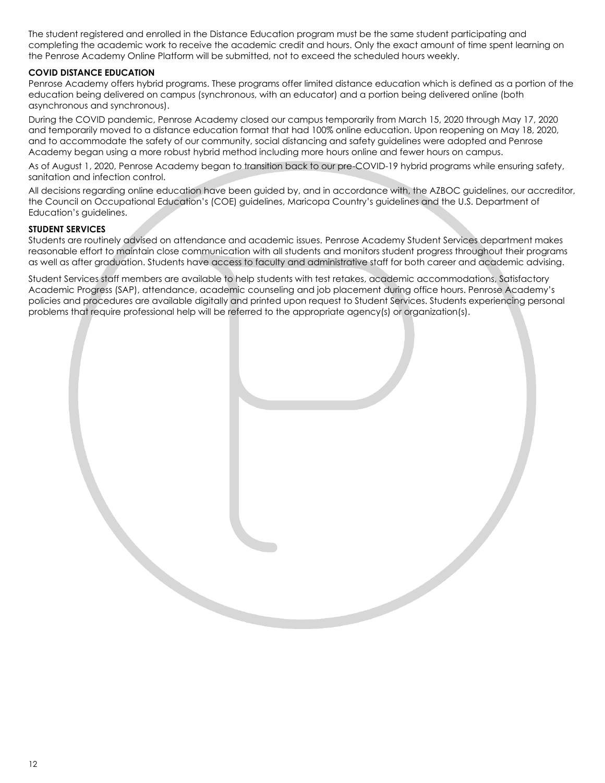The student registered and enrolled in the Distance Education program must be the same student participating and completing the academic work to receive the academic credit and hours. Only the exact amount of time spent learning on the Penrose Academy Online Platform will be submitted, not to exceed the scheduled hours weekly.

#### **COVID DISTANCE EDUCATION**

Penrose Academy offers hybrid programs. These programs offer limited distance education which is defined as a portion of the education being delivered on campus (synchronous, with an educator) and a portion being delivered online (both asynchronous and synchronous).

During the COVID pandemic, Penrose Academy closed our campus temporarily from March 15, 2020 through May 17, 2020 and temporarily moved to a distance education format that had 100% online education. Upon reopening on May 18, 2020, and to accommodate the safety of our community, social distancing and safety guidelines were adopted and Penrose Academy began using a more robust hybrid method including more hours online and fewer hours on campus.

As of August 1, 2020, Penrose Academy began to transition back to our pre-COVID-19 hybrid programs while ensuring safety, sanitation and infection control.

All decisions regarding online education have been guided by, and in accordance with, the AZBOC guidelines, our accreditor, the Council on Occupational Education's (COE) guidelines, Maricopa Country's guidelines and the U.S. Department of Education's guidelines.

#### **STUDENT SERVICES**

Students are routinely advised on attendance and academic issues. Penrose Academy Student Services department makes reasonable effort to maintain close communication with all students and monitors student progress throughout their programs as well as after graduation. Students have access to faculty and administrative staff for both career and academic advising.

Student Services staff members are available to help students with test retakes, academic accommodations, Satisfactory Academic Progress (SAP), attendance, academic counseling and job placement during office hours. Penrose Academy's policies and procedures are available digitally and printed upon request to Student Services. Students experiencing personal problems that require professional help will be referred to the appropriate agency(s) or organization(s).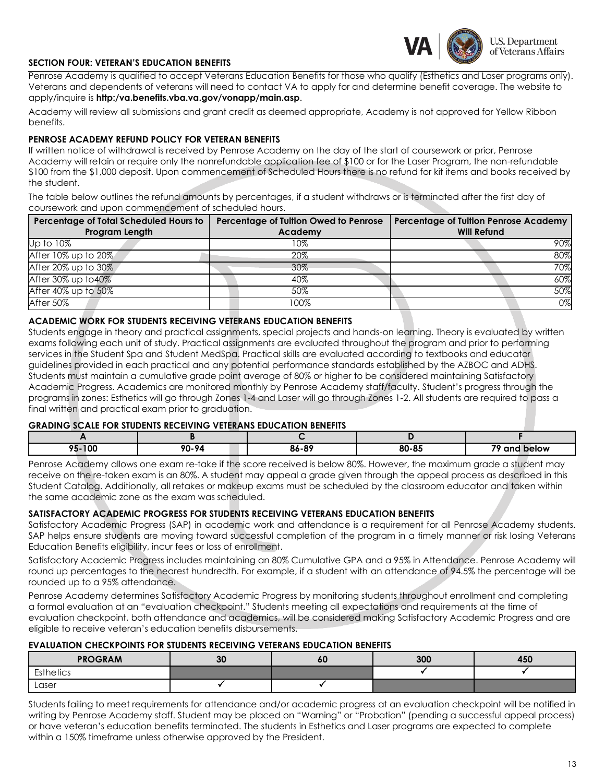

#### **SECTION FOUR: VETERAN'S EDUCATION BENEFITS**

Penrose Academy is qualified to accept Veterans Education Benefits for those who qualify (Esthetics and Laser programs only). Veterans and dependents of veterans will need to contact VA to apply for and determine benefit coverage. The website to apply/inquire is **http:/va.benefits.vba.va.gov/vonapp/main.asp**.

Academy will review all submissions and grant credit as deemed appropriate, Academy is not approved for Yellow Ribbon benefits.

#### <span id="page-18-0"></span>**PENROSE ACADEMY REFUND POLICY FOR VETERAN BENEFITS**

If written notice of withdrawal is received by Penrose Academy on the day of the start of coursework or prior, Penrose Academy will retain or require only the nonrefundable application fee of \$100 or for the Laser Program, the non-refundable \$100 from the \$1,000 deposit. Upon commencement of Scheduled Hours there is no refund for kit items and books received by the student.

The table below outlines the refund amounts by percentages, if a student withdraws or is terminated after the first day of coursework and upon commencement of scheduled hours.

| <b>Percentage of Total Scheduled Hours to</b><br>Program Length | Percentage of Tuition Owed to Penrose<br>Academy | <b>Percentage of Tuition Penrose Academy</b><br><b>Will Refund</b> |
|-----------------------------------------------------------------|--------------------------------------------------|--------------------------------------------------------------------|
| Up to 10%                                                       | 10%                                              | 90%                                                                |
| After 10% up to 20%                                             | 20%                                              | 80%                                                                |
| After 20% up to 30%                                             | 30%                                              | 70%                                                                |
| After 30% up to 40%                                             | 40%                                              | 60%                                                                |
| After 40% up to 50%                                             | 50%                                              | 50%                                                                |
| After 50%                                                       | 100%                                             | $0\%$                                                              |

#### <span id="page-18-1"></span>**ACADEMIC WORK FOR STUDENTS RECEIVING VETERANS EDUCATION BENEFITS**

Students engage in theory and practical assignments, special projects and hands-on learning. Theory is evaluated by written exams following each unit of study. Practical assignments are evaluated throughout the program and prior to performing services in the Student Spa and Student MedSpa. Practical skills are evaluated according to textbooks and educator guidelines provided in each practical and any potential performance standards established by the AZBOC and ADHS. Students must maintain a cumulative grade point average of 80% or higher to be considered maintaining Satisfactory Academic Progress. Academics are monitored monthly by Penrose Academy staff/faculty. Student's progress through the programs in zones: Esthetics will go through Zones 1-4 and Laser will go through Zones 1-2. All students are required to pass a final written and practical exam prior to graduation.

#### <span id="page-18-2"></span>**GRADING SCALE FOR STUDENTS RECEIVING VETERANS EDUCATION BENEFITS**

| - -                      |       |                      |                     |                   |
|--------------------------|-------|----------------------|---------------------|-------------------|
| י הו<br>0F<br>יכי<br>uv. | 90-94 | .c<br>ימכ<br>- - - - | on or<br>ou o:<br>. | 76<br>αn<br>below |

Penrose Academy allows one exam re-take if the score received is below 80%. However, the maximum grade a student may receive on the re-taken exam is an 80%. A student may appeal a grade given through the appeal process as described in this Student Catalog. Additionally, all retakes or makeup exams must be scheduled by the classroom educator and taken within the same academic zone as the exam was scheduled.

#### <span id="page-18-3"></span>**SATISFACTORY ACADEMIC PROGRESS FOR STUDENTS RECEIVING VETERANS EDUCATION BENEFITS**

Satisfactory Academic Progress (SAP) in academic work and attendance is a requirement for all Penrose Academy students. SAP helps ensure students are moving toward successful completion of the program in a timely manner or risk losing Veterans Education Benefits eligibility, incur fees or loss of enrollment.

Satisfactory Academic Progress includes maintaining an 80% Cumulative GPA and a 95% in Attendance. Penrose Academy will round up percentages to the nearest hundredth. For example, if a student with an attendance of 94.5% the percentage will be rounded up to a 95% attendance.

Penrose Academy determines Satisfactory Academic Progress by monitoring students throughout enrollment and completing a formal evaluation at an "evaluation checkpoint." Students meeting all expectations and requirements at the time of evaluation checkpoint, both attendance and academics, will be considered making Satisfactory Academic Progress and are eligible to receive veteran's education benefits disbursements.

#### <span id="page-18-4"></span>**EVALUATION CHECKPOINTS FOR STUDENTS RECEIVING VETERANS EDUCATION BENEFITS**

| <b>PROGRAM</b> | 30 | οu | 300 | 450 |
|----------------|----|----|-----|-----|
| Esthetics      |    |    |     |     |
| Laser          |    |    |     |     |

Students failing to meet requirements for attendance and/or academic progress at an evaluation checkpoint will be notified in writing by Penrose Academy staff. Student may be placed on "Warning" or "Probation" (pending a successful appeal process) or have veteran's education benefits terminated. The students in Esthetics and Laser programs are expected to complete within a 150% timeframe unless otherwise approved by the President.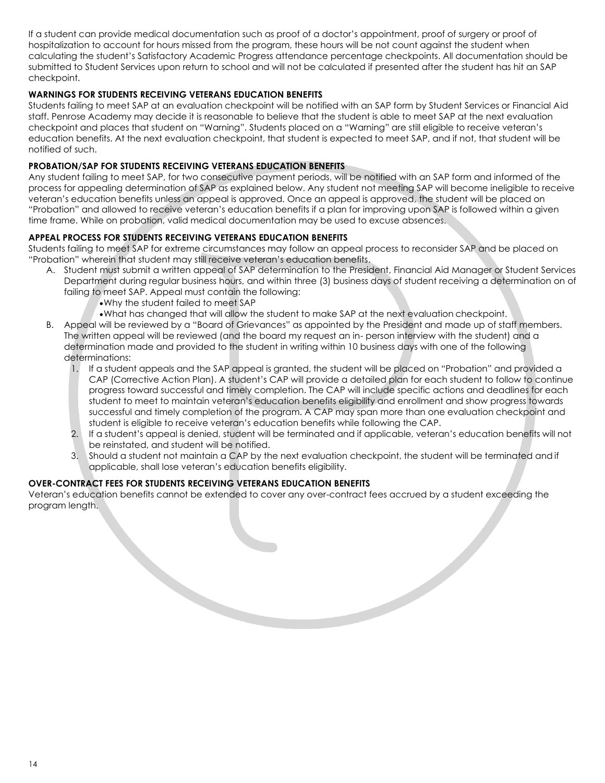If a student can provide medical documentation such as proof of a doctor's appointment, proof of surgery or proof of hospitalization to account for hours missed from the program, these hours will be not count against the student when calculating the student's Satisfactory Academic Progress attendance percentage checkpoints. All documentation should be submitted to Student Services upon return to school and will not be calculated if presented after the student has hit an SAP checkpoint.

#### <span id="page-19-0"></span>**WARNINGS FOR STUDENTS RECEIVING VETERANS EDUCATION BENEFITS**

Students failing to meet SAP at an evaluation checkpoint will be notified with an SAP form by Student Services or Financial Aid staff. Penrose Academy may decide it is reasonable to believe that the student is able to meet SAP at the next evaluation checkpoint and places that student on "Warning". Students placed on a "Warning" are still eligible to receive veteran's education benefits. At the next evaluation checkpoint, that student is expected to meet SAP, and if not, that student will be notified of such.

#### <span id="page-19-1"></span>**PROBATION/SAP FOR STUDENTS RECEIVING VETERANS EDUCATION BENEFITS**

Any student failing to meet SAP, for two consecutive payment periods, will be notified with an SAP form and informed of the process for appealing determination of SAP as explained below. Any student not meeting SAP will become ineligible to receive veteran's education benefits unless an appeal is approved. Once an appeal is approved, the student will be placed on "Probation" and allowed to receive veteran's education benefits if a plan for improving upon SAP is followed within a given time frame. While on probation, valid medical documentation may be used to excuse absences.

#### <span id="page-19-2"></span>**APPEAL PROCESS FOR STUDENTS RECEIVING VETERANS EDUCATION BENEFITS**

Students failing to meet SAP for extreme circumstances may follow an appeal process to reconsider SAP and be placed on "Probation" wherein that student may still receive veteran's education benefits.

- A. Student must submit a written appeal of SAP determination to the President, Financial Aid Manager or Student Services Department during regular business hours, and within three (3) business days of student receiving a determination on of failing to meet SAP. Appeal must contain the following:
	- •Why the student failed to meet SAP
	- •What has changed that will allow the student to make SAP at the next evaluation checkpoint.
- B. Appeal will be reviewed by a "Board of Grievances" as appointed by the President and made up of staff members. The written appeal will be reviewed (and the board my request an in- person interview with the student) and a determination made and provided to the student in writing within 10 business days with one of the following determinations:
	- 1. If a student appeals and the SAP appeal is granted, the student will be placed on "Probation" and provided a CAP (Corrective Action Plan). A student's CAP will provide a detailed plan for each student to follow to continue progress toward successful and timely completion. The CAP will include specific actions and deadlines for each student to meet to maintain veteran's education benefits eligibility and enrollment and show progress towards successful and timely completion of the program. A CAP may span more than one evaluation checkpoint and student is eligible to receive veteran's education benefits while following the CAP.
	- 2. If a student's appeal is denied, student will be terminated and if applicable, veteran's education benefits will not be reinstated, and student will be notified.

3. Should a student not maintain a CAP by the next evaluation checkpoint, the student will be terminated and if applicable, shall lose veteran's education benefits eligibility.

#### <span id="page-19-3"></span>**OVER-CONTRACT FEES FOR STUDENTS RECEIVING VETERANS EDUCATION BENEFITS**

Veteran's education benefits cannot be extended to cover any over-contract fees accrued by a student exceeding the program length.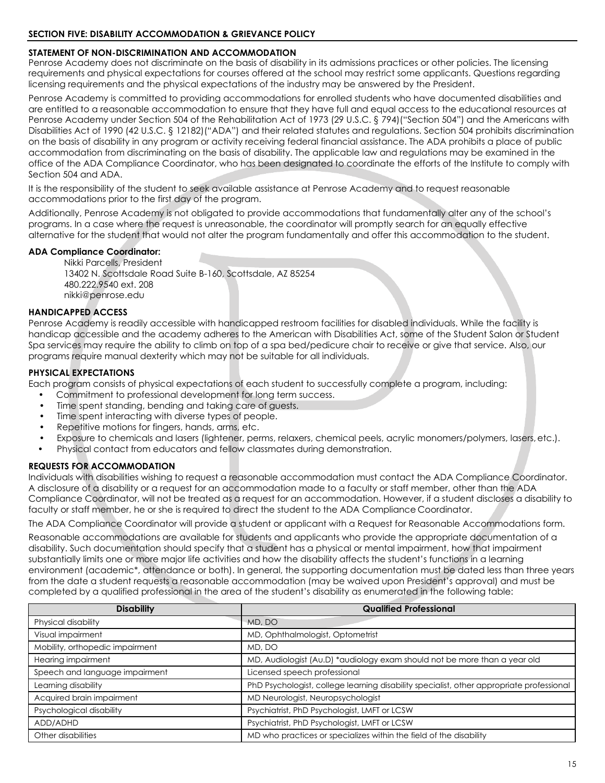#### <span id="page-20-1"></span><span id="page-20-0"></span>**STATEMENT OF NON-DISCRIMINATION AND ACCOMMODATION**

Penrose Academy does not discriminate on the basis of disability in its admissions practices or other policies. The licensing requirements and physical expectations for courses offered at the school may restrict some applicants. Questions regarding licensing requirements and the physical expectations of the industry may be answered by the President.

Penrose Academy is committed to providing accommodations for enrolled students who have documented disabilities and are entitled to a reasonable accommodation to ensure that they have full and equal access to the educational resources at Penrose Academy under Section 504 of the Rehabilitation Act of 1973 (29 U.S.C. § 794)("Section 504") and the Americans with Disabilities Act of 1990 (42 U.S.C. § 12182)("ADA") and their related statutes and regulations. Section 504 prohibits discrimination on the basis of disability in any program or activity receiving federal financial assistance. The ADA prohibits a place of public accommodation from discriminating on the basis of disability. The applicable law and regulations may be examined in the office of the ADA Compliance Coordinator, who has been designated to coordinate the efforts of the Institute to comply with Section 504 and ADA.

It is the responsibility of the student to seek available assistance at Penrose Academy and to request reasonable accommodations prior to the first day of the program.

Additionally, Penrose Academy is not obligated to provide accommodations that fundamentally alter any of the school's programs. In a case where the request is unreasonable, the coordinator will promptly search for an equally effective alternative for the student that would not alter the program fundamentally and offer this accommodation to the student.

#### <span id="page-20-2"></span>**ADA Compliance Coordinator:**

Nikki Parcells, President 13402 N. Scottsdale Road Suite B-160, Scottsdale, AZ 85254 480.222.9540 ext. 208 [nikki@penrose.edu](mailto:nikki@penrose.edu)

#### <span id="page-20-3"></span>**HANDICAPPED ACCESS**

Penrose Academy is readily accessible with handicapped restroom facilities for disabled individuals. While the facility is handicap accessible and the academy adheres to the American with Disabilities Act, some of the Student Salon or Student Spa services may require the ability to climb on top of a spa bed/pedicure chair to receive or give that service. Also, our programs require manual dexterity which may not be suitable for all individuals.

#### <span id="page-20-4"></span>**PHYSICAL EXPECTATIONS**

Each program consists of physical expectations of each student to successfully complete a program, including:

- Commitment to professional development for long term success.
- Time spent standing, bending and taking care of quests.
- Time spent interacting with diverse types of people.
- Repetitive motions for fingers, hands, arms, etc.
- Exposure to chemicals and lasers (lightener, perms, relaxers, chemical peels, acrylic monomers/polymers, lasers,etc.).
- Physical contact from educators and fellow classmates during demonstration.

#### <span id="page-20-5"></span>**REQUESTS FOR ACCOMMODATION**

Individuals with disabilities wishing to request a reasonable accommodation must contact the ADA Compliance Coordinator. A disclosure of a disability or a request for an accommodation made to a faculty or staff member, other than the ADA Compliance Coordinator, will not be treated as a request for an accommodation. However, if a student discloses a disability to faculty or staff member, he or she is required to direct the student to the ADA Compliance Coordinator.

The ADA Compliance Coordinator will provide a student or applicant with a Request for Reasonable Accommodations form.

Reasonable accommodations are available for students and applicants who provide the appropriate documentation of a disability. Such documentation should specify that a student has a physical or mental impairment, how that impairment substantially limits one or more major life activities and how the disability affects the student's functions in a learning environment (academic\*, attendance or both). In general, the supporting documentation must be dated less than three years from the date a student requests a reasonable accommodation (may be waived upon President's approval) and must be completed by a qualified professional in the area of the student's disability as enumerated in the following table:

| <b>Disability</b>               | <b>Qualified Professional</b>                                                            |
|---------------------------------|------------------------------------------------------------------------------------------|
| Physical disability             | MD, DO                                                                                   |
| Visual impairment               | MD, Ophthalmologist, Optometrist                                                         |
| Mobility, orthopedic impairment | MD, DO                                                                                   |
| <b>Hearing impairment</b>       | MD, Audiologist (Au.D) *audiology exam should not be more than a year old                |
| Speech and language impairment  | Licensed speech professional                                                             |
| Learning disability             | PhD Psychologist, college learning disability specialist, other appropriate professional |
| Acquired brain impairment       | MD Neurologist, Neuropsychologist                                                        |
| Psychological disability        | Psychiatrist, PhD Psychologist, LMFT or LCSW                                             |
| ADD/ADHD                        | Psychiatrist, PhD Psychologist, LMFT or LCSW                                             |
| Other disabilities              | MD who practices or specializes within the field of the disability                       |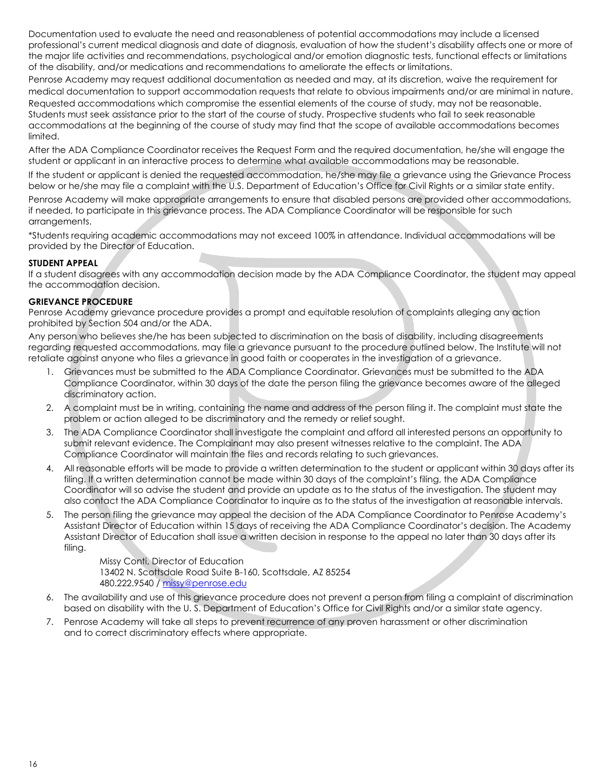Documentation used to evaluate the need and reasonableness of potential accommodations may include a licensed professional's current medical diagnosis and date of diagnosis, evaluation of how the student's disability affects one or more of the major life activities and recommendations, psychological and/or emotion diagnostic tests, functional effects or limitations of the disability, and/or medications and recommendations to ameliorate the effects or limitations.

Penrose Academy may request additional documentation as needed and may, at its discretion, waive the requirement for medical documentation to support accommodation requests that relate to obvious impairments and/or are minimal in nature. Requested accommodations which compromise the essential elements of the course of study, may not be reasonable. Students must seek assistance prior to the start of the course of study. Prospective students who fail to seek reasonable accommodations at the beginning of the course of study may find that the scope of available accommodations becomes limited.

After the ADA Compliance Coordinator receives the Request Form and the required documentation, he/she will engage the student or applicant in an interactive process to determine what available accommodations may be reasonable.

If the student or applicant is denied the requested accommodation, he/she may file a grievance using the Grievance Process below or he/she may file a complaint with the U.S. Department of Education's Office for Civil Rights or a similar state entity.

Penrose Academy will make appropriate arrangements to ensure that disabled persons are provided other accommodations, if needed, to participate in this grievance process. The ADA Compliance Coordinator will be responsible for such arrangements.

\*Students requiring academic accommodations may not exceed 100% in attendance. Individual accommodations will be provided by the Director of Education.

#### <span id="page-21-0"></span>**STUDENT APPEAL**

If a student disagrees with any accommodation decision made by the ADA Compliance Coordinator, the student may appeal the accommodation decision.

#### <span id="page-21-1"></span>**GRIEVANCE PROCEDURE**

Penrose Academy grievance procedure provides a prompt and equitable resolution of complaints alleging any action prohibited by Section 504 and/or the ADA.

Any person who believes she/he has been subjected to discrimination on the basis of disability, including disagreements regarding requested accommodations, may file a grievance pursuant to the procedure outlined below. The Institute will not retaliate against anyone who files a grievance in good faith or cooperates in the investigation of a grievance.

- 1. Grievances must be submitted to the ADA Compliance Coordinator. Grievances must be submitted to the ADA Compliance Coordinator, within 30 days of the date the person filing the grievance becomes aware of the alleged discriminatory action.
- 2. A complaint must be in writing, containing the name and address of the person filing it. The complaint must state the problem or action alleged to be discriminatory and the remedy or relief sought.
- 3. The ADA Compliance Coordinator shall investigate the complaint and afford all interested persons an opportunity to submit relevant evidence. The Complainant may also present witnesses relative to the complaint. The ADA Compliance Coordinator will maintain the files and records relating to such grievances.
- 4. All reasonable efforts will be made to provide a written determination to the student or applicant within 30 days after its filing. If a written determination cannot be made within 30 days of the complaint's filing, the ADA Compliance Coordinator will so advise the student and provide an update as to the status of the investigation. The student may also contact the ADA Compliance Coordinator to inquire as to the status of the investigation at reasonable intervals.
- 5. The person filing the grievance may appeal the decision of the ADA Compliance Coordinator to Penrose Academy's Assistant Director of Education within 15 days of receiving the ADA Compliance Coordinator's decision. The Academy Assistant Director of Education shall issue a written decision in response to the appeal no later than 30 days after its filing.

Missy Conti, Director of Education 13402 N. Scottsdale Road Suite B-160, Scottsdale, AZ 85254 480.222.9540 [/ missy@penrose.edu](mailto:missy@penrose.edu)

- 6. The availability and use of this grievance procedure does not prevent a person from filing a complaint of discrimination based on disability with the U. S. Department of Education's Office for Civil Rights and/or a similar state agency.
- 7. Penrose Academy will take all steps to prevent recurrence of any proven harassment or other discrimination and to correct discriminatory effects where appropriate.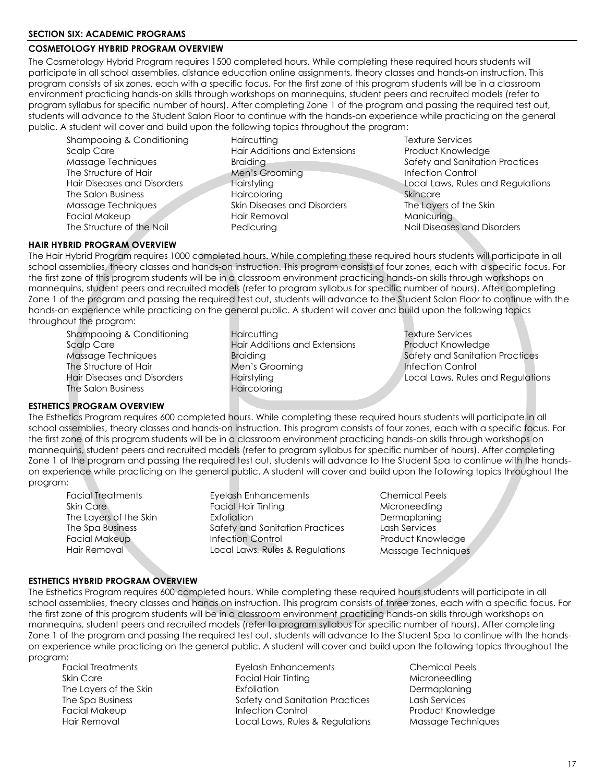## **COSMETOLOGY HYBRID PROGRAM OVERVIEW**

The Cosmetology Hybrid Program requires 1500 completed hours. While completing these required hours students will participate in all school assemblies, distance education online assignments, theory classes and hands-on instruction. This program consists of six zones, each with a specific focus. For the first zone of this program students will be in a classroom environment practicing hands-on skills through workshops on mannequins, student peers and recruited models (refer to program syllabus for specific number of hours). After completing Zone 1 of the program and passing the required test out, students will advance to the Student Salon Floor to continue with the hands-on experience while practicing on the general public. A student will cover and build upon the following topics throughout the program:

Shampooing & Conditioning The Haircutting Texture Services Scalp Care **Hair Additions and Extensions** Product Knowledge Massage Techniques Skin Diseases and Disorders The Layers of the Skin The Structure of the Nail **Pedicuring** Nail Diseases and Disorders Nail Diseases and Disorders

The Structure of Hair **Men's Grooming Infection Control** The Salon Business **The Salon Business** Haircoloring Skincare Facial Makeup **Hair Removal Manicuring** Manicuring

<span id="page-22-3"></span>Massage Techniques **Braiding Safety and Sanitation Practices** Safety and Sanitation Practices Hair Diseases and Disorders Hairstyling Local Laws, Rules and Regulations

#### <span id="page-22-0"></span>**HAIR HYBRID PROGRAM OVERVIEW**

The Hair Hybrid Program requires 1000 completed hours. While completing these required hours students will participate in all school assemblies, theory classes and hands-on instruction. This program consists of four zones, each with a specific focus. For the first zone of this program students will be in a classroom environment practicing hands-on skills through workshops on mannequins, student peers and recruited models (refer to program syllabus for specific number of hours). After completing Zone 1 of the program and passing the required test out, students will advance to the Student Salon Floor to continue with the hands-on experience while practicing on the general public. A student will cover and build upon the following topics throughout the program:

Shampooing & Conditioning Texture Services Haircutting Texture Services The Salon Business **Haircoloring** 

Scalp Care **Extensions** Hair Additions and Extensions **Product Knowledge** The Structure of Hair Men's Grooming The Structure of Hair Men's Grooming The Structure of Hairs Men's Grooming<br>Infection Control (Internation Medicine Actual Laws, Rules

Massage Techniques **Braiding Safety and Sanitation Practices** Hairstyling **Hair Disk Hairstyling Regulations** Local Laws, Rules and Regulations

#### <span id="page-22-1"></span>**ESTHETICS PROGRAM OVERVIEW**

The Esthetics Program requires 600 completed hours. While completing these required hours students will participate in all school assemblies, theory classes and hands-on instruction. This program consists of four zones, each with a specific focus. For the first zone of this program students will be in a classroom environment practicing hands-on skills through workshops on mannequins, student peers and recruited models (refer to program syllabus for specific number of hours). After completing Zone 1 of the program and passing the required test out, students will advance to the Student Spa to continue with the handson experience while practicing on the general public. A student will cover and build upon the following topics throughout the program:

Facial Treatments Eyelash Enhancements Chemical Peels Skin Care **Facial Hair Tinting** Microneedling Microneedling The Layers of the Skin **Exfoliation** Exfoliation **Dermaplaning** The Spa Business The Safety and Sanitation Practices Lash Services Facial Makeup **Infection Control Control Product Knowledge** Hair Removal **Local Laws, Rules & Regulations** Massage Techniques

#### <span id="page-22-2"></span>**ESTHETICS HYBRID PROGRAM OVERVIEW**

The Esthetics Program requires 600 completed hours. While completing these required hours students will participate in all school assemblies, theory classes and hands on instruction. This program consists of three zones, each with a specific focus. For the first zone of this program students will be in a classroom environment practicing hands-on skills through workshops on mannequins, student peers and recruited models (refer to program syllabus for specific number of hours). After completing Zone 1 of the program and passing the required test out, students will advance to the Student Spa to continue with the handson experience while practicing on the general public. A student will cover and build upon the following topics throughout the program:

Eyelash Enhancements **Exelash Enhancements** Chemical Peels Skin Care **Facial Hair Tinting Microneedling** Microneedling Microneedling Microneedling The Layers of the Skin **Exfoliation** Exfoliation **Dermaplaning** The Spa Business Safety and Sanitation Practices Lash Services Facial Makeup **Infection Control Control Product Knowledge** Hair Removal Local Laws, Rules & Regulations Massage Techniques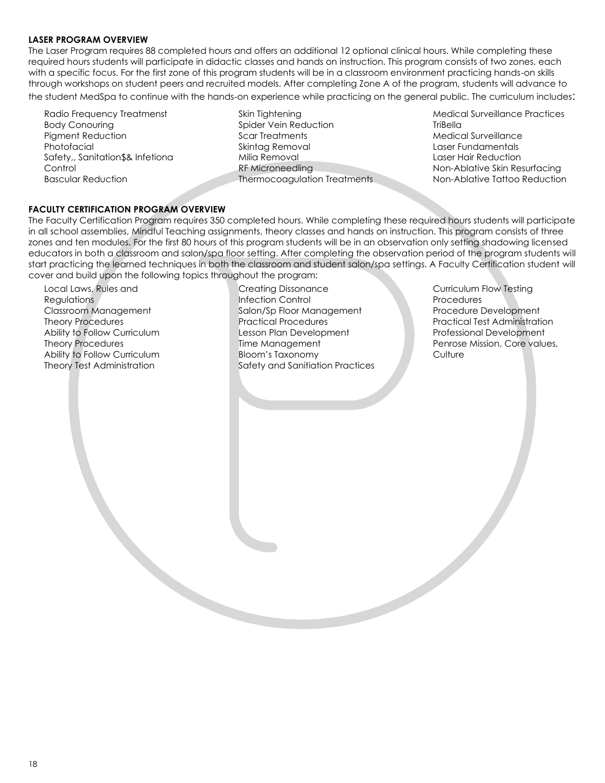#### <span id="page-23-0"></span>**LASER PROGRAM OVERVIEW**

The Laser Program requires 88 completed hours and offers an additional 12 optional clinical hours. While completing these required hours students will participate in didactic classes and hands on instruction. This program consists of two zones, each with a specific focus. For the first zone of this program students will be in a classroom environment practicing hands-on skills through workshops on student peers and recruited models. After completing Zone A of the program, students will advance to the student MedSpa to continue with the hands-on experience while practicing on the general public. The curriculum includes:

Radio Frequency Treatmenst Body Conouring Pigment Reduction Photofacial Safety,, Sanitation\$& Infetiona **Control** Bascular Reduction

Skin Tightening Spider Vein Reduction Scar Treatments Skintag Removal Milia Removal RF Microneedling Thermocoagulation Treatments Medical Surveillance Practices **TriBella** Medical Surveillance Laser Fundamentals Laser Hair Reduction Non-Ablative Skin Resurfacing Non-Ablative Tattoo Reduction

#### <span id="page-23-1"></span>**FACULTY CERTIFICATION PROGRAM OVERVIEW**

The Faculty Certification Program requires 350 completed hours. While completing these required hours students will participate in all school assemblies, Mindful Teaching assignments, theory classes and hands on instruction. This program consists of three zones and ten modules. For the first 80 hours of this program students will be in an observation only setting shadowing licensed educators in both a classroom and salon/spa floor setting. After completing the observation period of the program students will start practicing the learned techniques in both the classroom and student salon/spa settings. A Faculty Certification student will cover and build upon the following topics throughout the program:

Local Laws, Rules and Regulations Classroom Management Theory Procedures Ability to Follow Curriculum Theory Procedures Ability to Follow Curriculum Theory Test Administration

Creating Dissonance Infection Control Salon/Sp Floor Management Practical Procedures Lesson Plan Development Time Management Bloom's Taxonomy Safety and Sanitiation Practices Curriculum Flow Testing **Procedures** Procedure Development Practical Test Administration Professional Development Penrose Mission, Core values, **Culture**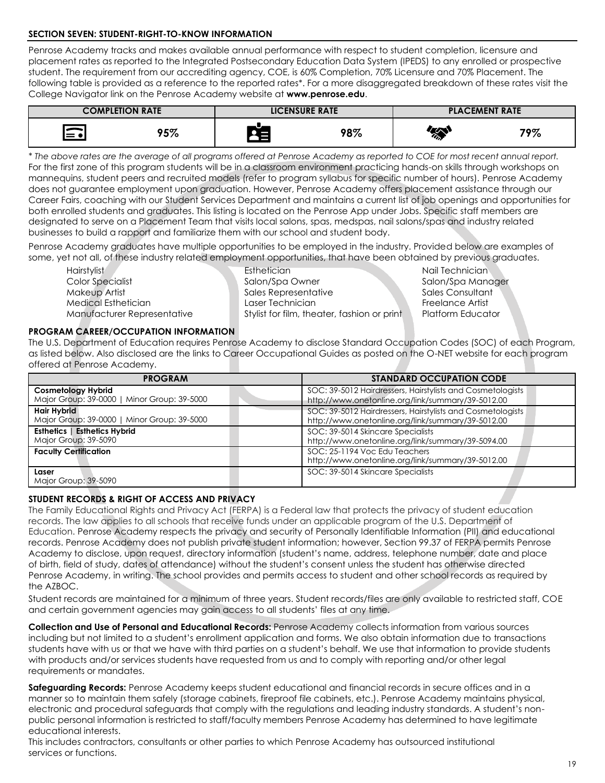#### <span id="page-24-0"></span>**SECTION SEVEN: STUDENT-RIGHT-TO-KNOW INFORMATION**

Penrose Academy tracks and makes available annual performance with respect to student completion, licensure and placement rates as reported to the Integrated Postsecondary Education Data System (IPEDS) to any enrolled or prospective student. The requirement from our accrediting agency, COE, is 60% Completion, 70% Licensure and 70% Placement. The following table is provided as a reference to the reported rates\*. For a more disaggregated breakdown of these rates visit the College Navigator link on the Penrose Academy website at **[www.penrose.edu](http://www.penrose.edu/)**.

| <b>COMPLETION RATE</b>            |               | <b>LICENSURE RATE</b> |     | <b>PLACEMENT RATE</b>                                           |     |
|-----------------------------------|---------------|-----------------------|-----|-----------------------------------------------------------------|-----|
| $\overline{\phantom{a}}$<br>l≔ #l | ანთ<br>70 / C |                       | 98% | $\left(\overline{\mathbb{A}}\right)$<br>$\mathscr{D}_{\lambda}$ | 79% |

*\* The above rates are the average of all programs offered at Penrose Academy as reported to COE for most recent annual report.* [For the first zone of this program students will be in a classroom environment practicing hands-on skills through workshops on](#page-22-3) [mannequins, student peers and recruited models \(refer to program syllabus for specific number of hours\). P](#page-22-3)enrose Academy does not guarantee employment upon graduation. However, Penrose Academy offers placement assistance through our Career Fairs, coaching with our Student Services Department and maintains a current list of job openings and opportunities for both enrolled students and graduates. This listing is located on the Penrose App under Jobs. Specific staff members are designated to serve on a Placement Team that visits local salons, spas, medspas, nail salons/spas and industry related businesses to build a rapport and familiarize them with our school and student body.

Penrose Academy graduates have multiple opportunities to be employed in the industry. Provided below are examples of some, yet not all, of these industry related employment opportunities, that have been obtained by previous graduates.

Manufacturer Representative Stylist for film, theater, fashion or print Platform Educator

Hairstylist Nail Technician **Esthetician** Esthetician Nail Technician Color Specialist Salon/Spa Owner Salon/Spa Manager Makeup Artist **Sales Representative** Sales Representative Sales Consultant Medical Esthetician Laser Technician Freelance Artist

#### <span id="page-24-1"></span>**PROGRAM CAREER/OCCUPATION INFORMATION**

The U.S. Department of Education requires Penrose Academy to disclose Standard Occupation Codes (SOC) of each Program, as listed below. Also disclosed are the links to Career Occupational Guides as posted on the O-NET website for each program offered at Penrose Academy.

| <b>PROGRAM</b>                              | <b>STANDARD OCCUPATION CODE</b>                                                    |
|---------------------------------------------|------------------------------------------------------------------------------------|
| <b>Cosmetology Hybrid</b>                   | SOC: 39-5012 Hairdressers, Hairstylists and Cosmetologists                         |
| Major Group: 39-0000   Minor Group: 39-5000 | http://www.onetonline.org/link/summary/39-5012.00                                  |
| Hair Hybrid                                 | SOC: 39-5012 Hairdressers, Hairstylists and Cosmetologists                         |
| Major Group: 39-0000   Minor Group: 39-5000 | http://www.onetonline.org/link/summary/39-5012.00                                  |
| <b>Esthetics   Esthetics Hybrid</b>         | SOC: 39-5014 Skincare Specialists                                                  |
| Major Group: 39-5090                        | http://www.onetonline.org/link/summary/39-5094.00                                  |
| <b>Faculty Certification</b>                | SOC: 25-1194 Voc Edu Teachers<br>http://www.onetonline.org/link/summary/39-5012.00 |
| Laser<br>Major Group: 39-5090               | SOC: 39-5014 Skincare Specialists                                                  |

#### <span id="page-24-2"></span>**STUDENT RECORDS & RIGHT OF ACCESS AND PRIVACY**

The Family Educational Rights and Privacy Act (FERPA) is a Federal law that protects the privacy of student education records. The law applies to all schools that receive funds under an applicable program of the U.S. Department of Education. Penrose Academy respects the privacy and security of Personally Identifiable Information (PII) and educational records. Penrose Academy does not publish private student information; however, Section 99.37 of FERPA permits Penrose Academy to disclose, upon request, directory information (student's name, address, telephone number, date and place of birth, field of study, dates of attendance) without the student's consent unless the student has otherwise directed Penrose Academy, in writing. The school provides and permits access to student and other school records as required by the AZBOC.

Student records are maintained for a minimum of three years. Student records/files are only available to restricted staff, COE and certain government agencies may gain access to all students' files at any time.

**Collection and Use of Personal and Educational Records:** Penrose Academy collects information from various sources including but not limited to a student's enrollment application and forms. We also obtain information due to transactions students have with us or that we have with third parties on a student's behalf. We use that information to provide students with products and/or services students have requested from us and to comply with reporting and/or other legal requirements or mandates.

**Safeguarding Records:** Penrose Academy keeps student educational and financial records in secure offices and in a manner so to maintain them safely (storage cabinets, fireproof file cabinets, etc.). Penrose Academy maintains physical, electronic and procedural safeguards that comply with the regulations and leading industry standards. A student's nonpublic personal information is restricted to staff/faculty members Penrose Academy has determined to have legitimate educational interests.

This includes contractors, consultants or other parties to which Penrose Academy has outsourced institutional services or functions.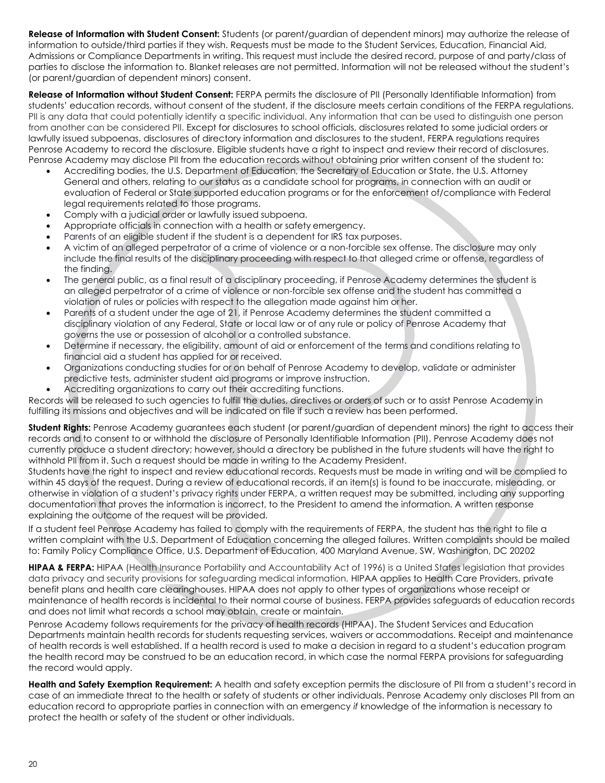**Release of Information with Student Consent:** Students (or parent/guardian of dependent minors) may authorize the release of information to outside/third parties if they wish. Requests must be made to the Student Services, Education, Financial Aid, Admissions or Compliance Departments in writing. This request must include the desired record, purpose of and party/class of parties to disclose the information to. Blanket releases are not permitted. Information will not be released without the student's (or parent/guardian of dependent minors) consent.

**Release of Information without Student Consent:** FERPA permits the disclosure of PII (Personally Identifiable Information) from students' education records, without consent of the student, if the disclosure meets certain conditions of the FERPA regulations. PII is any data that could potentially identify a specific individual. Any information that can be used to distinguish one person from another can be considered PII. Except for disclosures to school officials, disclosures related to some judicial orders or lawfully issued subpoenas, disclosures of directory information and disclosures to the student, FERPA regulations requires Penrose Academy to record the disclosure. Eligible students have a right to inspect and review their record of disclosures. Penrose Academy may disclose PII from the education records without obtaining prior written consent of the student to:

- Accrediting bodies, the U.S. Department of Education, the Secretary of Education or State, the U.S. Attorney General and others, relating to our status as a candidate school for programs, in connection with an audit or evaluation of Federal or State supported education programs or for the enforcement of/compliance with Federal legal requirements related to those programs.
- Comply with a judicial order or lawfully issued subpoena.
- Appropriate officials in connection with a health or safety emergency.
- Parents of an eligible student if the student is a dependent for IRS tax purposes.
- A victim of an alleged perpetrator of a crime of violence or a non-forcible sex offense. The disclosure may only include the final results of the disciplinary proceeding with respect to that alleged crime or offense, regardless of the finding.
- The general public, as a final result of a disciplinary proceeding, if Penrose Academy determines the student is an alleged perpetrator of a crime of violence or non-forcible sex offense and the student has committed a violation of rules or policies with respect to the allegation made against him or her.
- Parents of a student under the age of 21, if Penrose Academy determines the student committed a disciplinary violation of any Federal, State or local law or of any rule or policy of Penrose Academy that governs the use or possession of alcohol or a controlled substance.
- Determine if necessary, the eligibility, amount of aid or enforcement of the terms and conditions relating to financial aid a student has applied for or received.
- Organizations conducting studies for or on behalf of Penrose Academy to develop, validate or administer predictive tests, administer student aid programs or improve instruction.
- Accrediting organizations to carry out their accrediting functions.

Records will be released to such agencies to fulfill the duties, directives or orders of such or to assist Penrose Academy in fulfilling its missions and objectives and will be indicated on file if such a review has been performed.

**Student Rights:** Penrose Academy guarantees each student (or parent/guardian of dependent minors) the right to access their records and to consent to or withhold the disclosure of Personally Identifiable Information (PII). Penrose Academy does not currently produce a student directory; however, should a directory be published in the future students will have the right to withhold PII from it. Such a request should be made in writing to the Academy President.

Students have the right to inspect and review educational records. Requests must be made in writing and will be complied to within 45 days of the request. During a review of educational records, if an item(s) is found to be inaccurate, misleading, or otherwise in violation of a student's privacy rights under FERPA, a written request may be submitted, including any supporting documentation that proves the information is incorrect, to the President to amend the information. A written response explaining the outcome of the request will be provided.

If a student feel Penrose Academy has failed to comply with the requirements of FERPA, the student has the right to file a written complaint with the U.S. Department of Education concerning the alleged failures. Written complaints should be mailed to: Family Policy Compliance Office, U.S. Department of Education, 400 Maryland Avenue, SW, Washington, DC 20202

**HIPAA & FERPA:** HIPAA (Health Insurance Portability and Accountability Act of 1996) is a United States legislation that provides data privacy and security provisions for safeguarding medical information. HIPAA applies to Health Care Providers, private benefit plans and health care clearinghouses. HIPAA does not apply to other types of organizations whose receipt or maintenance of health records is incidental to their normal course of business. FERPA provides safeguards of education records and does not limit what records a school may obtain, create or maintain.

Penrose Academy follows requirements for the privacy of health records (HIPAA). The Student Services and Education Departments maintain health records for students requesting services, waivers or accommodations. Receipt and maintenance of health records is well established. If a health record is used to make a decision in regard to a student's education program the health record may be construed to be an education record, in which case the normal FERPA provisions for safeguarding the record would apply.

**Health and Safety Exemption Requirement:** A health and safety exception permits the disclosure of PII from a student's record in case of an immediate threat to the health or safety of students or other individuals. Penrose Academy only discloses PII from an education record to appropriate parties in connection with an emergency *if* knowledge of the information is necessary to protect the health or safety of the student or other individuals.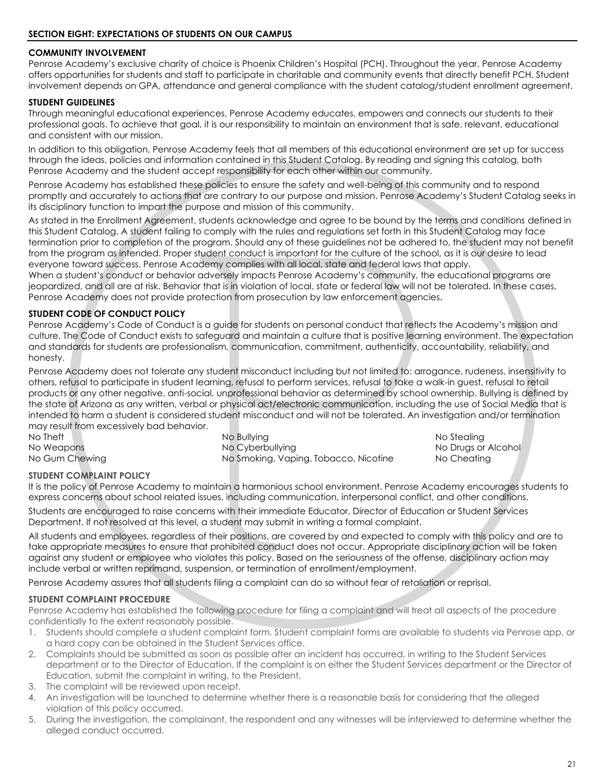#### <span id="page-26-1"></span><span id="page-26-0"></span>**COMMUNITY INVOLVEMENT**

Penrose Academy's exclusive charity of choice is Phoenix Children's Hospital (PCH). Throughout the year, Penrose Academy offers opportunities for students and staff to participate in charitable and community events that directly benefit PCH. Student involvement depends on GPA, attendance and general compliance with the student catalog/student enrollment agreement.

#### <span id="page-26-2"></span>**STUDENT GUIDELINES**

Through meaningful educational experiences, Penrose Academy educates, empowers and connects our students to their professional goals. To achieve that goal, it is our responsibility to maintain an environment that is safe, relevant, educational and consistent with our mission.

In addition to this obligation, Penrose Academy feels that all members of this educational environment are set up for success through the ideas, policies and information contained in this Student Catalog. By reading and signing this catalog, both Penrose Academy and the student accept responsibility for each other within our community.

Penrose Academy has established these policies to ensure the safety and well-being of this community and to respond promptly and accurately to actions that are contrary to our purpose and mission. Penrose Academy's Student Catalog seeks in its disciplinary function to impart the purpose and mission of this community.

As stated in the Enrollment Agreement, students acknowledge and agree to be bound by the terms and conditions defined in this Student Catalog. A student failing to comply with the rules and regulations set forth in this Student Catalog may face termination prior to completion of the program. Should any of these guidelines not be adhered to, the student may not benefit from the program as intended. Proper student conduct is important for the culture of the school, as it is our desire to lead everyone toward success. Penrose Academy complies with all local, state and federal laws that apply.

When a student's conduct or behavior adversely impacts Penrose Academy's community, the educational programs are jeopardized, and all are at risk. Behavior that is in violation of local, state or federal law will not be tolerated. In these cases, Penrose Academy does not provide protection from prosecution by law enforcement agencies.

#### <span id="page-26-3"></span>**STUDENT CODE OF CONDUCT POLICY**

Penrose Academy's Code of Conduct is a guide for students on personal conduct that reflects the Academy's mission and culture. The Code of Conduct exists to safeguard and maintain a culture that is positive learning environment. The expectation and standards for students are professionalism, communication, commitment, authenticity, accountability, reliability, and honesty.

Penrose Academy does not tolerate any student misconduct including but not limited to: arrogance, rudeness, insensitivity to others, refusal to participate in student learning, refusal to perform services, refusal to take a walk-in guest, refusal to retail products or any other negative, anti-social, unprofessional behavior as determined by school ownership. Bullying is defined by the state of Arizona as any written, verbal or physical act/electronic communication, including the use of Social Media that is intended to harm a student is considered student misconduct and will not be tolerated. An investigation and/or termination may result from excessively bad behavior.

| No Theft       | No Bullvina                           | No Stealing         |
|----------------|---------------------------------------|---------------------|
| No Weapons     | No Cyberbullying                      | No Drugs or Alcohol |
| No Gum Chewing | No Smoking, Vaping, Tobacco, Nicotine | No Cheating         |

#### <span id="page-26-4"></span>**STUDENT COMPLAINT POLICY**

It is the policy of Penrose Academy to maintain a harmonious school environment. Penrose Academy encourages students to express concerns about school related issues, including communication, interpersonal conflict, and other conditions.

Students are encouraged to raise concerns with their immediate Educator, Director of Education or Student Services Department. If not resolved at this level, a student may submit in writing a formal complaint.

All students and employees, regardless of their positions, are covered by and expected to comply with this policy and are to take appropriate measures to ensure that prohibited conduct does not occur. Appropriate disciplinary action will be taken against any student or employee who violates this policy. Based on the seriousness of the offense, disciplinary action may include verbal or written reprimand, suspension, or termination of enrollment/employment.

Penrose Academy assures that all students filing a complaint can do so without fear of retaliation or reprisal.

#### **STUDENT COMPLAINT PROCEDURE**

Penrose Academy has established the following procedure for filing a complaint and will treat all aspects of the procedure confidentially to the extent reasonably possible.

- 1. Students should complete a student complaint form. Student complaint forms are available to students via Penrose app, or a hard copy can be obtained in the Student Services office.
- 2. Complaints should be submitted as soon as possible after an incident has occurred, in writing to the Student Services department or to the Director of Education. If the complaint is on either the Student Services department or the Director of Education, submit the complaint in writing, to the President.
- 3. The complaint will be reviewed upon receipt.
- 4. An investigation will be launched to determine whether there is a reasonable basis for considering that the alleged violation of this policy occurred.
- 5. During the investigation, the complainant, the respondent and any witnesses will be interviewed to determine whether the alleged conduct occurred.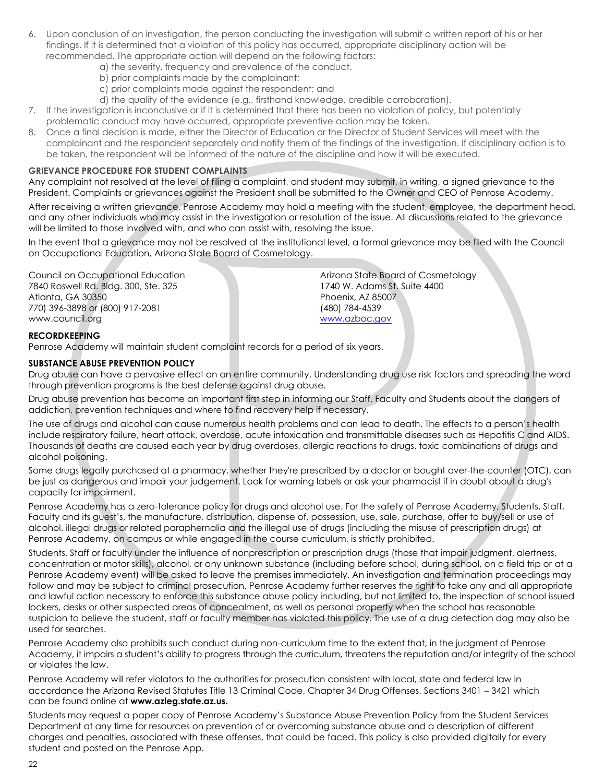- 6. Upon conclusion of an investigation, the person conducting the investigation will submit a written report of his or her findings. If it is determined that a violation of this policy has occurred, appropriate disciplinary action will be recommended. The appropriate action will depend on the following factors:
	- a) the severity, frequency and prevalence of the conduct.
	- b) prior complaints made by the complainant;
	- c) prior complaints made against the respondent; and
	- d) the quality of the evidence (e.g., firsthand knowledge, credible corroboration).
- 7. If the investigation is inconclusive or if it is determined that there has been no violation of policy, but potentially problematic conduct may have occurred, appropriate preventive action may be taken.
- 8. Once a final decision is made, either the Director of Education or the Director of Student Services will meet with the complainant and the respondent separately and notify them of the findings of the investigation. If disciplinary action is to be taken, the respondent will be informed of the nature of the discipline and how it will be executed.

#### **GRIEVANCE PROCEDURE FOR STUDENT COMPLAINTS**

Any complaint not resolved at the level of filing a complaint, and student may submit, in writing, a signed grievance to the President. Complaints or grievances against the President shall be submitted to the Owner and CEO of Penrose Academy.

After receiving a written grievance, Penrose Academy may hold a meeting with the student, employee, the department head, and any other individuals who may assist in the investigation or resolution of the issue. All discussions related to the grievance will be limited to those involved with, and who can assist with, resolving the issue.

In the event that a grievance may not be resolved at the institutional level, a formal grievance may be filed with the Council on Occupational Education, Arizona State Board of Cosmetology.

Council on Occupational Education 7840 Roswell Rd. Bldg. 300, Ste. 325 Atlanta, GA 30350 770) 396-3898 or (800) 917-2081 www.council.org

Arizona State Board of Cosmetology 1740 W. Adams St. Suite 4400 Phoenix, AZ 85007 (480) 784-4539 [www.azboc.gov](http://www.azboc.gov/)

#### **RECORDKEEPING**

Penrose Academy will maintain student complaint records for a period of six years.

#### **SUBSTANCE ABUSE PREVENTION POLICY**

Drug abuse can have a pervasive effect on an entire community. Understanding drug use risk factors and spreading the word through prevention programs is the best defense against drug abuse.

Drug abuse prevention has become an important first step in informing our Staff, Faculty and Students about the dangers of addiction, prevention techniques and where to find recovery help if necessary.

The use of drugs and alcohol can cause numerous health problems and can lead to death. The effects to a person's health include respiratory failure, heart attack, overdose, acute intoxication and transmittable diseases such as Hepatitis C and AIDS. Thousands of deaths are caused each year by drug overdoses, allergic reactions to drugs, toxic combinations of drugs and alcohol poisoning.

Some drugs legally purchased at a pharmacy, whether they're prescribed by a doctor or bought over-the-counter (OTC), can be just as dangerous and impair your judgement. Look for warning labels or ask your pharmacist if in doubt about a drug's capacity for impairment.

Penrose Academy has a zero-tolerance policy for drugs and alcohol use. For the safety of Penrose Academy, Students, Staff, Faculty and its guest's, the manufacture, distribution, dispense of, possession, use, sale, purchase, offer to buy/sell or use of alcohol, illegal drugs or related paraphernalia and the illegal use of drugs (including the misuse of prescription drugs) at Penrose Academy, on campus or while engaged in the course curriculum, is strictly prohibited.

Students, Staff or faculty under the influence of nonprescription or prescription drugs (those that impair judgment, alertness, concentration or motor skills), alcohol, or any unknown substance (including before school, during school, on a field trip or at a Penrose Academy event) will be asked to leave the premises immediately. An investigation and termination proceedings may follow and may be subject to criminal prosecution. Penrose Academy further reserves the right to take any and all appropriate and lawful action necessary to enforce this substance abuse policy including, but not limited to, the inspection of school issued lockers, desks or other suspected areas of concealment, as well as personal property when the school has reasonable suspicion to believe the student, staff or faculty member has violated this policy. The use of a drug detection dog may also be used for searches.

Penrose Academy also prohibits such conduct during non-curriculum time to the extent that, in the judgment of Penrose Academy, it impairs a student's ability to progress through the curriculum, threatens the reputation and/or integrity of the school or violates the law.

Penrose Academy will refer violators to the authorities for prosecution consistent with local, state and federal law in accordance the Arizona Revised Statutes Title 13 Criminal Code, Chapter 34 Drug Offenses, Sections 3401 – 3421 which can be found online at **[www.azleg.state.az.us.](http://www.azleg.state.az.us/)**

Students may request a paper copy of Penrose Academy's Substance Abuse Prevention Policy from the Student Services Department at any time for resources on prevention of or overcoming substance abuse and a description of different charges and penalties, associated with these offenses, that could be faced. This policy is also provided digitally for every student and posted on the Penrose App.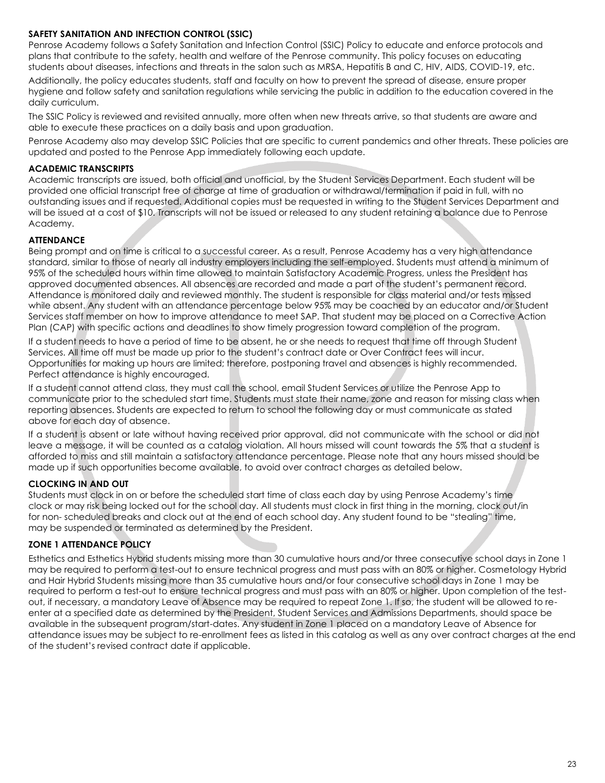#### **SAFETY SANITATION AND INFECTION CONTROL (SSIC)**

Penrose Academy follows a Safety Sanitation and Infection Control (SSIC) Policy to educate and enforce protocols and plans that contribute to the safety, health and welfare of the Penrose community. This policy focuses on educating students about diseases, infections and threats in the salon such as MRSA, Hepatitis B and C, HIV, AIDS, COVID-19, etc.

Additionally, the policy educates students, staff and faculty on how to prevent the spread of disease, ensure proper hygiene and follow safety and sanitation regulations while servicing the public in addition to the education covered in the daily curriculum.

The SSIC Policy is reviewed and revisited annually, more often when new threats arrive, so that students are aware and able to execute these practices on a daily basis and upon graduation.

Penrose Academy also may develop SSIC Policies that are specific to current pandemics and other threats. These policies are updated and posted to the Penrose App immediately following each update.

#### **ACADEMIC TRANSCRIPTS**

Academic transcripts are issued, both official and unofficial, by the Student Services Department. Each student will be provided one official transcript free of charge at time of graduation or withdrawal/termination if paid in full, with no outstanding issues and if requested. Additional copies must be requested in writing to the Student Services Department and will be issued at a cost of \$10. Transcripts will not be issued or released to any student retaining a balance due to Penrose Academy.

#### **ATTENDANCE**

Being prompt and on time is critical to a successful career. As a result, Penrose Academy has a very high attendance standard, similar to those of nearly all industry employers including the self-employed. Students must attend a minimum of 95% of the scheduled hours within time allowed to maintain Satisfactory Academic Progress, unless the President has approved documented absences. All absences are recorded and made a part of the student's permanent record. Attendance is monitored daily and reviewed monthly. The student is responsible for class material and/or tests missed while absent. Any student with an attendance percentage below 95% may be coached by an educator and/or Student Services staff member on how to improve attendance to meet SAP. That student may be placed on a Corrective Action Plan (CAP) with specific actions and deadlines to show timely progression toward completion of the program.

If a student needs to have a period of time to be absent, he or she needs to request that time off through Student Services. All time off must be made up prior to the student's contract date or Over Contract fees will incur. Opportunities for making up hours are limited; therefore, postponing travel and absences is highly recommended. Perfect attendance is highly encouraged.

If a student cannot attend class, they must call the school, email Student Services or utilize the Penrose App to communicate prior to the scheduled start time. Students must state their name, zone and reason for missing class when reporting absences. Students are expected to return to school the following day or must communicate as stated above for each day of absence.

If a student is absent or late without having received prior approval, did not communicate with the school or did not leave a message, it will be counted as a catalog violation. All hours missed will count towards the 5% that a student is afforded to miss and still maintain a satisfactory attendance percentage. Please note that any hours missed should be made up if such opportunities become available, to avoid over contract charges as detailed below.

#### **CLOCKING IN AND OUT**

Students must clock in on or before the scheduled start time of class each day by using Penrose Academy's time clock or may risk being locked out for the school day. All students must clock in first thing in the morning, clock out/in for non- scheduled breaks and clock out at the end of each school day. Any student found to be "stealing" time, may be suspended or terminated as determined by the President.

#### **ZONE 1 ATTENDANCE POLICY**

Esthetics and Esthetics Hybrid students missing more than 30 cumulative hours and/or three consecutive school days in Zone 1 may be required to perform a test-out to ensure technical progress and must pass with an 80% or higher. Cosmetology Hybrid and Hair Hybrid Students missing more than 35 cumulative hours and/or four consecutive school days in Zone 1 may be required to perform a test-out to ensure technical progress and must pass with an 80% or higher. Upon completion of the testout, if necessary, a mandatory Leave of Absence may be required to repeat Zone 1. If so, the student will be allowed to reenter at a specified date as determined by the President, Student Services and Admissions Departments, should space be available in the subsequent program/start-dates. Any student in Zone 1 placed on a mandatory Leave of Absence for attendance issues may be subject to re-enrollment fees as listed in this catalog as well as any over contract charges at the end of the student's revised contract date if applicable.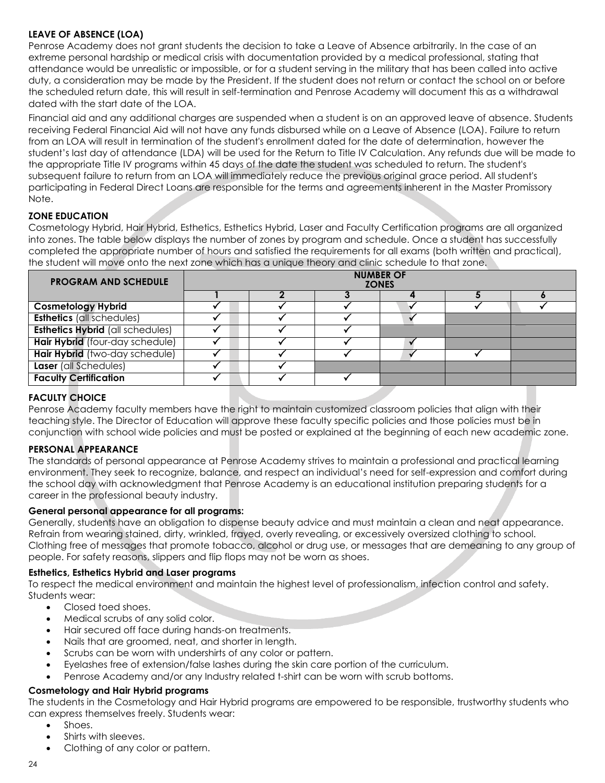### **LEAVE OF ABSENCE (LOA)**

Penrose Academy does not grant students the decision to take a Leave of Absence arbitrarily. In the case of an extreme personal hardship or medical crisis with documentation provided by a medical professional, stating that attendance would be unrealistic or impossible, or for a student serving in the military that has been called into active duty, a consideration may be made by the President. If the student does not return or contact the school on or before the scheduled return date, this will result in self-termination and Penrose Academy will document this as a withdrawal dated with the start date of the LOA.

Financial aid and any additional charges are suspended when a student is on an approved leave of absence. Students receiving Federal Financial Aid will not have any funds disbursed while on a Leave of Absence (LOA). Failure to return from an LOA will result in termination of the student's enrollment dated for the date of determination, however the student's last day of attendance (LDA) will be used for the Return to Title IV Calculation. Any refunds due will be made to the appropriate Title IV programs within 45 days of the date the student was scheduled to return. The student's subsequent failure to return from an LOA will immediately reduce the previous original grace period. All student's participating in Federal Direct Loans are responsible for the terms and agreements inherent in the Master Promissory Note.

#### **ZONE EDUCATION**

Cosmetology Hybrid, Hair Hybrid, Esthetics, Esthetics Hybrid, Laser and Faculty Certification programs are all organized into zones. The table below displays the number of zones by program and schedule. Once a student has successfully completed the appropriate number of hours and satisfied the requirements for all exams (both written and practical), the student will move onto the next zone which has a unique theory and clinic schedule to that zone.

| <b>PROGRAM AND SCHEDULE</b>             | <b>NUMBER OF</b><br><b>ZONES</b> |  |  |  |  |  |
|-----------------------------------------|----------------------------------|--|--|--|--|--|
|                                         |                                  |  |  |  |  |  |
| <b>Cosmetology Hybrid</b>               |                                  |  |  |  |  |  |
| <b>Esthetics (all schedules)</b>        |                                  |  |  |  |  |  |
| <b>Esthetics Hybrid (all schedules)</b> |                                  |  |  |  |  |  |
| Hair Hybrid (four-day schedule)         |                                  |  |  |  |  |  |
| Hair Hybrid (two-day schedule)          |                                  |  |  |  |  |  |
| Laser (all Schedules)                   |                                  |  |  |  |  |  |
| <b>Faculty Certification</b>            |                                  |  |  |  |  |  |

#### **FACULTY CHOICE**

Penrose Academy faculty members have the right to maintain customized classroom policies that align with their teaching style. The Director of Education will approve these faculty specific policies and those policies must be in conjunction with school wide policies and must be posted or explained at the beginning of each new academic zone.

#### <span id="page-29-0"></span>**PERSONAL APPEARANCE**

The standards of personal appearance at Penrose Academy strives to maintain a professional and practical learning environment. They seek to recognize, balance, and respect an individual's need for self-expression and comfort during the school day with acknowledgment that Penrose Academy is an educational institution preparing students for a career in the professional beauty industry.

#### **General personal appearance for all programs:**

Generally, students have an obligation to dispense beauty advice and must maintain a clean and neat appearance. Refrain from wearing stained, dirty, wrinkled, frayed, overly revealing, or excessively oversized clothing to school. Clothing free of messages that promote tobacco, alcohol or drug use, or messages that are demeaning to any group of people. For safety reasons, slippers and flip flops may not be worn as shoes.

#### **Esthetics, Esthetics Hybrid and Laser programs**

To respect the medical environment and maintain the highest level of professionalism, infection control and safety. Students wear:

- Closed toed shoes.
- Medical scrubs of any solid color.
- Hair secured off face during hands-on treatments.
- Nails that are groomed, neat, and shorter in length.
- Scrubs can be worn with undershirts of any color or pattern.
- Eyelashes free of extension/false lashes during the skin care portion of the curriculum.
- Penrose Academy and/or any Industry related t-shirt can be worn with scrub bottoms.

#### **Cosmetology and Hair Hybrid programs**

The students in the Cosmetology and Hair Hybrid programs are empowered to be responsible, trustworthy students who can express themselves freely. Students wear:

- Shoes.
- Shirts with sleeves.
- Clothing of any color or pattern.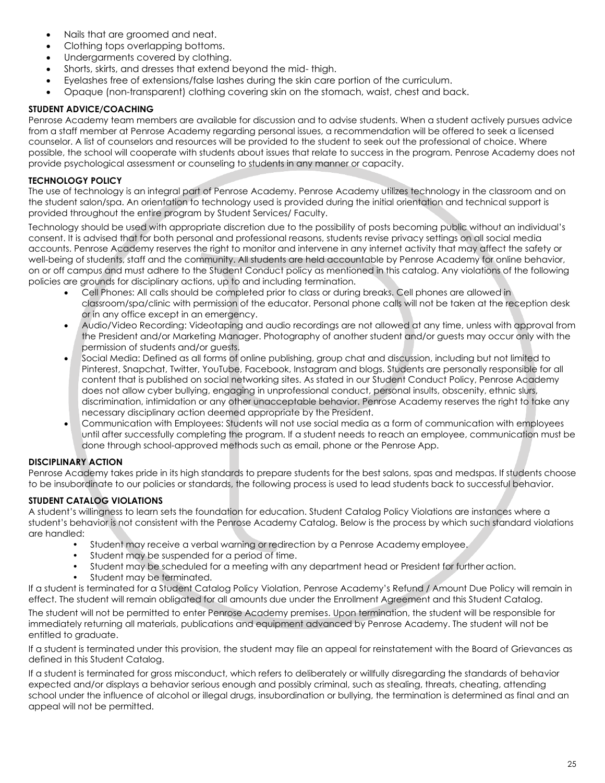- Nails that are groomed and neat.
- Clothing tops overlapping bottoms.
- Undergarments covered by clothing.
- Shorts, skirts, and dresses that extend beyond the mid- thigh.
- Eyelashes free of extensions/false lashes during the skin care portion of the curriculum.
- Opaque (non-transparent) clothing covering skin on the stomach, waist, chest and back.

#### **STUDENT ADVICE/COACHING**

Penrose Academy team members are available for discussion and to advise students. When a student actively pursues advice from a staff member at Penrose Academy regarding personal issues, a recommendation will be offered to seek a licensed counselor. A list of counselors and resources will be provided to the student to seek out the professional of choice. Where possible, the school will cooperate with students about issues that relate to success in the program. Penrose Academy does not provide psychological assessment or counseling to students in any manner or capacity.

### <span id="page-30-0"></span>**TECHNOLOGY POLICY**

The use of technology is an integral part of Penrose Academy. Penrose Academy utilizes technology in the classroom and on the student salon/spa. An orientation to technology used is provided during the initial orientation and technical support is provided throughout the entire program by Student Services/ Faculty.

Technology should be used with appropriate discretion due to the possibility of posts becoming public without an individual's consent. It is advised that for both personal and professional reasons, students revise privacy settings on all social media accounts. Penrose Academy reserves the right to monitor and intervene in any internet activity that may affect the safety or well-being of students, staff and the community. All students are held accountable by Penrose Academy for online behavior, on or off campus and must adhere to the Student Conduct policy as mentioned in this catalog. Any violations of the following policies are grounds for disciplinary actions, up to and including termination.

- Cell Phones: All calls should be completed prior to class or during breaks. Cell phones are allowed in classroom/spa/clinic with permission of the educator. Personal phone calls will not be taken at the reception desk or in any office except in an emergency.
- Audio/Video Recording: Videotaping and audio recordings are not allowed at any time, unless with approval from the President and/or Marketing Manager. Photography of another student and/or guests may occur only with the permission of students and/or guests.
- Social Media: Defined as all forms of online publishing, group chat and discussion, including but not limited to Pinterest, Snapchat, Twitter, YouTube, Facebook, Instagram and blogs. Students are personally responsible for all content that is published on social networking sites. As stated in our Student Conduct Policy, Penrose Academy does not allow cyber bullying, engaging in unprofessional conduct, personal insults, obscenity, ethnic slurs, discrimination, intimidation or any other unacceptable behavior. Penrose Academy reserves the right to take any necessary disciplinary action deemed appropriate by the President.
- Communication with Employees: Students will not use social media as a form of communication with employees until after successfully completing the program. If a student needs to reach an employee, communication must be done through school-approved methods such as email, phone or the Penrose App.

## <span id="page-30-1"></span>**DISCIPLINARY ACTION**

Penrose Academy takes pride in its high standards to prepare students for the best salons, spas and medspas. If students choose to be insubordinate to our policies or standards, the following process is used to lead students back to successful behavior.

## <span id="page-30-2"></span>**STUDENT CATALOG VIOLATIONS**

A student's willingness to learn sets the foundation for education. Student Catalog Policy Violations are instances where a student's behavior is not consistent with the Penrose Academy Catalog. Below is the process by which such standard violations are handled:

- Student may receive a verbal warning or redirection by a Penrose Academy employee.
- Student may be suspended for a period of time.
- Student may be scheduled for a meeting with any department head or President for further action.
- Student may be terminated.

If a student is terminated for a Student Catalog Policy Violation, Penrose Academy's Refund / Amount Due Policy will remain in effect. The student will remain obligated for all amounts due under the Enrollment Agreement and this Student Catalog. The student will not be permitted to enter Penrose Academy premises. Upon termination, the student will be responsible for

immediately returning all materials, publications and equipment advanced by Penrose Academy. The student will not be entitled to graduate.

If a student is terminated under this provision, the student may file an appeal for reinstatement with the Board of Grievances as defined in this Student Catalog.

If a student is terminated for gross misconduct, which refers to deliberately or willfully disregarding the standards of behavior expected and/or displays a behavior serious enough and possibly criminal, such as stealing, threats, cheating, attending school under the influence of alcohol or illegal drugs, insubordination or bullying, the termination is determined as final and an appeal will not be permitted.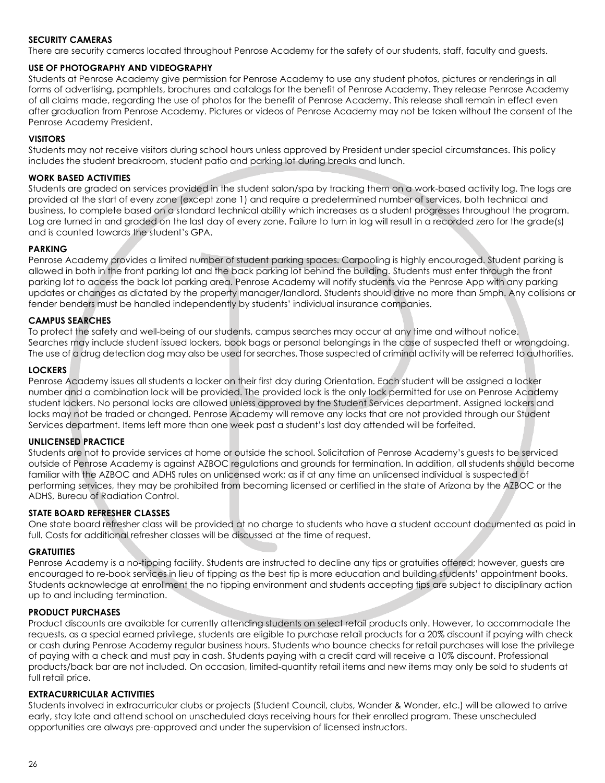#### <span id="page-31-0"></span>**SECURITY CAMERAS**

There are security cameras located throughout Penrose Academy for the safety of our students, staff, faculty and guests.

#### <span id="page-31-1"></span>**USE OF PHOTOGRAPHY AND VIDEOGRAPHY**

Students at Penrose Academy give permission for Penrose Academy to use any student photos, pictures or renderings in all forms of advertising, pamphlets, brochures and catalogs for the benefit of Penrose Academy. They release Penrose Academy of all claims made, regarding the use of photos for the benefit of Penrose Academy. This release shall remain in effect even after graduation from Penrose Academy. Pictures or videos of Penrose Academy may not be taken without the consent of the Penrose Academy President.

#### <span id="page-31-2"></span>**VISITORS**

Students may not receive visitors during school hours unless approved by President under special circumstances. This policy includes the student breakroom, student patio and parking lot during breaks and lunch.

#### <span id="page-31-3"></span>**WORK BASED ACTIVITIES**

Students are graded on services provided in the student salon/spa by tracking them on a work-based activity log. The logs are provided at the start of every zone (except zone 1) and require a predetermined number of services, both technical and business, to complete based on a standard technical ability which increases as a student progresses throughout the program. Log are turned in and graded on the last day of every zone. Failure to turn in log will result in a recorded zero for the grade(s) and is counted towards the student's GPA.

#### <span id="page-31-4"></span>**PARKING**

Penrose Academy provides a limited number of student parking spaces. Carpooling is highly encouraged. Student parking is allowed in both in the front parking lot and the back parking lot behind the building. Students must enter through the front parking lot to access the back lot parking area. Penrose Academy will notify students via the Penrose App with any parking updates or changes as dictated by the property manager/landlord. Students should drive no more than 5mph. Any collisions or fender benders must be handled independently by students' individual insurance companies.

#### <span id="page-31-5"></span>**CAMPUS SEARCHES**

To protect the safety and well-being of our students, campus searches may occur at any time and without notice. Searches may include student issued lockers, book bags or personal belongings in the case of suspected theft or wrongdoing. The use of a drug detection dog may also be used for searches. Those suspected of criminal activity will be referred to authorities.

#### <span id="page-31-6"></span>**LOCKERS**

Penrose Academy issues all students a locker on their first day during Orientation. Each student will be assigned a locker number and a combination lock will be provided. The provided lock is the only lock permitted for use on Penrose Academy student lockers. No personal locks are allowed unless approved by the Student Services department. Assigned lockers and locks may not be traded or changed. Penrose Academy will remove any locks that are not provided through our Student Services department. Items left more than one week past a student's last day attended will be forfeited.

#### <span id="page-31-7"></span>**UNLICENSED PRACTICE**

Students are not to provide services at home or outside the school. Solicitation of Penrose Academy's guests to be serviced outside of Penrose Academy is against AZBOC regulations and grounds for termination. In addition, all students should become familiar with the AZBOC and ADHS rules on unlicensed work; as if at any time an unlicensed individual is suspected of performing services, they may be prohibited from becoming licensed or certified in the state of Arizona by the AZBOC or the ADHS, Bureau of Radiation Control.

#### <span id="page-31-8"></span>**STATE BOARD REFRESHER CLASSES**

One state board refresher class will be provided at no charge to students who have a student account documented as paid in full. Costs for additional refresher classes will be discussed at the time of request.

#### <span id="page-31-9"></span>**GRATUITIES**

Penrose Academy is a no-tipping facility. Students are instructed to decline any tips or gratuities offered; however, guests are encouraged to re-book services in lieu of tipping as the best tip is more education and building students' appointment books. Students acknowledge at enrollment the no tipping environment and students accepting tips are subject to disciplinary action up to and including termination.

#### <span id="page-31-10"></span>**PRODUCT PURCHASES**

Product discounts are available for currently attending students on select retail products only. However, to accommodate the requests, as a special earned privilege, students are eligible to purchase retail products for a 20% discount if paying with check or cash during Penrose Academy regular business hours. Students who bounce checks for retail purchases will lose the privilege of paying with a check and must pay in cash. Students paying with a credit card will receive a 10% discount. Professional products/back bar are not included. On occasion, limited-quantity retail items and new items may only be sold to students at full retail price.

#### <span id="page-31-11"></span>**EXTRACURRICULAR ACTIVITIES**

Students involved in extracurricular clubs or projects (Student Council, clubs, Wander & Wonder, etc.) will be allowed to arrive early, stay late and attend school on unscheduled days receiving hours for their enrolled program. These unscheduled opportunities are always pre-approved and under the supervision of licensed instructors.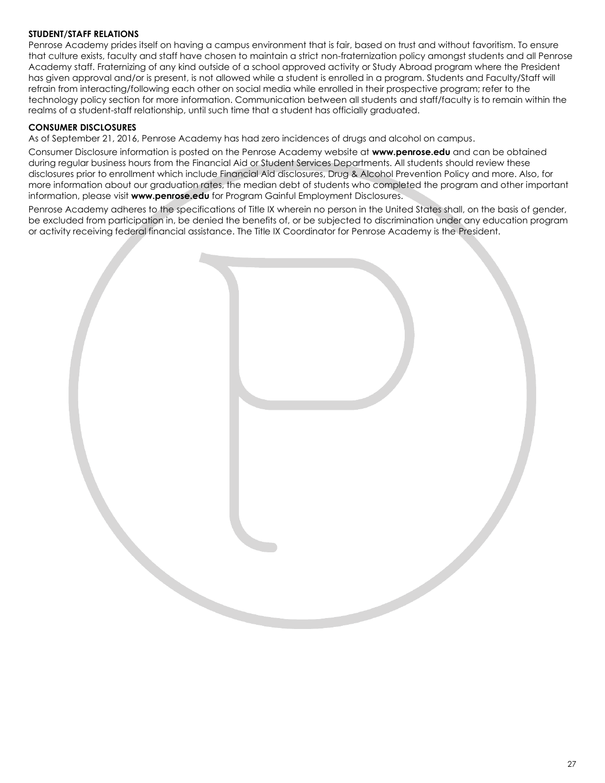#### <span id="page-32-0"></span>**STUDENT/STAFF RELATIONS**

Penrose Academy prides itself on having a campus environment that is fair, based on trust and without favoritism. To ensure that culture exists, faculty and staff have chosen to maintain a strict non-fraternization policy amongst students and all Penrose Academy staff. Fraternizing of any kind outside of a school approved activity or Study Abroad program where the President has given approval and/or is present, is not allowed while a student is enrolled in a program. Students and Faculty/Staff will refrain from interacting/following each other on social media while enrolled in their prospective program; refer to the technology policy section for more information. Communication between all students and staff/faculty is to remain within the realms of a student-staff relationship, until such time that a student has officially graduated.

#### <span id="page-32-1"></span>**CONSUMER DISCLOSURES**

As of September 21, 2016, Penrose Academy has had zero incidences of drugs and alcohol on campus.

Consumer Disclosure information is posted on the Penrose Academy website at **[www.penrose.edu](http://www.penrose.edu/)** and can be obtained during regular business hours from the Financial Aid or Student Services Departments. All students should review these disclosures prior to enrollment which include Financial Aid disclosures, Drug & Alcohol Prevention Policy and more. Also, for more information about our graduation rates, the median debt of students who completed the program and other important information, please visit **[www.penrose.edu](http://www.penrose.edu/)** for Program Gainful Employment Disclosures.

Penrose Academy adheres to the specifications of Title IX wherein no person in the United States shall, on the basis of gender, be excluded from participation in, be denied the benefits of, or be subjected to discrimination under any education program or activity receiving federal financial assistance. The Title IX Coordinator for Penrose Academy is the President.

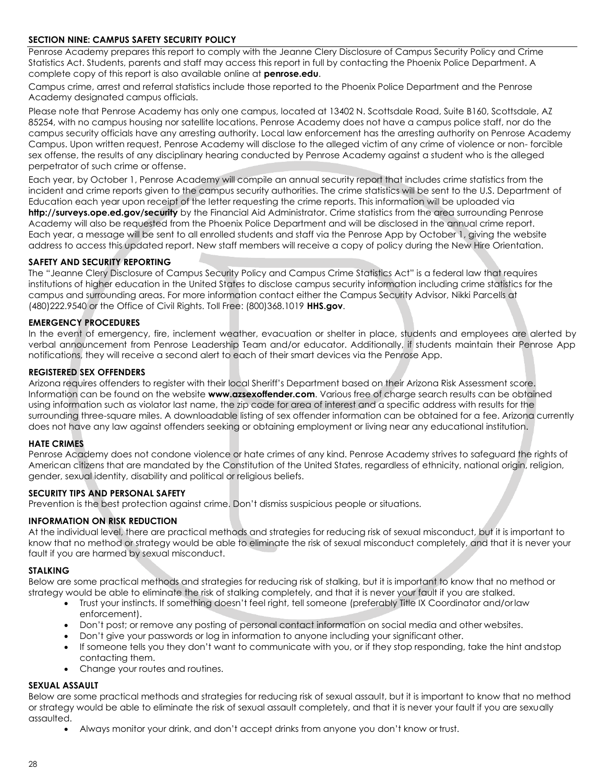#### <span id="page-33-0"></span>**SECTION NINE: CAMPUS SAFETY SECURITY POLICY**

Penrose Academy prepares this report to comply with the Jeanne Clery Disclosure of Campus Security Policy and Crime Statistics Act. Students, parents and staff may access this report in full by contacting the Phoenix Police Department. A complete copy of this report is also available online at **penrose.edu**.

Campus crime, arrest and referral statistics include those reported to the Phoenix Police Department and the Penrose Academy designated campus officials.

Please note that Penrose Academy has only one campus, located at 13402 N. Scottsdale Road, Suite B160, Scottsdale, AZ 85254, with no campus housing nor satellite locations. Penrose Academy does not have a campus police staff, nor do the campus security officials have any arresting authority. Local law enforcement has the arresting authority on Penrose Academy Campus. Upon written request, Penrose Academy will disclose to the alleged victim of any crime of violence or non- forcible sex offense, the results of any disciplinary hearing conducted by Penrose Academy against a student who is the alleged perpetrator of such crime or offense.

Each year, by October 1, Penrose Academy will compile an annual security report that includes crime statistics from the incident and crime reports given to the campus security authorities. The crime statistics will be sent to the U.S. Department of Education each year upon receipt of the letter requesting the crime reports. This information will be uploaded via **<http://surveys.ope.ed.gov/security>**by the Financial Aid Administrator. Crime statistics from the area surrounding Penrose Academy will also be requested from the Phoenix Police Department and will be disclosed in the annual crime report. Each year, a message will be sent to all enrolled students and staff via the Penrose App by October 1, giving the website address to access this updated report. New staff members will receive a copy of policy during the New Hire Orientation.

#### <span id="page-33-1"></span>**SAFETY AND SECURITY REPORTING**

The "Jeanne Clery Disclosure of Campus Security Policy and Campus Crime Statistics Act" is a federal law that requires institutions of higher education in the United States to disclose campus security information including crime statistics for the campus and surrounding areas. For more information contact either the Campus Security Advisor, Nikki Parcells at (480)222.9540 or the Office of Civil Rights. Toll Free: (800)368.1019 **[HHS.gov](https://www.hhs.gov/)**.

#### <span id="page-33-2"></span>**EMERGENCY PROCEDURES**

In the event of emergency, fire, inclement weather, evacuation or shelter in place, students and employees are alerted by verbal announcement from Penrose Leadership Team and/or educator. Additionally, if students maintain their Penrose App notifications, they will receive a second alert to each of their smart devices via the Penrose App.

#### <span id="page-33-3"></span>**REGISTERED SEX OFFENDERS**

Arizona requires offenders to register with their local Sheriff's Department based on their Arizona Risk Assessment score. Information can be found on the website **[www.azsexoffender.com](http://www.azsexoffender.com/)**. Various free of charge search results can be obtained using information such as violator last name, the zip code for area of interest and a specific address with results for the surrounding three-square miles. A downloadable listing of sex offender information can be obtained for a fee. Arizona currently does not have any law against offenders seeking or obtaining employment or living near any educational institution.

#### <span id="page-33-4"></span>**HATE CRIMES**

Penrose Academy does not condone violence or hate crimes of any kind. Penrose Academy strives to safeguard the rights of American citizens that are mandated by the Constitution of the United States, regardless of ethnicity, national origin, religion, gender, sexual identity, disability and political or religious beliefs.

#### <span id="page-33-5"></span>**SECURITY TIPS AND PERSONAL SAFETY**

Prevention is the best protection against crime. Don't dismiss suspicious people or situations.

#### <span id="page-33-6"></span>**INFORMATION ON RISK REDUCTION**

At the individual level, there are practical methods and strategies for reducing risk of sexual misconduct, but it is important to know that no method or strategy would be able to eliminate the risk of sexual misconduct completely, and that it is never your fault if you are harmed by sexual misconduct.

#### <span id="page-33-7"></span>**STALKING**

Below are some practical methods and strategies for reducing risk of stalking, but it is important to know that no method or strategy would be able to eliminate the risk of stalking completely, and that it is never your fault if you are stalked.

- Trust your instincts. If something doesn't feel right, tell someone (preferably Title IX Coordinator and/orlaw enforcement).
- Don't post; or remove any posting of personal contact information on social media and other websites.
- Don't give your passwords or log in information to anyone including your significant other.
- If someone tells you they don't want to communicate with you, or if they stop responding, take the hint andstop contacting them.
- Change your routes and routines.

#### <span id="page-33-8"></span>**SEXUAL ASSAULT**

Below are some practical methods and strategies for reducing risk of sexual assault, but it is important to know that no method or strategy would be able to eliminate the risk of sexual assault completely, and that it is never your fault if you are sexually assaulted.

• Always monitor your drink, and don't accept drinks from anyone you don't know or trust.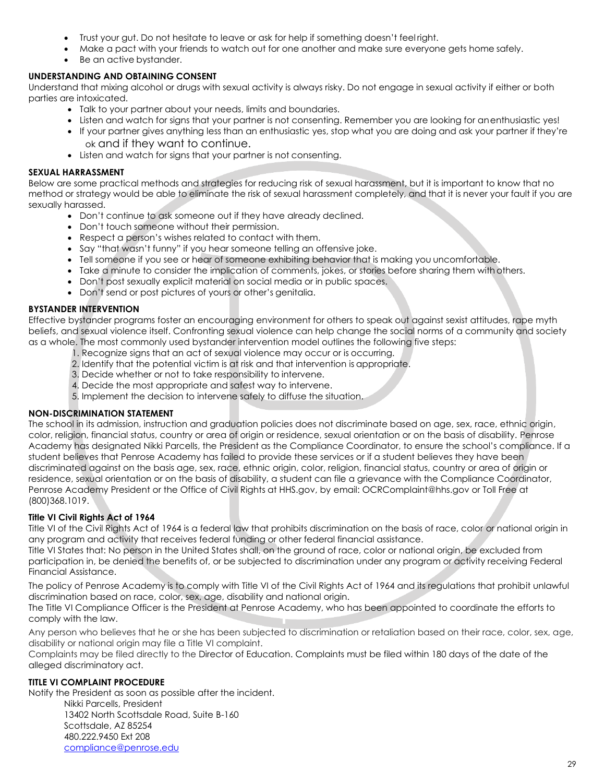- Trust your gut. Do not hesitate to leave or ask for help if something doesn't feel right.
- Make a pact with your friends to watch out for one another and make sure everyone gets home safely.
- Be an active bystander.

#### <span id="page-34-0"></span>**UNDERSTANDING AND OBTAINING CONSENT**

Understand that mixing alcohol or drugs with sexual activity is always risky. Do not engage in sexual activity if either or both parties are intoxicated.

- Talk to your partner about your needs, limits and boundaries.
- Listen and watch for signs that your partner is not consenting. Remember you are looking for anenthusiastic yes!
- If your partner gives anything less than an enthusiastic yes, stop what you are doing and ask your partner if they're ok and if they want to continue.
- Listen and watch for signs that your partner is not consenting.

#### <span id="page-34-1"></span>**SEXUAL HARRASSMENT**

Below are some practical methods and strategies for reducing risk of sexual harassment, but it is important to know that no method or strategy would be able to eliminate the risk of sexual harassment completely, and that it is never your fault if you are sexually harassed.

- Don't continue to ask someone out if they have already declined.
- Don't touch someone without their permission.
- Respect a person's wishes related to contact with them.
- Say "that wasn't funny" if you hear someone telling an offensive joke.
- Tell someone if you see or hear of someone exhibiting behavior that is making you uncomfortable.
- Take a minute to consider the implication of comments, jokes, or stories before sharing them with others.
- Don't post sexually explicit material on social media or in public spaces.
- Don't send or post pictures of yours or other's genitalia.

#### <span id="page-34-2"></span>**BYSTANDER INTERVENTION**

Effective bystander programs foster an encouraging environment for others to speak out against sexist attitudes, rape myth beliefs, and sexual violence itself. Confronting sexual violence can help change the social norms of a community and society as a whole. The most commonly used bystander intervention model outlines the following five steps:

- 1. Recognize signs that an act of sexual violence may occur or is occurring.
- 2. Identify that the potential victim is at risk and that intervention is appropriate.
- 3. Decide whether or not to take responsibility to intervene.
- 4. Decide the most appropriate and safest way to intervene.
- 5. Implement the decision to intervene safely to diffuse the situation.

#### <span id="page-34-3"></span>**NON-DISCRIMINATION STATEMENT**

The school in its admission, instruction and graduation policies does not discriminate based on age, sex, race, ethnic origin, color, religion, financial status, country or area of origin or residence, sexual orientation or on the basis of disability. Penrose Academy has designated Nikki Parcells, the President as the Compliance Coordinator, to ensure the school's compliance. If a student believes that Penrose Academy has failed to provide these services or if a student believes they have been discriminated against on the basis age, sex, race, ethnic origin, color, religion, financial status, country or area of origin or residence, sexual orientation or on the basis of disability, a student can file a grievance with the Compliance Coordinator, Penrose Academy President or the Office of Civil Rights at HHS.gov, by email[: OCRComplaint@hhs.gov o](mailto:OCRComplaint@hhs.gov)r Toll Free at (800)368.1019.

#### <span id="page-34-4"></span>**Title VI Civil Rights Act of 1964**

Title VI of the Civil Rights Act of 1964 is a federal law that prohibits discrimination on the basis of race, color or national origin in any program and activity that receives federal funding or other federal financial assistance.

Title VI States that: No person in the United States shall, on the ground of race, color or national origin, be excluded from participation in, be denied the benefits of, or be subjected to discrimination under any program or activity receiving Federal Financial Assistance.

The policy of Penrose Academy is to comply with Title VI of the Civil Rights Act of 1964 and its regulations that prohibit unlawful discrimination based on race, color, sex, age, disability and national origin.

The Title VI Compliance Officer is the President at Penrose Academy, who has been appointed to coordinate the efforts to comply with the law.

Any person who believes that he or she has been subjected to discrimination or retaliation based on their race, color, sex, age, disability or national origin may file a Title VI complaint.

Complaints may be filed directly to the Director of Education. Complaints must be filed within 180 days of the date of the alleged discriminatory act.

#### <span id="page-34-5"></span>**TITLE VI COMPLAINT PROCEDURE**

Notify the President as soon as possible after the incident.

Nikki Parcells, President 13402 North Scottsdale Road, Suite B-160 Scottsdale, AZ 85254 480.222.9450 Ext 208 [compliance@penrose.edu](mailto:compliance@penrose.edu)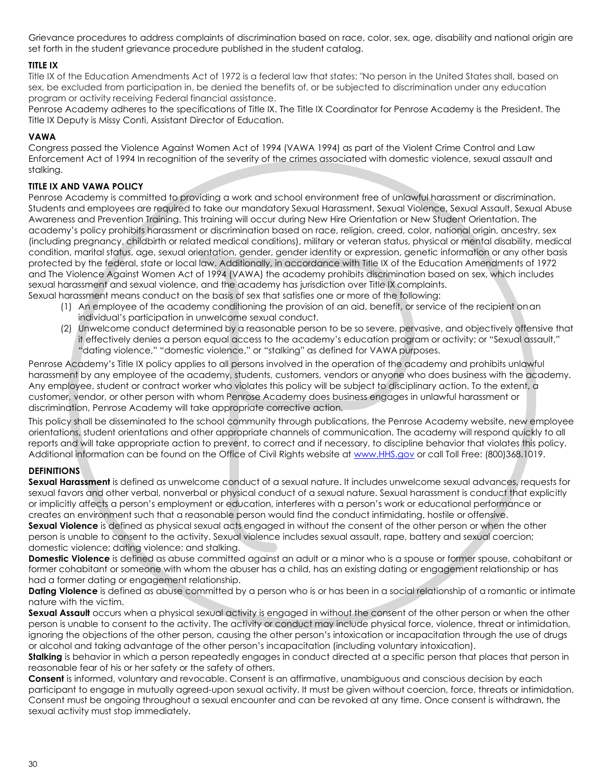Grievance procedures to address complaints of discrimination based on race, color, sex, age, disability and national origin are set forth in the student grievance procedure published in the student catalog.

#### <span id="page-35-0"></span>**TITLE IX**

Title IX of the Education Amendments Act of 1972 is a federal law that states: "No person in the United States shall, based on sex, be excluded from participation in, be denied the benefits of, or be subjected to discrimination under any education program or activity receiving Federal financial assistance.

Penrose Academy adheres to the specifications of Title IX. The Title IX Coordinator for Penrose Academy is the President. The Title IX Deputy is Missy Conti, Assistant Director of Education.

#### <span id="page-35-1"></span>**VAWA**

Congress passed the Violence Against Women Act of 1994 (VAWA 1994) as part of the Violent Crime Control and Law Enforcement Act of 1994 In recognition of the severity of the crimes associated with domestic violence, sexual assault and stalking.

#### <span id="page-35-2"></span>**TITLE IX AND VAWA POLICY**

Penrose Academy is committed to providing a work and school environment free of unlawful harassment or discrimination. Students and employees are required to take our mandatory Sexual Harassment, Sexual Violence, Sexual Assault, Sexual Abuse Awareness and Prevention Training. This training will occur during New Hire Orientation or New Student Orientation. The academy's policy prohibits harassment or discrimination based on race, religion, creed, color, national origin, ancestry, sex (including pregnancy, childbirth or related medical conditions), military or veteran status, physical or mental disability, medical condition, marital status, age, sexual orientation, gender, gender identity or expression, genetic information or any other basis protected by the federal, state or local law. Additionally, in accordance with Title IX of the Education Amendments of 1972 and The Violence Against Women Act of 1994 (VAWA) the academy prohibits discrimination based on sex, which includes sexual harassment and sexual violence, and the academy has jurisdiction over Title IX complaints. Sexual harassment means conduct on the basis of sex that satisfies one or more of the following:

- (1) An employee of the academy conditioning the provision of an aid, benefit, or service of the recipient onan
	- individual's participation in unwelcome sexual conduct.
- (2) Unwelcome conduct determined by a reasonable person to be so severe, pervasive, and objectively offensive that it effectively denies a person equal access to the academy's education program or activity; or "Sexual assault," "dating violence," "domestic violence," or "stalking" as defined for VAWA purposes.

Penrose Academy's Title IX policy applies to all persons involved in the operation of the academy and prohibits unlawful harassment by any employee of the academy, students, customers, vendors or anyone who does business with the academy. Any employee, student or contract worker who violates this policy will be subject to disciplinary action. To the extent, a customer, vendor, or other person with whom Penrose Academy does business engages in unlawful harassment or discrimination, Penrose Academy will take appropriate corrective action.

This policy shall be disseminated to the school community through publications, the Penrose Academy website, new employee orientations, student orientations and other appropriate channels of communication. The academy will respond quickly to all reports and will take appropriate action to prevent, to correct and if necessary, to discipline behavior that violates this policy. Additional information can be found on the Office of Civil Rights website at [www.HHS.gov](https://www.hhs.gov/) or call Toll Free: (800)368.1019.

#### <span id="page-35-3"></span>**DEFINITIONS**

**Sexual Harassment** is defined as unwelcome conduct of a sexual nature. It includes unwelcome sexual advances, requests for sexual favors and other verbal, nonverbal or physical conduct of a sexual nature. Sexual harassment is conduct that explicitly or implicitly affects a person's employment or education, interferes with a person's work or educational performance or creates an environment such that a reasonable person would find the conduct intimidating, hostile or offensive.

**Sexual Violence** is defined as physical sexual acts engaged in without the consent of the other person or when the other person is unable to consent to the activity. Sexual violence includes sexual assault, rape, battery and sexual coercion; domestic violence; dating violence; and stalking.

**Domestic Violence** is defined as abuse committed against an adult or a minor who is a spouse or former spouse, cohabitant or former cohabitant or someone with whom the abuser has a child, has an existing dating or engagement relationship or has had a former dating or engagement relationship.

**Dating Violence** is defined as abuse committed by a person who is or has been in a social relationship of a romantic or intimate nature with the victim.

**Sexual Assault** occurs when a physical sexual activity is engaged in without the consent of the other person or when the other person is unable to consent to the activity. The activity or conduct may include physical force, violence, threat or intimidation, ignoring the objections of the other person, causing the other person's intoxication or incapacitation through the use of drugs or alcohol and taking advantage of the other person's incapacitation (including voluntary intoxication).

**Stalking** is behavior in which a person repeatedly engages in conduct directed at a specific person that places that person in reasonable fear of his or her safety or the safety of others.

**Consent** is informed, voluntary and revocable. Consent is an affirmative, unambiguous and conscious decision by each participant to engage in mutually agreed-upon sexual activity. It must be given without coercion, force, threats or intimidation. Consent must be ongoing throughout a sexual encounter and can be revoked at any time. Once consent is withdrawn, the sexual activity must stop immediately.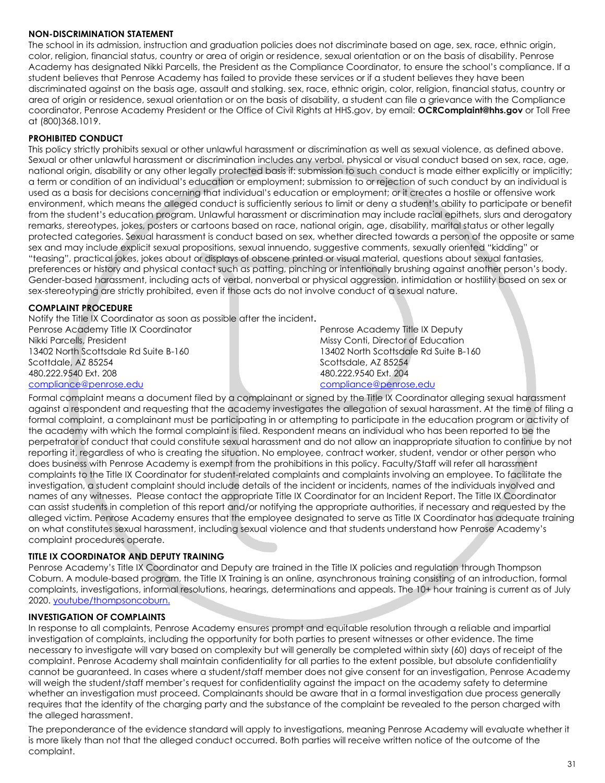#### <span id="page-36-0"></span>**NON-DISCRIMINATION STATEMENT**

The school in its admission, instruction and graduation policies does not discriminate based on age, sex, race, ethnic origin, color, religion, financial status, country or area of origin or residence, sexual orientation or on the basis of disability. Penrose Academy has designated Nikki Parcells, the President as the Compliance Coordinator, to ensure the school's compliance. If a student believes that Penrose Academy has failed to provide these services or if a student believes they have been discriminated against on the basis age, assault and stalking. sex, race, ethnic origin, color, religion, financial status, country or area of origin or residence, sexual orientation or on the basis of disability, a student can file a grievance with the Compliance coordinator, Penrose Academy President or the Office of Civil Rights at HHS.gov, by email: **[OCRComplaint@hhs.gov](mailto:OCRComplaint@hhs.gov)** or Toll Free at (800)368.1019.

#### <span id="page-36-1"></span>**PROHIBITED CONDUCT**

This policy strictly prohibits sexual or other unlawful harassment or discrimination as well as sexual violence, as defined above. Sexual or other unlawful harassment or discrimination includes any verbal, physical or visual conduct based on sex, race, age, national origin, disability or any other legally protected basis if: submission to such conduct is made either explicitly or implicitly; a term or condition of an individual's education or employment; submission to or rejection of such conduct by an individual is used as a basis for decisions concerning that individual's education or employment; or it creates a hostile or offensive work environment, which means the alleged conduct is sufficiently serious to limit or deny a student's ability to participate or benefit from the student's education program. Unlawful harassment or discrimination may include racial epithets, slurs and derogatory remarks, stereotypes, jokes, posters or cartoons based on race, national origin, age, disability, marital status or other legally protected categories. Sexual harassment is conduct based on sex, whether directed towards a person of the opposite or same sex and may include explicit sexual propositions, sexual innuendo, suggestive comments, sexually oriented "kidding" or "teasing", practical jokes, jokes about or displays of obscene printed or visual material, questions about sexual fantasies, preferences or history and physical contact such as patting, pinching or intentionally brushing against another person's body. Gender-based harassment, including acts of verbal, nonverbal or physical aggression, intimidation or hostility based on sex or sex-stereotyping are strictly prohibited, even if those acts do not involve conduct of a sexual nature.

#### <span id="page-36-2"></span>**COMPLAINT PROCEDURE**

Notify the Title IX Coordinator as soon as possible after the incident**.** Penrose Academy Title IX Coordinator Nikki Parcells, President 13402 North Scottsdale Rd Suite B-160 Scottdale, AZ 85254 480.222.9540 Ext. 208

#### [compliance@penrose.edu](file://///PA-FILE-01/Education%20and%20Student%20Services/Student%20Catalogs%20&%20Enrollments/Student%20Catalog%202021/compliance@penrose.edu)

Penrose Academy Title IX Deputy Missy Conti, Director of Education 13402 North Scottsdale Rd Suite B-160 Scottsdale, AZ 85254 480.222.9540 Ext. 204 [compliance@penrose,edu](mailto:compliance@penrose.edu)

Formal complaint means a document filed by a complainant or signed by the Title IX Coordinator alleging sexual harassment against a respondent and requesting that the academy investigates the allegation of sexual harassment. At the time of filing a formal complaint, a complainant must be participating in or attempting to participate in the education program or activity of the academy with which the formal complaint is filed. Respondent means an individual who has been reported to be the perpetrator of conduct that could constitute sexual harassment and do not allow an inappropriate situation to continue by not reporting it, regardless of who is creating the situation. No employee, contract worker, student, vendor or other person who does business with Penrose Academy is exempt from the prohibitions in this policy. Faculty/Staff will refer all harassment complaints to the Title IX Coordinator for student-related complaints and complaints involving an employee. To facilitate the investigation, a student complaint should include details of the incident or incidents, names of the individuals involved and names of any witnesses. Please contact the appropriate Title IX Coordinator for an Incident Report. The Title IX Coordinator can assist students in completion of this report and/or notifying the appropriate authorities, if necessary and requested by the alleged victim. Penrose Academy ensures that the employee designated to serve as Title IX Coordinator has adequate training on what constitutes sexual harassment, including sexual violence and that students understand how Penrose Academy's complaint procedures operate.

#### <span id="page-36-3"></span>**TITLE IX COORDINATOR AND DEPUTY TRAINING**

Penrose Academy's Title IX Coordinator and Deputy are trained in the Title IX policies and regulation through Thompson Coburn. A module-based program, the Title IX Training is an online, asynchronous training consisting of an introduction, formal complaints, investigations, informal resolutions, hearings, determinations and appeals. The 10+ hour training is current as of July 2020[. youtube/thompsoncoburn.](https://www.youtube.com/channel/UC7M3YdLsEs3E4OVJKxKazHg)

#### <span id="page-36-4"></span>**INVESTIGATION OF COMPLAINTS**

In response to all complaints, Penrose Academy ensures prompt and equitable resolution through a reliable and impartial investigation of complaints, including the opportunity for both parties to present witnesses or other evidence. The time necessary to investigate will vary based on complexity but will generally be completed within sixty (60) days of receipt of the complaint. Penrose Academy shall maintain confidentiality for all parties to the extent possible, but absolute confidentiality cannot be guaranteed. In cases where a student/staff member does not give consent for an investigation, Penrose Academy will weigh the student/staff member's request for confidentiality against the impact on the academy safety to determine whether an investigation must proceed. Complainants should be aware that in a formal investigation due process generally requires that the identity of the charging party and the substance of the complaint be revealed to the person charged with the alleged harassment.

The preponderance of the evidence standard will apply to investigations, meaning Penrose Academy will evaluate whether it is more likely than not that the alleged conduct occurred. Both parties will receive written notice of the outcome of the complaint.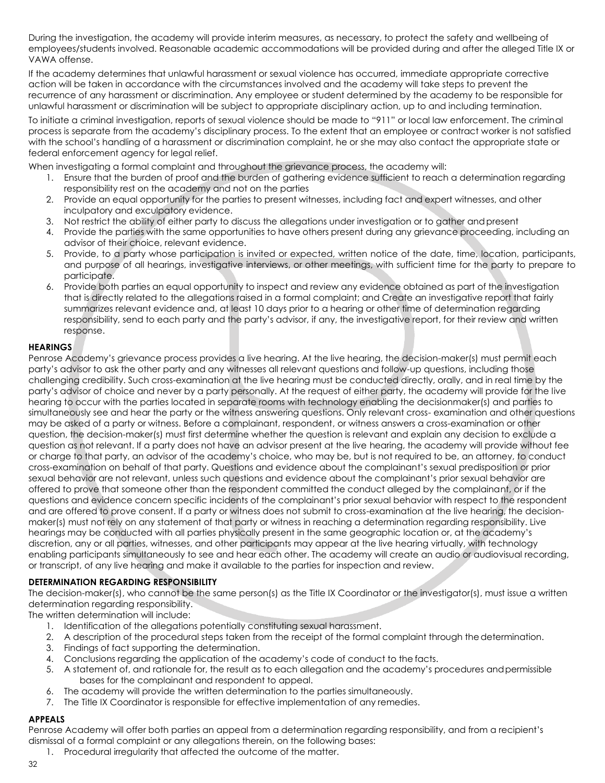During the investigation, the academy will provide interim measures, as necessary, to protect the safety and wellbeing of employees/students involved. Reasonable academic accommodations will be provided during and after the alleged Title IX or VAWA offense.

If the academy determines that unlawful harassment or sexual violence has occurred, immediate appropriate corrective action will be taken in accordance with the circumstances involved and the academy will take steps to prevent the recurrence of any harassment or discrimination. Any employee or student determined by the academy to be responsible for unlawful harassment or discrimination will be subject to appropriate disciplinary action, up to and including termination.

To initiate a criminal investigation, reports of sexual violence should be made to "911" or local law enforcement. The criminal process is separate from the academy's disciplinary process. To the extent that an employee or contract worker is not satisfied with the school's handling of a harassment or discrimination complaint, he or she may also contact the appropriate state or federal enforcement agency for legal relief.

When investigating a formal complaint and throughout the grievance process, the academy will:

- 1. Ensure that the burden of proof and the burden of gathering evidence sufficient to reach a determination regarding responsibility rest on the academy and not on the parties
- 2. Provide an equal opportunity for the parties to present witnesses, including fact and expert witnesses, and other inculpatory and exculpatory evidence.
- 3. Not restrict the ability of either party to discuss the allegations under investigation or to gather andpresent
- 4. Provide the parties with the same opportunities to have others present during any grievance proceeding, including an advisor of their choice, relevant evidence.
- 5. Provide, to a party whose participation is invited or expected, written notice of the date, time, location, participants, and purpose of all hearings, investigative interviews, or other meetings, with sufficient time for the party to prepare to participate.
- 6. Provide both parties an equal opportunity to inspect and review any evidence obtained as part of the investigation that is directly related to the allegations raised in a formal complaint; and Create an investigative report that fairly summarizes relevant evidence and, at least 10 days prior to a hearing or other time of determination regarding responsibility, send to each party and the party's advisor, if any, the investigative report, for their review and written response.

#### <span id="page-37-0"></span>**HEARINGS**

Penrose Academy's grievance process provides a live hearing. At the live hearing, the decision-maker(s) must permit each party's advisor to ask the other party and any witnesses all relevant questions and follow-up questions, including those challenging credibility. Such cross-examination at the live hearing must be conducted directly, orally, and in real time by the party's advisor of choice and never by a party personally. At the request of either party, the academy will provide for the live hearing to occur with the parties located in separate rooms with technology enabling the decisionmaker(s) and parties to simultaneously see and hear the party or the witness answering questions. Only relevant cross- examination and other questions may be asked of a party or witness. Before a complainant, respondent, or witness answers a cross-examination or other question, the decision-maker(s) must first determine whether the question is relevant and explain any decision to exclude a question as not relevant. If a party does not have an advisor present at the live hearing, the academy will provide without fee or charge to that party, an advisor of the academy's choice, who may be, but is not required to be, an attorney, to conduct cross-examination on behalf of that party. Questions and evidence about the complainant's sexual predisposition or prior sexual behavior are not relevant, unless such questions and evidence about the complainant's prior sexual behavior are offered to prove that someone other than the respondent committed the conduct alleged by the complainant, or if the questions and evidence concern specific incidents of the complainant's prior sexual behavior with respect to the respondent and are offered to prove consent. If a party or witness does not submit to cross-examination at the live hearing, the decisionmaker(s) must not rely on any statement of that party or witness in reaching a determination regarding responsibility. Live hearings may be conducted with all parties physically present in the same geographic location or, at the academy's discretion, any or all parties, witnesses, and other participants may appear at the live hearing virtually, with technology enabling participants simultaneously to see and hear each other. The academy will create an audio or audiovisual recording, or transcript, of any live hearing and make it available to the parties for inspection and review.

#### <span id="page-37-1"></span>**DETERMINATION REGARDING RESPONSIBILITY**

The decision-maker(s), who cannot be the same person(s) as the Title IX Coordinator or the investigator(s), must issue a written determination regarding responsibility.

The written determination will include:

- 1. Identification of the allegations potentially constituting sexual harassment.
- 2. A description of the procedural steps taken from the receipt of the formal complaint through thedetermination.
- 3. Findings of fact supporting the determination.
- 4. Conclusions regarding the application of the academy's code of conduct to the facts.
- 5. A statement of, and rationale for, the result as to each allegation and the academy's procedures andpermissible bases for the complainant and respondent to appeal.
- 6. The academy will provide the written determination to the parties simultaneously.
- 7. The Title IX Coordinator is responsible for effective implementation of any remedies.

## <span id="page-37-2"></span>**APPEALS**

Penrose Academy will offer both parties an appeal from a determination regarding responsibility, and from a recipient's dismissal of a formal complaint or any allegations therein, on the following bases:

1. Procedural irregularity that affected the outcome of the matter.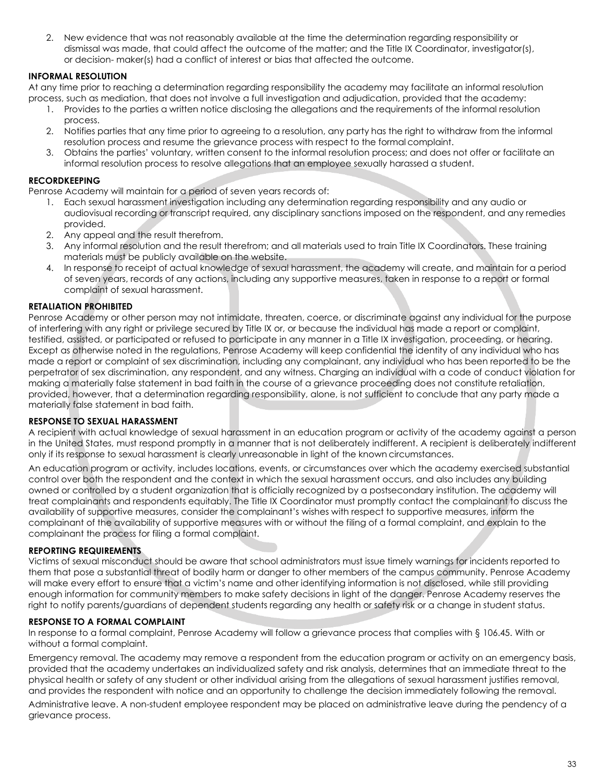2. New evidence that was not reasonably available at the time the determination regarding responsibility or dismissal was made, that could affect the outcome of the matter; and the Title IX Coordinator, investigator(s), or decision- maker(s) had a conflict of interest or bias that affected the outcome.

#### <span id="page-38-0"></span>**INFORMAL RESOLUTION**

At any time prior to reaching a determination regarding responsibility the academy may facilitate an informal resolution process, such as mediation, that does not involve a full investigation and adjudication, provided that the academy:

- 1. Provides to the parties a written notice disclosing the allegations and the requirements of the informal resolution process.
- 2. Notifies parties that any time prior to agreeing to a resolution, any party has the right to withdraw from the informal resolution process and resume the grievance process with respect to the formal complaint.
- 3. Obtains the parties' voluntary, written consent to the informal resolution process; and does not offer or facilitate an informal resolution process to resolve allegations that an employee sexually harassed a student.

#### <span id="page-38-1"></span>**RECORDKEEPING**

Penrose Academy will maintain for a period of seven years records of:

- 1. Each sexual harassment investigation including any determination regarding responsibility and any audio or audiovisual recording or transcript required, any disciplinary sanctions imposed on the respondent, and any remedies provided.
- 2. Any appeal and the result therefrom.
- 3. Any informal resolution and the result therefrom; and all materials used to train Title IX Coordinators. These training materials must be publicly available on the website.
- 4. In response to receipt of actual knowledge of sexual harassment, the academy will create, and maintain for a period of seven years, records of any actions, including any supportive measures, taken in response to a report or formal complaint of sexual harassment.

#### <span id="page-38-2"></span>**RETALIATION PROHIBITED**

Penrose Academy or other person may not intimidate, threaten, coerce, or discriminate against any individual for the purpose of interfering with any right or privilege secured by Title IX or, or because the individual has made a report or complaint, testified, assisted, or participated or refused to participate in any manner in a Title IX investigation, proceeding, or hearing. Except as otherwise noted in the regulations, Penrose Academy will keep confidential the identity of any individual who has made a report or complaint of sex discrimination, including any complainant, any individual who has been reported to be the perpetrator of sex discrimination, any respondent, and any witness. Charging an individual with a code of conduct violation for making a materially false statement in bad faith in the course of a grievance proceeding does not constitute retaliation, provided, however, that a determination regarding responsibility, alone, is not sufficient to conclude that any party made a materially false statement in bad faith.

#### <span id="page-38-3"></span>**RESPONSE TO SEXUAL HARASSMENT**

A recipient with actual knowledge of sexual harassment in an education program or activity of the academy against a person in the United States, must respond promptly in a manner that is not deliberately indifferent. A recipient is deliberately indifferent only if its response to sexual harassment is clearly unreasonable in light of the known circumstances.

An education program or activity, includes locations, events, or circumstances over which the academy exercised substantial control over both the respondent and the context in which the sexual harassment occurs, and also includes any building owned or controlled by a student organization that is officially recognized by a postsecondary institution. The academy will treat complainants and respondents equitably. The Title IX Coordinator must promptly contact the complainant to discuss the availability of supportive measures, consider the complainant's wishes with respect to supportive measures, inform the complainant of the availability of supportive measures with or without the filing of a formal complaint, and explain to the complainant the process for filing a formal complaint.

#### <span id="page-38-4"></span>**REPORTING REQUIREMENTS**

Victims of sexual misconduct should be aware that school administrators must issue timely warnings for incidents reported to them that pose a substantial threat of bodily harm or danger to other members of the campus community. Penrose Academy will make every effort to ensure that a victim's name and other identifying information is not disclosed, while still providing enough information for community members to make safety decisions in light of the danger. Penrose Academy reserves the right to notify parents/guardians of dependent students regarding any health or safety risk or a change in student status.

#### <span id="page-38-5"></span>**RESPONSE TO A FORMAL COMPLAINT**

In response to a formal complaint, Penrose Academy will follow a grievance process that complies with § 106.45. With or without a formal complaint.

Emergency removal. The academy may remove a respondent from the education program or activity on an emergency basis, provided that the academy undertakes an individualized safety and risk analysis, determines that an immediate threat to the physical health or safety of any student or other individual arising from the allegations of sexual harassment justifies removal, and provides the respondent with notice and an opportunity to challenge the decision immediately following the removal.

Administrative leave. A non-student employee respondent may be placed on administrative leave during the pendency of a grievance process.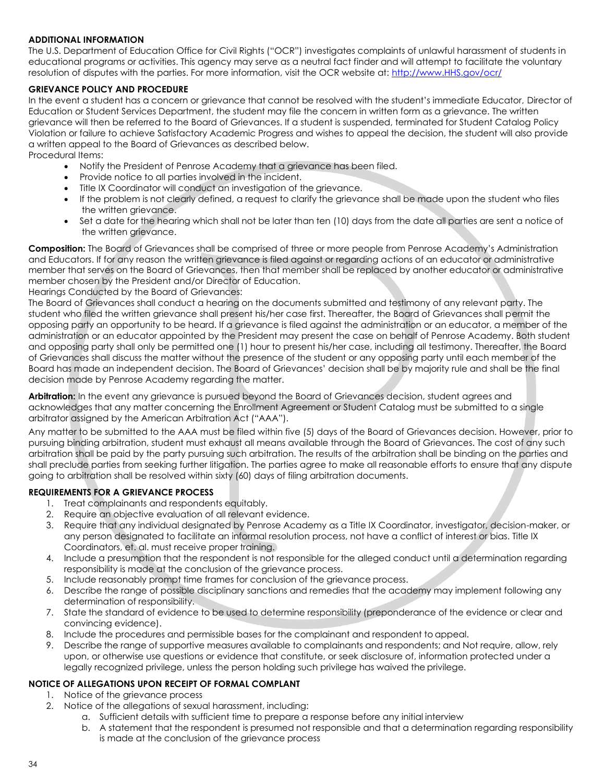#### <span id="page-39-0"></span>**ADDITIONAL INFORMATION**

The U.S. Department of Education Office for Civil Rights ("OCR") investigates complaints of unlawful harassment of students in educational programs or activities. This agency may serve as a neutral fact finder and will attempt to facilitate the voluntary resolution of disputes with the parties. For more information, visit the OCR website at: [http://www.HHS.gov/ocr/](http://www.hhs.gov/ocr/)

#### <span id="page-39-1"></span>**GRIEVANCE POLICY AND PROCEDURE**

In the event a student has a concern or grievance that cannot be resolved with the student's immediate Educator, Director of Education or Student Services Department, the student may file the concern in written form as a grievance. The written grievance will then be referred to the Board of Grievances. If a student is suspended, terminated for Student Catalog Policy Violation or failure to achieve Satisfactory Academic Progress and wishes to appeal the decision, the student will also provide a written appeal to the Board of Grievances as described below.

Procedural Items:

- Notify the President of Penrose Academy that a grievance has been filed.
- Provide notice to all parties involved in the incident.
- Title IX Coordinator will conduct an investigation of the grievance.
- If the problem is not clearly defined, a request to clarify the grievance shall be made upon the student who files the written grievance.
- Set a date for the hearing which shall not be later than ten (10) days from the date all parties are sent a notice of the written grievance.

**Composition:** The Board of Grievances shall be comprised of three or more people from Penrose Academy's Administration and Educators. If for any reason the written grievance is filed against or regarding actions of an educator or administrative member that serves on the Board of Grievances, then that member shall be replaced by another educator or administrative member chosen by the President and/or Director of Education.

Hearings Conducted by the Board of Grievances:

The Board of Grievances shall conduct a hearing on the documents submitted and testimony of any relevant party. The student who filed the written grievance shall present his/her case first. Thereafter, the Board of Grievances shall permit the opposing party an opportunity to be heard. If a grievance is filed against the administration or an educator, a member of the administration or an educator appointed by the President may present the case on behalf of Penrose Academy. Both student and opposing party shall only be permitted one (1) hour to present his/her case, including all testimony. Thereafter, the Board of Grievances shall discuss the matter without the presence of the student or any opposing party until each member of the Board has made an independent decision. The Board of Grievances' decision shall be by majority rule and shall be the final decision made by Penrose Academy regarding the matter.

**Arbitration:** In the event any grievance is pursued beyond the Board of Grievances decision, student agrees and acknowledges that any matter concerning the Enrollment Agreement or Student Catalog must be submitted to a single arbitrator assigned by the American Arbitration Act ("AAA").

Any matter to be submitted to the AAA must be filed within five (5) days of the Board of Grievances decision. However, prior to pursuing binding arbitration, student must exhaust all means available through the Board of Grievances. The cost of any such arbitration shall be paid by the party pursuing such arbitration. The results of the arbitration shall be binding on the parties and shall preclude parties from seeking further litigation. The parties agree to make all reasonable efforts to ensure that any dispute going to arbitration shall be resolved within sixty (60) days of filing arbitration documents.

#### <span id="page-39-2"></span>**REQUIREMENTS FOR A GRIEVANCE PROCESS**

- 1. Treat complainants and respondents equitably.
- 2. Require an objective evaluation of all relevant evidence.
- 3. Require that any individual designated by Penrose Academy as a Title IX Coordinator, investigator, decision-maker, or any person designated to facilitate an informal resolution process, not have a conflict of interest or bias. Title IX Coordinators, et. al. must receive proper training.
- 4. Include a presumption that the respondent is not responsible for the alleged conduct until a determination regarding responsibility is made at the conclusion of the grievance process.
- 5. Include reasonably prompt time frames for conclusion of the grievance process.
- 6. Describe the range of possible disciplinary sanctions and remedies that the academy may implement following any determination of responsibility.
- 7. State the standard of evidence to be used to determine responsibility (preponderance of the evidence or clear and convincing evidence).
- 8. Include the procedures and permissible bases for the complainant and respondent to appeal.
- 9. Describe the range of supportive measures available to complainants and respondents; and Not require, allow, rely upon, or otherwise use questions or evidence that constitute, or seek disclosure of, information protected under a legally recognized privilege, unless the person holding such privilege has waived the privilege.

#### <span id="page-39-3"></span>**NOTICE OF ALLEGATIONS UPON RECEIPT OF FORMAL COMPLANT**

- 1. Notice of the grievance process
- 2. Notice of the allegations of sexual harassment, including:
	- a. Sufficient details with sufficient time to prepare a response before any initial interview
	- b. A statement that the respondent is presumed not responsible and that a determination regarding responsibility is made at the conclusion of the grievance process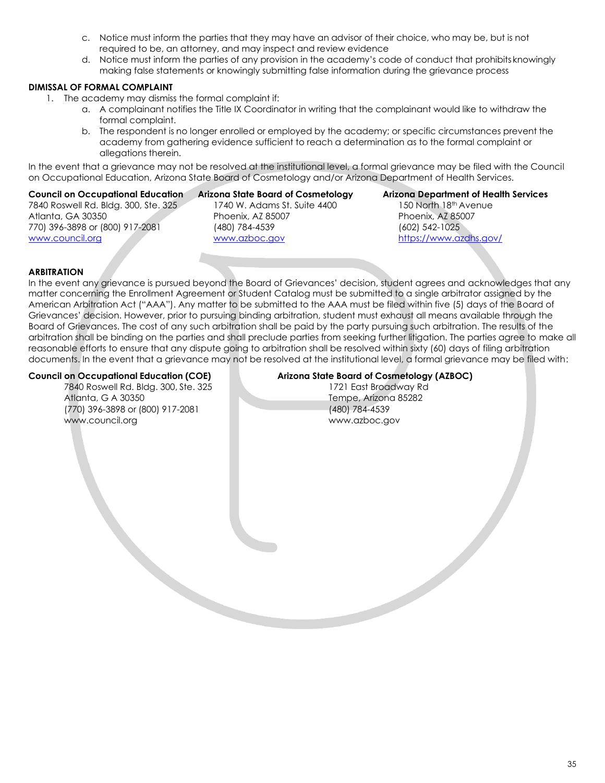- c. Notice must inform the parties that they may have an advisor of their choice, who may be, but is not required to be, an attorney, and may inspect and review evidence
- d. Notice must inform the parties of any provision in the academy's code of conduct that prohibits knowingly making false statements or knowingly submitting false information during the grievance process

#### <span id="page-40-0"></span>**DIMISSAL OF FORMAL COMPLAINT**

- 1. The academy may dismiss the formal complaint if:
	- a. A complainant notifies the Title IX Coordinator in writing that the complainant would like to withdraw the formal complaint.
	- b. The respondent is no longer enrolled or employed by the academy; or specific circumstances prevent the academy from gathering evidence sufficient to reach a determination as to the formal complaint or allegations therein.

In the event that a grievance may not be resolved at the institutional level, a formal grievance may be filed with the Council on Occupational Education, Arizona State Board of Cosmetology and/or Arizona Department of Health Services.

#### <span id="page-40-1"></span>**Council on Occupational Education**

7840 Roswell Rd. Bldg. 300, Ste. 325 Atlanta, GA 30350 770) 396-3898 or (800) 917-2081 [www.council.org](http://www.council.org/)

#### <span id="page-40-2"></span>**Arizona State Board of Cosmetology** 1740 W. Adams St. Suite 4400 Phoenix, AZ 85007 (480) 784-4539 [www.azboc.gov](http://www.azboc.gov/)

#### <span id="page-40-3"></span>**Arizona Department of Health Services** 150 North 18th Avenue Phoenix, AZ 85007 (602) 542-1025 <https://www.azdhs.gov/>

#### <span id="page-40-4"></span>**ARBITRATION**

In the event any grievance is pursued beyond the Board of Grievances' decision, student agrees and acknowledges that any matter concerning the Enrollment Agreement or Student Catalog must be submitted to a single arbitrator assigned by the American Arbitration Act ("AAA"). Any matter to be submitted to the AAA must be filed within five (5) days of the Board of Grievances' decision. However, prior to pursuing binding arbitration, student must exhaust all means available through the Board of Grievances. The cost of any such arbitration shall be paid by the party pursuing such arbitration. The results of the arbitration shall be binding on the parties and shall preclude parties from seeking further litigation. The parties agree to make all reasonable efforts to ensure that any dispute going to arbitration shall be resolved within sixty (60) days of filing arbitration documents. In the event that a grievance may not be resolved at the institutional level, a formal grievance may be filed with:

7840 Roswell Rd. Bldg. 300, Ste. 325 1721 East Broadway Rd Atlanta, G A 30350<br>
(770) 396-3898 or (800) 917-2081<br>
(770) 396-3898 or (800) 917-2081 (770) 396-3898 or (800) 917-2081 [www.council.org](http://www.council.org/) [www.azboc.gov](http://www.azboc.gov/)

#### **Council on Occupational Education (COE) Arizona State Board of Cosmetology (AZBOC)**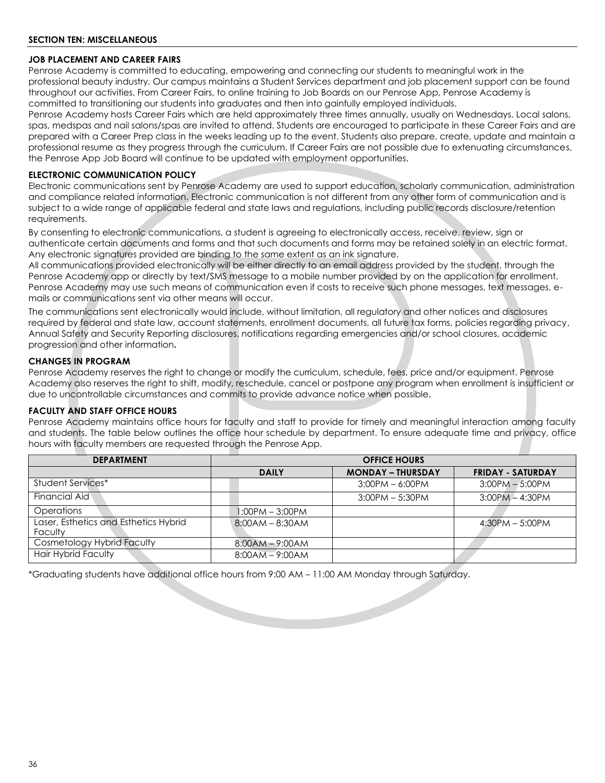#### <span id="page-41-1"></span><span id="page-41-0"></span>**JOB PLACEMENT AND CAREER FAIRS**

Penrose Academy is committed to educating, empowering and connecting our students to meaningful work in the professional beauty industry. Our campus maintains a Student Services department and job placement support can be found throughout our activities. From Career Fairs, to online training to Job Boards on our Penrose App, Penrose Academy is committed to transitioning our students into graduates and then into gainfully employed individuals.

Penrose Academy hosts Career Fairs which are held approximately three times annually, usually on Wednesdays. Local salons, spas, medspas and nail salons/spas are invited to attend. Students are encouraged to participate in these Career Fairs and are prepared with a Career Prep class in the weeks leading up to the event. Students also prepare, create, update and maintain a professional resume as they progress through the curriculum. If Career Fairs are not possible due to extenuating circumstances, the Penrose App Job Board will continue to be updated with employment opportunities.

#### <span id="page-41-2"></span>**ELECTRONIC COMMUNICATION POLICY**

Electronic communications sent by Penrose Academy are used to support education, scholarly communication, administration and compliance related information. Electronic communication is not different from any other form of communication and is subject to a wide range of applicable federal and state laws and regulations, including public records disclosure/retention requirements.

By consenting to electronic communications, a student is agreeing to electronically access, receive, review, sign or authenticate certain documents and forms and that such documents and forms may be retained solely in an electric format. Any electronic signatures provided are binding to the same extent as an ink signature.

All communications provided electronically will be either directly to an email address provided by the student, through the Penrose Academy app or directly by text/SMS message to a mobile number provided by on the application for enrollment. Penrose Academy may use such means of communication even if costs to receive such phone messages, text messages, emails or communications sent via other means will occur.

The communications sent electronically would include, without limitation, all regulatory and other notices and disclosures required by federal and state law, account statements, enrollment documents, all future tax forms, policies regarding privacy, Annual Safety and Security Reporting disclosures, notifications regarding emergencies and/or school closures, academic progression and other information**.**

#### <span id="page-41-3"></span>**CHANGES IN PROGRAM**

Penrose Academy reserves the right to change or modify the curriculum, schedule, fees, price and/or equipment. Penrose Academy also reserves the right to shift, modify, reschedule, cancel or postpone any program when enrollment is insufficient or due to uncontrollable circumstances and commits to provide advance notice when possible.

#### <span id="page-41-4"></span>**FACULTY AND STAFF OFFICE HOURS**

Penrose Academy maintains office hours for faculty and staff to provide for timely and meaningful interaction among faculty and students. The table below outlines the office hour schedule by department. To ensure adequate time and privacy, office hours with faculty members are requested through the Penrose App.

| <b>DEPARTMENT</b>                                | <b>OFFICE HOURS</b> |                          |                          |  |
|--------------------------------------------------|---------------------|--------------------------|--------------------------|--|
|                                                  | <b>DAILY</b>        | <b>MONDAY - THURSDAY</b> | <b>FRIDAY - SATURDAY</b> |  |
| Student Services*                                |                     | $3:00PM - 6:00PM$        | $3:00PM - 5:00PM$        |  |
| <b>Financial Aid</b>                             |                     | $3:00PM - 5:30PM$        | $3:00PM - 4:30PM$        |  |
| Operations                                       | 1:00PM - 3:00PM     |                          |                          |  |
| Laser, Esthetics and Esthetics Hybrid<br>Faculty | $8:00AM - 8:30AM$   |                          | $4:30PM - 5:00PM$        |  |
| Cosmetology Hybrid Faculty                       | $8:00AM - 9:00AM$   |                          |                          |  |
| <b>Hair Hybrid Faculty</b>                       | $8:00AM - 9:00AM$   |                          |                          |  |

**Contract Contract Contract Contract Contract Contract Contract Contract Contract Contract Contract Contract Contract Contract Contract Contract Contract Contract Contract Contract Contract Contract Contract Contract Contr** 

\*Graduating students have additional office hours from 9:00 AM – 11:00 AM Monday through Saturday.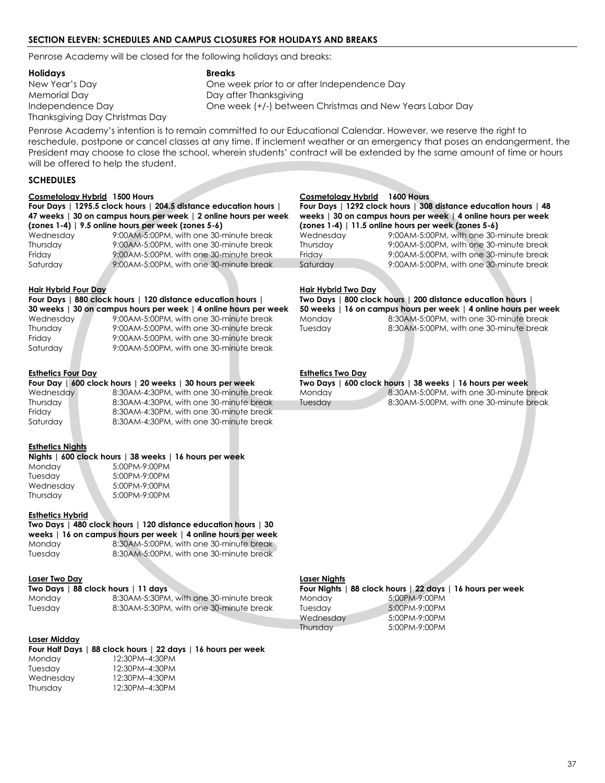#### <span id="page-42-0"></span>**SECTION ELEVEN: SCHEDULES AND CAMPUS CLOSURES FOR HOLIDAYS AND BREAKS**

Penrose Academy will be closed for the following holidays and breaks:

**Holidays Breaks**

Memorial Day **Day after Thanksgiving** Thanksgiving Day Christmas Day

New Year's Day One week prior to or after Independence Day Independence Day One week (+/-) between Christmas and New Years Labor Day

Penrose Academy's intention is to remain committed to our Educational Calendar. However, we reserve the right to reschedule, postpone or cancel classes at any time. If inclement weather or an emergency that poses an endangerment, the President may choose to close the school, wherein students' contract will be extended by the same amount of time or hours will be offered to help the student.

#### <span id="page-42-1"></span>**SCHEDULES**

#### **Cosmetology Hybrid 1500 Hours Cosmetology Hybrid 1600 Hours**

**Four Days | 1295.5 clock hours | 204.5 distance education hours | 47 weeks | 30 on campus hours per week | 2 online hours per week (zones 1-4) | 9.5 online hours per week (zones 5-6)**

9:00AM-5:00PM, with one 30-minute break

#### **Hair Hybrid Four Day Hair Hybrid Two Day**

**Four Days | 880 clock hours | 120 distance education hours | 30 weeks | 30 on campus hours per week | 4 online hours per week**

Friday 9:00AM-5:00PM, with one 30-minute break Saturday 9:00AM-5:00PM, with one 30-minute break

#### **Esthetics Four Day Esthetics Two Day**

Friday 8:30AM-4:30PM, with one 30-minute break Saturday 8:30AM-4:30PM, with one 30-minute break

#### **Esthetics Nights**

#### **Nights | 600 clock hours | 38 weeks | 16 hours per week** Monday 5:00PM-9:00PM Tuesday 5:00PM-9:00PM<br>Wednesday 5:00PM-9:00PM 5:00PM-9:00PM Thursday 5:00PM-9:00PM

#### **Esthetics Hybrid**

## **Two Days | 480 clock hours | 120 distance education hours | 30**

**weeks | 16 on campus hours per week | 4 online hours per week** Monday 8:30AM-5:00PM, with one 30-minute break Tuesday 8:30AM-5:00PM, with one 30-minute break **Two Days | 88 clock hours | 11 days Four Nights | 88 clock hours | 22 days | 16 hours per week**

#### **Laser Two Day Laser Nights**

Monday 8:30AM-5:30PM, with one 30-minute break Tuesday 8:30AM-5:30PM, with one 30-minute break

|           | Four Nights   88 clock hours   22 days   16 hours per weel |  |
|-----------|------------------------------------------------------------|--|
| Monday    | 5:00PM-9:00PM                                              |  |
| Tuesdav   | 5:00PM-9:00PM                                              |  |
| Wednesday | 5:00PM-9:00PM                                              |  |
| Thursdav  | 5:00PM-9:00PM                                              |  |
|           |                                                            |  |

#### **Laser Midday**

#### **Four Half Days | 88 clock hours | 22 days | 16 hours per week**

| . .       |                |
|-----------|----------------|
| Monday    | 12:30PM-4:30PM |
| Tuesdav   | 12:30PM-4:30PM |
| Wednesday | 12:30PM-4:30PM |
| Thursday  | 12:30PM-4:30PM |
|           |                |

#### **Four Days | 1292 clock hours | 308 distance education hours | 48 weeks | 30 on campus hours per week | 4 online hours per week (zones 1-4) | 11.5 online hours per week (zones 5-6)** Wednesday 9:00AM-5:00PM, with one 30-minute break Wednesday 9:00AM-5:00PM, with one 30-minute break

Thursday 3:00AM-5:00PM, with one 30-minute break Thursday 9:00AM-5:00PM, with one 30-minute break<br>19:00AM-5:00PM, with one 30-minute break Friday 9:00AM-5:00PM, with one 30-minute break Saturday 9:00AM-5:00PM, with one 30-minute break Saturday 9:00AM-5:00PM, with one 30-minute break

**Two Days | 800 clock hours | 200 distance education hours | 50 weeks | 16 on campus hours per week | 4 online hours per week** Wednesday 9:00AM-5:00PM, with one 30-minute break Monday 8:30AM-5:00PM, with one 30-minute break Thursday 9:00AM-5:00PM, with one 30-minute break Tuesday 8:30AM-5:00PM, with one 30-minute break

|               | Four Day   600 clock hours   20 weeks   30 hours per week |                              | Two Days   600 clock hours   38 weeks   16 hours per week |
|---------------|-----------------------------------------------------------|------------------------------|-----------------------------------------------------------|
| Wednesday     | 8:30AM-4:30PM, with one 30-minute break                   | Monday                       | 8:30AM-5:00PM, with one 30-minute break                   |
| Thursday      | 8:30AM-4:30PM, with one 30-minute break                   | <i><u><b>I</b>uesdav</u></i> | 8:30AM-5:00PM, with one 30-minute break                   |
| For all and a | $0.20411$ $1.20011$ $$ $11.202$ $1.200$ $$ $1.200$        |                              |                                                           |